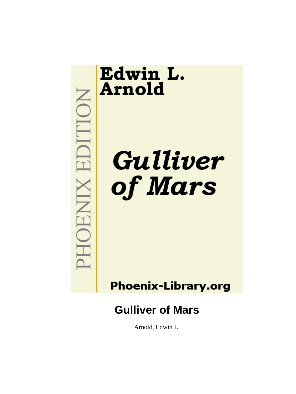# **MOHOENIX EDITION**

# Edwin L. **Arnold**

Gulliver of Mars

**Phoenix-Library.org** 

# **Gulliver of Mars**

Arnold, Edwin L.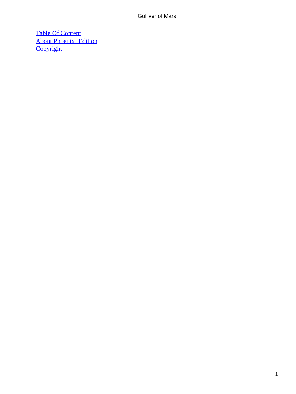[Table Of Content](#page-144-0) [About Phoenix−Edition](#page-145-0) **[Copyright](#page-148-0)**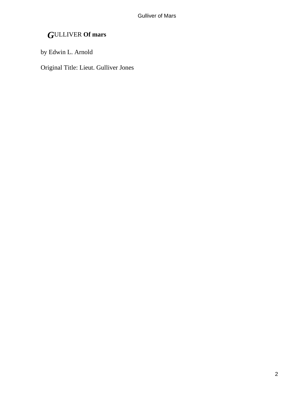# *G*ULLIVER **Of mars**

by Edwin L. Arnold

Original Title: Lieut. Gulliver Jones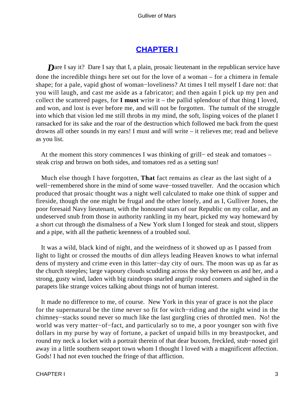# **[CHAPTER I](#page-144-0)**

**Dare I say it? Dare I say that I, a plain, prosaic lieutenant in the republican service have** done the incredible things here set out for the love of a woman – for a chimera in female shape; for a pale, vapid ghost of woman−loveliness? At times I tell myself I dare not: that you will laugh, and cast me aside as a fabricator; and then again I pick up my pen and collect the scattered pages, for **I must** write it – the pallid splendour of that thing I loved, and won, and lost is ever before me, and will not be forgotten. The tumult of the struggle into which that vision led me still throbs in my mind, the soft, lisping voices of the planet I ransacked for its sake and the roar of the destruction which followed me back from the quest drowns all other sounds in my ears! I must and will write – it relieves me; read and believe as you list.

 At the moment this story commences I was thinking of grill− ed steak and tomatoes – steak crisp and brown on both sides, and tomatoes red as a setting sun!

 Much else though I have forgotten, **That** fact remains as clear as the last sight of a well−remembered shore in the mind of some wave−tossed traveller. And the occasion which produced that prosaic thought was a night well calculated to make one think of supper and fireside, though the one might be frugal and the other lonely, and as I, Gulliver Jones, the poor foresaid Navy lieutenant, with the honoured stars of our Republic on my collar, and an undeserved snub from those in authority rankling in my heart, picked my way homeward by a short cut through the dismalness of a New York slum I longed for steak and stout, slippers and a pipe, with all the pathetic keenness of a troubled soul.

 It was a wild, black kind of night, and the weirdness of it showed up as I passed from light to light or crossed the mouths of dim alleys leading Heaven knows to what infernal dens of mystery and crime even in this latter−day city of ours. The moon was up as far as the church steeples; large vapoury clouds scudding across the sky between us and her, and a strong, gusty wind, laden with big raindrops snarled angrily round corners and sighed in the parapets like strange voices talking about things not of human interest.

 It made no difference to me, of course. New York in this year of grace is not the place for the supernatural be the time never so fit for witch−riding and the night wind in the chimney−stacks sound never so much like the last gurgling cries of throttled men. No! the world was very matter−of−fact, and particularly so to me, a poor younger son with five dollars in my purse by way of fortune, a packet of unpaid bills in my breastpocket, and round my neck a locket with a portrait therein of that dear buxom, freckled, stub−nosed girl away in a little southern seaport town whom I thought I loved with a magnificent affection. Gods! I had not even touched the fringe of that affliction.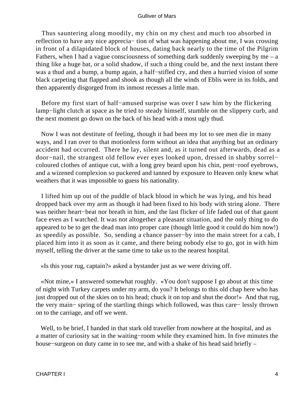Thus sauntering along moodily, my chin on my chest and much too absorbed in reflection to have any nice apprecia− tion of what was happening about me, I was crossing in front of a dilapidated block of houses, dating back nearly to the time of the Pilgrim Fathers, when I had a vague consciousness of something dark suddenly sweeping by me  $-$  a thing like a huge bat, or a solid shadow, if such a thing could be, and the next instant there was a thud and a bump, a bump again, a half−stifled cry, and then a hurried vision of some black carpeting that flapped and shook as though all the winds of Eblis were in its folds, and then apparently disgorged from its inmost recesses a little man.

 Before my first start of half−amused surprise was over I saw him by the flickering lamp−light clutch at space as he tried to steady himself, stumble on the slippery curb, and the next moment go down on the back of his head with a most ugly thud.

 Now I was not destitute of feeling, though it had been my lot to see men die in many ways, and I ran over to that motionless form without an idea that anything but an ordinary accident had occurred. There he lay, silent and, as it turned out afterwards, dead as a door−nail, the strangest old fellow ever eyes looked upon, dressed in shabby sorrel− coloured clothes of antique cut, with a long grey beard upon his chin, pent−roof eyebrows, and a wizened complexion so puckered and tanned by exposure to Heaven only knew what weathers that it was impossible to guess his nationality.

 I lifted him up out of the puddle of black blood in which he was lying, and his head dropped back over my arm as though it had been fixed to his body with string alone. There was neither heart−beat nor breath in him, and the last flicker of life faded out of that gaunt face even as I watched. It was not altogether a pleasant situation, and the only thing to do appeared to be to get the dead man into proper care (though little good it could do him now!) as speedily as possible. So, sending a chance passer−by into the main street for a cab, I placed him into it as soon as it came, and there being nobody else to go, got in with him myself, telling the driver at the same time to take us to the nearest hospital.

«Is this your rug, captain?» asked a bystander just as we were driving off.

 «Not mine,» I answered somewhat roughly. «You don't suppose I go about at this time of night with Turkey carpets under my arm, do you? It belongs to this old chap here who has just dropped out of the skies on to his head; chuck it on top and shut the door!» And that rug, the very main− spring of the startling things which followed, was thus care− lessly thrown on to the carriage, and off we went.

 Well, to be brief, I handed in that stark old traveller from nowhere at the hospital, and as a matter of curiosity sat in the waiting−room while they examined him. In five minutes the house−surgeon on duty came in to see me, and with a shake of his head said briefly –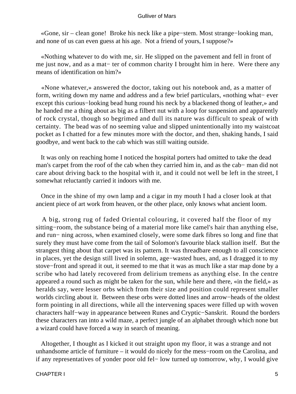«Gone, sir – clean gone! Broke his neck like a pipe−stem. Most strange−looking man, and none of us can even guess at his age. Not a friend of yours, I suppose?»

 «Nothing whatever to do with me, sir. He slipped on the pavement and fell in front of me just now, and as a mat− ter of common charity I brought him in here. Were there any means of identification on him?»

 «None whatever,» answered the doctor, taking out his notebook and, as a matter of form, writing down my name and address and a few brief particulars, «nothing what− ever except this curious−looking bead hung round his neck by a blackened thong of leather,» and he handed me a thing about as big as a filbert nut with a loop for suspension and apparently of rock crystal, though so begrimed and dull its nature was difficult to speak of with certainty. The bead was of no seeming value and slipped unintentionally into my waistcoat pocket as I chatted for a few minutes more with the doctor, and then, shaking hands, I said goodbye, and went back to the cab which was still waiting outside.

 It was only on reaching home I noticed the hospital porters had omitted to take the dead man's carpet from the roof of the cab when they carried him in, and as the cab– man did not care about driving back to the hospital with it, and it could not well be left in the street, I somewhat reluctantly carried it indoors with me.

 Once in the shine of my own lamp and a cigar in my mouth I had a closer look at that ancient piece of art work from heaven, or the other place, only knows what ancient loom.

 A big, strong rug of faded Oriental colouring, it covered half the floor of my sitting−room, the substance being of a material more like camel's hair than anything else, and run− ning across, when examined closely, were some dark fibres so long and fine that surely they must have come from the tail of Solomon's favourite black stallion itself. But the strangest thing about that carpet was its pattern. It was threadbare enough to all conscience in places, yet the design still lived in solemn, age−wasted hues, and, as I dragged it to my stove−front and spread it out, it seemed to me that it was as much like a star map done by a scribe who had lately recovered from delirium tremens as anything else. In the centre appeared a round such as might be taken for the sun, while here and there, «in the field,» as heralds say, were lesser orbs which from their size and position could represent smaller worlds circling about it. Between these orbs were dotted lines and arrow−heads of the oldest form pointing in all directions, while all the intervening spaces were filled up with woven characters half−way in appearance between Runes and Cryptic−Sanskrit. Round the borders these characters ran into a wild maze, a perfect jungle of an alphabet through which none but a wizard could have forced a way in search of meaning.

 Altogether, I thought as I kicked it out straight upon my floor, it was a strange and not unhandsome article of furniture – it would do nicely for the mess−room on the Carolina, and if any representatives of yonder poor old fel− low turned up tomorrow, why, I would give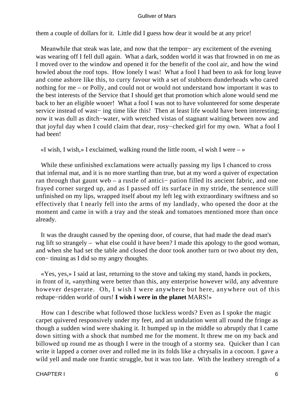them a couple of dollars for it. Little did I guess how dear it would be at any price!

 Meanwhile that steak was late, and now that the tempor− ary excitement of the evening was wearing off I fell dull again. What a dark, sodden world it was that frowned in on me as I moved over to the window and opened it for the benefit of the cool air, and how the wind howled about the roof tops. How lonely I was! What a fool I had been to ask for long leave and come ashore like this, to curry favour with a set of stubborn dunderheads who cared nothing for me – or Polly, and could not or would not understand how important it was to the best interests of the Service that I should get that promotion which alone would send me back to her an eligible wooer! What a fool I was not to have volunteered for some desperate service instead of wast– ing time like this! Then at least life would have been interesting; now it was dull as ditch−water, with wretched vistas of stagnant waiting between now and that joyful day when I could claim that dear, rosy−checked girl for my own. What a fool I had been!

«I wish, I wish,» I exclaimed, walking round the little room, «I wish I were  $-\infty$ 

 While these unfinished exclamations were actually passing my lips I chanced to cross that infernal mat, and it is no more startling than true, but at my word a quiver of expectation ran through that gaunt web – a rustle of antici− pation filled its ancient fabric, and one frayed corner surged up, and as I passed off its surface in my stride, the sentence still unfinished on my lips, wrapped itself about my left leg with extraordinary swiftness and so effectively that I nearly fell into the arms of my landlady, who opened the door at the moment and came in with a tray and the steak and tomatoes mentioned more than once already.

 It was the draught caused by the opening door, of course, that had made the dead man's rug lift so strangely – what else could it have been? I made this apology to the good woman, and when she had set the table and closed the door took another turn or two about my den, con− tinuing as I did so my angry thoughts.

 «Yes, yes,» I said at last, returning to the stove and taking my stand, hands in pockets, in front of it, «anything were better than this, any enterprise however wild, any adventure however desperate. Oh, I wish I were anywhere but here, anywhere out of this redtape−ridden world of ours! **I wish i were in the planet** MARS!»

 How can I describe what followed those luckless words? Even as I spoke the magic carpet quivered responsively under my feet, and an undulation went all round the fringe as though a sudden wind were shaking it. It humped up in the middle so abruptly that I came down sitting with a shock that numbed me for the moment. It threw me on my back and billowed up round me as though I were in the trough of a stormy sea. Quicker than I can write it lapped a corner over and rolled me in its folds like a chrysalis in a cocoon. I gave a wild yell and made one frantic struggle, but it was too late. With the leathery strength of a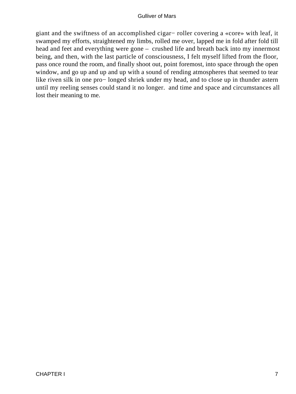giant and the swiftness of an accomplished cigar− roller covering a «core» with leaf, it swamped my efforts, straightened my limbs, rolled me over, lapped me in fold after fold till head and feet and everything were gone – crushed life and breath back into my innermost being, and then, with the last particle of consciousness, I felt myself lifted from the floor, pass once round the room, and finally shoot out, point foremost, into space through the open window, and go up and up and up with a sound of rending atmospheres that seemed to tear like riven silk in one pro− longed shriek under my head, and to close up in thunder astern until my reeling senses could stand it no longer. and time and space and circumstances all lost their meaning to me.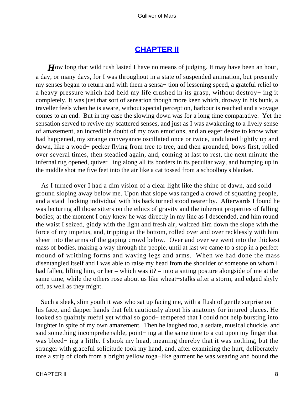## **[CHAPTER II](#page-144-0)**

*H*ow long that wild rush lasted I have no means of judging. It may have been an hour, a day, or many days, for I was throughout in a state of suspended animation, but presently my senses began to return and with them a sensa− tion of lessening speed, a grateful relief to a heavy pressure which had held my life crushed in its grasp, without destroy− ing it completely. It was just that sort of sensation though more keen which, drowsy in his bunk, a traveller feels when he is aware, without special perception, harbour is reached and a voyage comes to an end. But in my case the slowing down was for a long time comparative. Yet the sensation served to revive my scattered senses, and just as I was awakening to a lively sense of amazement, an incredible doubt of my own emotions, and an eager desire to know what had happened, my strange conveyance oscillated once or twice, undulated lightly up and down, like a wood− pecker flying from tree to tree, and then grounded, bows first, rolled over several times, then steadied again, and, coming at last to rest, the next minute the infernal rug opened, quiver− ing along all its borders in its peculiar way, and humping up in the middle shot me five feet into the air like a cat tossed from a schoolboy's blanket.

 As I turned over I had a dim vision of a clear light like the shine of dawn, and solid ground sloping away below me. Upon that slope was ranged a crowd of squatting people, and a staid−looking individual with his back turned stood nearer by. Afterwards I found he was lecturing all those sitters on the ethics of gravity and the inherent properties of falling bodies; at the moment I only knew he was directly in my line as I descended, and him round the waist I seized, giddy with the light and fresh air, waltzed him down the slope with the force of my impetus, and, tripping at the bottom, rolled over and over recklessly with him sheer into the arms of the gaping crowd below. Over and over we went into the thickest mass of bodies, making a way through the people, until at last we came to a stop in a perfect mound of writhing forms and waving legs and arms. When we had done the mass disentangled itself and I was able to raise my head from the shoulder of someone on whom I had fallen, lifting him, or her – which was it? – into a sitting posture alongside of me at the same time, while the others rose about us like wheat−stalks after a storm, and edged shyly off, as well as they might.

 Such a sleek, slim youth it was who sat up facing me, with a flush of gentle surprise on his face, and dapper hands that felt cautiously about his anatomy for injured places. He looked so quaintly rueful yet withal so good− tempered that I could not help bursting into laughter in spite of my own amazement. Then he laughed too, a sedate, musical chuckle, and said something incomprehensible, point– ing at the same time to a cut upon my finger that was bleed− ing a little. I shook my head, meaning thereby that it was nothing, but the stranger with graceful solicitude took my hand, and, after examining the hurt, deliberately tore a strip of cloth from a bright yellow toga−like garment he was wearing and bound the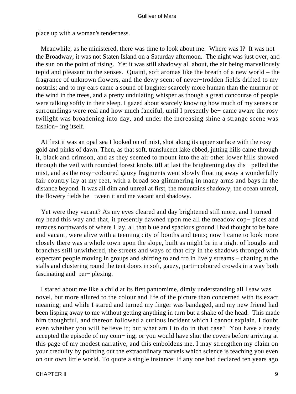place up with a woman's tenderness.

 Meanwhile, as he ministered, there was time to look about me. Where was I? It was not the Broadway; it was not Staten Island on a Saturday afternoon. The night was just over, and the sun on the point of rising. Yet it was still shadowy all about, the air being marvellously tepid and pleasant to the senses. Quaint, soft aromas like the breath of a new world – the fragrance of unknown flowers, and the dewy scent of never−trodden fields drifted to my nostrils; and to my ears came a sound of laughter scarcely more human than the murmur of the wind in the trees, and a pretty undulating whisper as though a great concourse of people were talking softly in their sleep. I gazed about scarcely knowing how much of my senses or surroundings were real and how much fanciful, until I presently be− came aware the rosy twilight was broadening into day, and under the increasing shine a strange scene was fashion− ing itself.

 At first it was an opal sea I looked on of mist, shot along its upper surface with the rosy gold and pinks of dawn. Then, as that soft, translucent lake ebbed, jutting hills came through it, black and crimson, and as they seemed to mount into the air other lower hills showed through the veil with rounded forest knobs till at last the brightening day dis− pelled the mist, and as the rosy−coloured gauzy fragments went slowly floating away a wonderfully fair country lay at my feet, with a broad sea glimmering in many arms and bays in the distance beyond. It was all dim and unreal at first, the mountains shadowy, the ocean unreal, the flowery fields be− tween it and me vacant and shadowy.

 Yet were they vacant? As my eyes cleared and day brightened still more, and I turned my head this way and that, it presently dawned upon me all the meadow cop− pices and terraces northwards of where I lay, all that blue and spacious ground I had thought to be bare and vacant, were alive with a teeming city of booths and tents; now I came to look more closely there was a whole town upon the slope, built as might be in a night of boughs and branches still unwithered, the streets and ways of that city in the shadows thronged with expectant people moving in groups and shifting to and fro in lively streams – chatting at the stalls and clustering round the tent doors in soft, gauzy, parti−coloured crowds in a way both fascinating and per− plexing.

 I stared about me like a child at its first pantomime, dimly understanding all I saw was novel, but more allured to the colour and life of the picture than concerned with its exact meaning; and while I stared and turned my finger was bandaged, and my new friend had been lisping away to me without getting anything in turn but a shake of the head. This made him thoughtful, and thereon followed a curious incident which I cannot explain. I doubt even whether you will believe it; but what am I to do in that case? You have already accepted the episode of my com− ing, or you would have shut the covers before arriving at this page of my modest narrative, and this emboldens me. I may strengthen my claim on your credulity by pointing out the extraordinary marvels which science is teaching you even on our own little world. To quote a single instance: If any one had declared ten years ago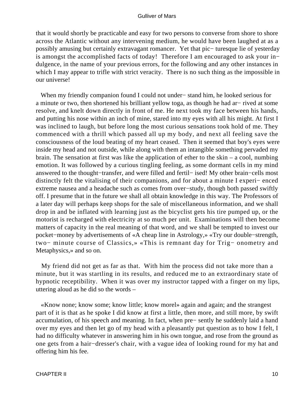that it would shortly be practicable and easy for two persons to converse from shore to shore across the Atlantic without any intervening medium, he would have been laughed at as a possibly amusing but certainly extravagant romancer. Yet that pic− turesque lie of yesterday is amongst the accomplished facts of today! Therefore I am encouraged to ask your in− dulgence, in the name of your previous errors, for the following and any other instances in which I may appear to trifle with strict veracity. There is no such thing as the impossible in our universe!

 When my friendly companion found I could not under− stand him, he looked serious for a minute or two, then shortened his brilliant yellow toga, as though he had ar− rived at some resolve, and knelt down directly in front of me. He next took my face between his hands, and putting his nose within an inch of mine, stared into my eyes with all his might. At first I was inclined to laugh, but before long the most curious sensations took hold of me. They commenced with a thrill which passed all up my body, and next all feeling save the consciousness of the loud beating of my heart ceased. Then it seemed that boy's eyes were inside my head and not outside, while along with them an intangible something pervaded my brain. The sensation at first was like the application of ether to the skin – a cool, numbing emotion. It was followed by a curious tingling feeling, as some dormant cells in my mind answered to the thought−transfer, and were filled and fertil− ised! My other brain−cells most distinctly felt the vitalising of their companions, and for about a minute I experi− enced extreme nausea and a headache such as comes from over−study, though both passed swiftly off. I presume that in the future we shall all obtain knowledge in this way. The Professors of a later day will perhaps keep shops for the sale of miscellaneous information, and we shall drop in and be inflated with learning just as the bicyclist gets his tire pumped up, or the motorist is recharged with electricity at so much per unit. Examinations will then become matters of capacity in the real meaning of that word, and we shall be tempted to invest our pocket−money by advertisements of «A cheap line in Astrology,» «Try our double−strength, two− minute course of Classics,» «This is remnant day for Trig− onometry and Metaphysics,» and so on.

 My friend did not get as far as that. With him the process did not take more than a minute, but it was startling in its results, and reduced me to an extraordinary state of hypnotic receptibility. When it was over my instructor tapped with a finger on my lips, uttering aloud as he did so the words –

 «Know none; know some; know little; know morel» again and again; and the strangest part of it is that as he spoke I did know at first a little, then more, and still more, by swift accumulation, of his speech and meaning. In fact, when pre− sently he suddenly laid a hand over my eyes and then let go of my head with a pleasantly put question as to how I felt, I had no difficulty whatever in answering him in his own tongue, and rose from the ground as one gets from a hair−dresser's chair, with a vague idea of looking round for my hat and offering him his fee.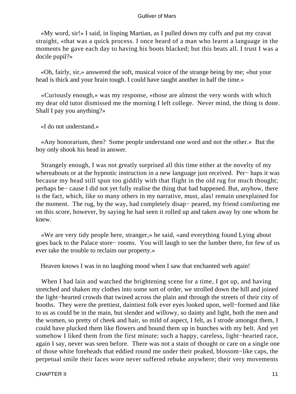«My word, sir!» I said, in lisping Martian, as I pulled down my cuffs and put my cravat straight, «that was a quick process. I once heard of a man who learnt a language in the moments he gave each day to having his boots blacked; but this beats all. I trust I was a docile pupil?»

 «Oh, fairly, sir,» answered the soft, musical voice of the strange being by me; «but your head is thick and your brain tough. I could have taught another in half the time.»

 «Curiously enough,» was my response, «those are almost the very words with which my dear old tutor dismissed me the morning I left college. Never mind, the thing is done. Shall I pay you anything?»

«I do not understand.»

 «Any honorarium, then? Some people understand one word and not the other.» But the boy only shook his head in answer.

 Strangely enough, I was not greatly surprised all this time either at the novelty of my whereabouts or at the hypnotic instruction in a new language just received. Per− haps it was because my head still spun too giddily with that flight in the old rug for much thought; perhaps be− cause I did not yet fully realise the thing that had happened. But, anyhow, there is the fact, which, like so many others in my narrative, must, alas! remain unexplained for the moment. The rug, by the way, had completely disap− peared, my friend comforting me on this score, however, by saying he had seen it rolled up and taken away by one whom he knew.

 «We are very tidy people here, stranger,» he said, «and everything found Lying about goes back to the Palace store− rooms. You will laugh to see the lumber there, for few of us ever take the trouble to reclaim our property.»

Heaven knows I was in no laughing mood when I saw that enchanted web again!

When I had lain and watched the brightening scene for a time, I got up, and having stretched and shaken my clothes into some sort of order, we strolled down the hill and joined the light−hearted crowds that twined across the plain and through the streets of their city of booths. They were the prettiest, daintiest folk ever eyes looked upon, well−formed and like to us as could be in the main, but slender and willowy, so dainty and light, both the men and the women, so pretty of cheek and hair, so mild of aspect, I felt, as I strode amongst them, I could have plucked them like flowers and bound them up in bunches with my belt. And yet somehow I liked them from the first minute; such a happy, careless, light−hearted race, again I say, never was seen before. There was not a stain of thought or care on a single one of those white foreheads that eddied round me under their peaked, blossom−like caps, the perpetual smile their faces wore never suffered rebuke anywhere; their very movements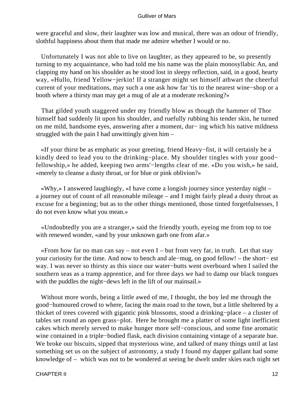were graceful and slow, their laughter was low and musical, there was an odour of friendly, slothful happiness about them that made me admire whether I would or no.

 Unfortunately I was not able to live on laughter, as they appeared to be, so presently turning to my acquaintance, who had told me his name was the plain monosyllabic An, and clapping my hand on his shoulder as he stood lost in sleepy reflection, said, in a good, hearty way, «Hullo, friend Yellow−jerkin! If a stranger might set himself athwart the cheerful current of your meditations, may such a one ask how far 'tis to the nearest wine−shop or a booth where a thirsty man may get a mug of ale at a moderate reckoning?»

 That gilded youth staggered under my friendly blow as though the hammer of Thor himself had suddenly lit upon his shoulder, and ruefully rubbing his tender skin, he turned on me mild, handsome eyes, answering after a moment, dur− ing which his native mildness struggled with the pain I had unwittingly given him –

 «If your thirst be as emphatic as your greeting, friend Heavy−fist, it will certainly be a kindly deed to lead you to the drinking−place. My shoulder tingles with your good− fellowship,» he added, keeping two arms'−lengths clear of me. «Do you wish,» he said, «merely to cleanse a dusty throat, or for blue or pink oblivion?»

 «Why,» I answered laughingly, «I have come a longish journey since yesterday night – a journey out of count of all reasonable mileage – and I might fairly plead a dusty throat as excuse for a beginning; but as to the other things mentioned, those tinted forgetfulnesses, I do not even know what you mean.»

 «Undoubtedly you are a stranger,» said the friendly youth, eyeing me from top to toe with renewed wonder, «and by your unknown garb one from afar.»

«From how far no man can say – not even  $I$  – but from very far, in truth. Let that stay your curiosity for the time. And now to bench and ale−mug, on good fellow! – the short− est way. I was never so thirsty as this since our water−butts went overboard when I sailed the southern seas as a tramp apprentice, and for three days we had to damp our black tongues with the puddles the night−dews left in the lift of our mainsail.»

 Without more words, being a little awed of me, I thought, the boy led me through the good−humoured crowd to where, facing the main road to the town, but a little sheltered by a thicket of trees covered with gigantic pink blossoms, stood a drinking−place – a cluster of tables set round an open grass−plot. Here he brought me a platter of some light inefficient cakes which merely served to make hunger more self−conscious, and some fine aromatic wine contained in a triple−bodied flask, each division containing vintage of a separate hue. We broke our biscuits, sipped that mysterious wine, and talked of many things until at last something set us on the subject of astronomy, a study I found my dapper gallant had some knowledge of – which was not to be wondered at seeing he dwelt under skies each night set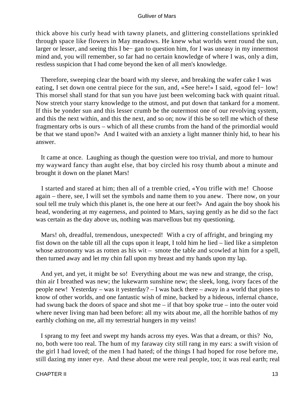thick above his curly head with tawny planets, and glittering constellations sprinkled through space like flowers in May meadows. He knew what worlds went round the sun, larger or lesser, and seeing this I be− gan to question him, for I was uneasy in my innermost mind and, you will remember, so far had no certain knowledge of where I was, only a dim, restless suspicion that I had come beyond the ken of all men's knowledge.

 Therefore, sweeping clear the board with my sleeve, and breaking the wafer cake I was eating, I set down one central piece for the sun, and, «See here!» I said, «good fel− low! This morsel shall stand for that sun you have just been welcoming back with quaint ritual. Now stretch your starry knowledge to the utmost, and put down that tankard for a moment. If this be yonder sun and this lesser crumb be the outermost one of our revolving system, and this the next within, and this the next, and so on; now if this be so tell me which of these fragmentary orbs is ours – which of all these crumbs from the hand of the primordial would be that we stand upon?» And I waited with an anxiety a light manner thinly hid, to hear his answer.

 It came at once. Laughing as though the question were too trivial, and more to humour my wayward fancy than aught else, that boy circled his rosy thumb about a minute and brought it down on the planet Mars!

 I started and stared at him; then all of a tremble cried, «You trifle with me! Choose again – there, see, I will set the symbols and name them to you anew. There now, on your soul tell me truly which this planet is, the one here at our feet?» And again the boy shook his head, wondering at my eagerness, and pointed to Mars, saying gently as he did so the fact was certain as the day above us, nothing was marvellous but my questioning.

Mars! oh, dreadful, tremendous, unexpected! With a cry of affright, and bringing my fist down on the table till all the cups upon it leapt, I told him he lied – lied like a simpleton whose astronomy was as rotten as his wit – smote the table and scowled at him for a spell, then turned away and let my chin fall upon my breast and my hands upon my lap.

 And yet, and yet, it might be so! Everything about me was new and strange, the crisp, thin air I breathed was new; the lukewarm sunshine new; the sleek, long, ivory faces of the people new! Yesterday – was it yesterday? – I was back there – away in a world that pines to know of other worlds, and one fantastic wish of mine, backed by a hideous, infernal chance, had swung back the doors of space and shot me – if that boy spoke true – into the outer void where never living man had been before: all my wits about me, all the horrible bathos of my earthly clothing on me, all my terrestrial hungers in my veins!

 I sprang to my feet and swept my hands across my eyes. Was that a dream, or this? No, no, both were too real. The hum of my faraway city still rang in my ears: a swift vision of the girl I had loved; of the men I had hated; of the things I had hoped for rose before me, still dazing my inner eye. And these about me were real people, too; it was real earth; real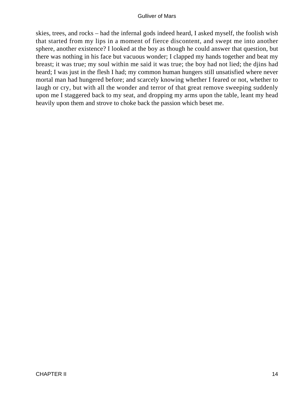skies, trees, and rocks – had the infernal gods indeed heard, I asked myself, the foolish wish that started from my lips in a moment of fierce discontent, and swept me into another sphere, another existence? I looked at the boy as though he could answer that question, but there was nothing in his face but vacuous wonder; I clapped my hands together and beat my breast; it was true; my soul within me said it was true; the boy had not lied; the djins had heard; I was just in the flesh I had; my common human hungers still unsatisfied where never mortal man had hungered before; and scarcely knowing whether I feared or not, whether to laugh or cry, but with all the wonder and terror of that great remove sweeping suddenly upon me I staggered back to my seat, and dropping my arms upon the table, leant my head heavily upon them and strove to choke back the passion which beset me.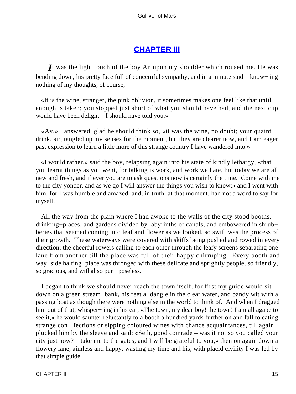# **[CHAPTER III](#page-144-0)**

*I*t was the light touch of the boy An upon my shoulder which roused me. He was bending down, his pretty face full of concernful sympathy, and in a minute said – know− ing nothing of my thoughts, of course,

 «It is the wine, stranger, the pink oblivion, it sometimes makes one feel like that until enough is taken; you stopped just short of what you should have had, and the next cup would have been delight – I should have told you.»

 «Ay,» I answered, glad he should think so, «it was the wine, no doubt; your quaint drink, sir, tangled up my senses for the moment, but they are clearer now, and I am eager past expression to learn a little more of this strange country I have wandered into.»

 «I would rather,» said the boy, relapsing again into his state of kindly lethargy, «that you learnt things as you went, for talking is work, and work we hate, but today we are all new and fresh, and if ever you are to ask questions now is certainly the time. Come with me to the city yonder, and as we go I will answer the things you wish to know;» and I went with him, for I was humble and amazed, and, in truth, at that moment, had not a word to say for myself.

 All the way from the plain where I had awoke to the walls of the city stood booths, drinking−places, and gardens divided by labyrinths of canals, and embowered in shrub− beries that seemed coming into leaf and flower as we looked, so swift was the process of their growth. These waterways were covered with skiffs being pushed and rowed in every direction; the cheerful rowers calling to each other through the leafy screens separating one lane from another till the place was full of their happy chirruping. Every booth and way−side halting−place was thronged with these delicate and sprightly people, so friendly, so gracious, and withal so pur− poseless.

 I began to think we should never reach the town itself, for first my guide would sit down on a green stream−bank, his feet a−dangle in the clear water, and bandy wit with a passing boat as though there were nothing else in the world to think of. And when I dragged him out of that, whisper− ing in his ear, «The town, my dear boy! the town! I am all agape to see it,» he would saunter reluctantly to a booth a hundred yards further on and fall to eating strange con− fections or sipping coloured wines with chance acquaintances, till again I plucked him by the sleeve and said: «Seth, good comrade – was it not so you called your city just now? – take me to the gates, and I will be grateful to you,» then on again down a flowery lane, aimless and happy, wasting my time and his, with placid civility I was led by that simple guide.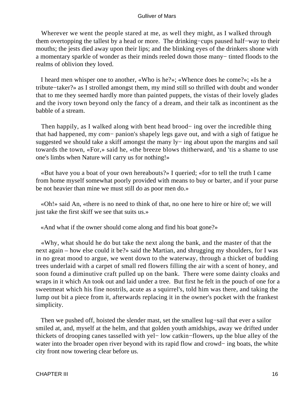Wherever we went the people stared at me, as well they might, as I walked through them overtopping the tallest by a head or more. The drinking−cups paused half−way to their mouths; the jests died away upon their lips; and the blinking eyes of the drinkers shone with a momentary sparkle of wonder as their minds reeled down those many− tinted floods to the realms of oblivion they loved.

 I heard men whisper one to another, «Who is he?»; «Whence does he come?»; «Is he a tribute−taker?» as I strolled amongst them, my mind still so thrilled with doubt and wonder that to me they seemed hardly more than painted puppets, the vistas of their lovely glades and the ivory town beyond only the fancy of a dream, and their talk as incontinent as the babble of a stream.

Then happily, as I walked along with bent head brood− ing over the incredible thing that had happened, my com− panion's shapely legs gave out, and with a sigh of fatigue he suggested we should take a skiff amongst the many ly– ing about upon the margins and sail towards the town, «For,» said he, «the breeze blows thitherward, and 'tis a shame to use one's limbs when Nature will carry us for nothing!»

 «But have you a boat of your own hereabouts?» I queried; «for to tell the truth I came from home myself somewhat poorly provided with means to buy or barter, and if your purse be not heavier than mine we must still do as poor men do.»

 «Oh!» said An, «there is no need to think of that, no one here to hire or hire of; we will just take the first skiff we see that suits us.»

«And what if the owner should come along and find his boat gone?»

 «Why, what should he do but take the next along the bank, and the master of that the next again – how else could it be?» said the Martian, and shrugging my shoulders, for I was in no great mood to argue, we went down to the waterway, through a thicket of budding trees underlaid with a carpet of small red flowers filling the air with a scent of honey, and soon found a diminutive craft pulled up on the bank. There were some dainty cloaks and wraps in it which An took out and laid under a tree. But first he felt in the pouch of one for a sweetmeat which his fine nostrils, acute as a squirrel's, told him was there, and taking the lump out bit a piece from it, afterwards replacing it in the owner's pocket with the frankest simplicity.

 Then we pushed off, hoisted the slender mast, set the smallest lug−sail that ever a sailor smiled at, and, myself at the helm, and that golden youth amidships, away we drifted under thickets of drooping canes tasselled with yel− low catkin−flowers, up the blue alley of the water into the broader open river beyond with its rapid flow and crowd– ing boats, the white city front now towering clear before us.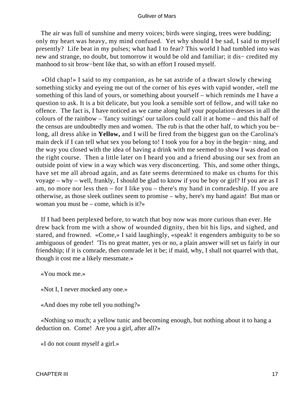The air was full of sunshine and merry voices; birds were singing, trees were budding; only my heart was heavy, my mind confused. Yet why should I be sad, I said to myself presently? Life beat in my pulses; what had I to fear? This world I had tumbled into was new and strange, no doubt, but tomorrow it would be old and familiar; it dis− credited my manhood to sit brow−bent like that, so with an effort I roused myself.

 «Old chap!» I said to my companion, as he sat astride of a thwart slowly chewing something sticky and eyeing me out of the corner of his eyes with vapid wonder, «tell me something of this land of yours, or something about yourself – which reminds me I have a question to ask. It is a bit delicate, but you look a sensible sort of fellow, and will take no offence. The fact is, I have noticed as we came along half your population dresses in all the colours of the rainbow – 'fancy suitings' our tailors could call it at home – and this half of the census are undoubtedly men and women. The rub is that the other half, to which you be− long, all dress alike in **Yellow,** and I will be fired from the biggest gun on the Carolina's main deck if I can tell what sex you belong to! I took you for a boy in the begin− ning, and the way you closed with the idea of having a drink with me seemed to show I was dead on the right course. Then a little later on I heard you and a friend abusing our sex from an outside point of view in a way which was very disconcerting. This, and some other things, have set me all abroad again, and as fate seems determined to make us chums for this voyage – why – well, frankly, I should be glad to know if you be boy or girl? If you are as I am, no more nor less then – for I like you – there's my hand in comradeship. If you are otherwise, as those sleek outlines seem to promise – why, here's my hand again! But man or woman you must be – come, which is it?»

 If I had been perplexed before, to watch that boy now was more curious than ever. He drew back from me with a show of wounded dignity, then bit his lips, and sighed, and stared, and frowned. «Come,» I said laughingly, «speak! it engenders ambiguity to be so ambiguous of gender! 'Tis no great matter, yes or no, a plain answer will set us fairly in our friendship; if it is comrade, then comrade let it be; if maid, why, I shall not quarrel with that, though it cost me a likely messmate.»

«You mock me.»

«Not I, I never mocked any one.»

«And does my robe tell you nothing?»

 «Nothing so much; a yellow tunic and becoming enough, but nothing about it to hang a deduction on. Come! Are you a girl, after all?»

«I do not count myself a girl.»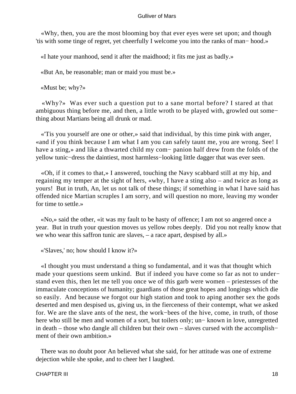«Why, then, you are the most blooming boy that ever eyes were set upon; and though 'tis with some tinge of regret, yet cheerfully I welcome you into the ranks of man− hood.»

«I hate your manhood, send it after the maidhood; it fits me just as badly.»

«But An, be reasonable; man or maid you must be.»

«Must be; why?»

 «Why?» Was ever such a question put to a sane mortal before? I stared at that ambiguous thing before me, and then, a little wroth to be played with, growled out some− thing about Martians being all drunk or mad.

 «'Tis you yourself are one or other,» said that individual, by this time pink with anger, «and if you think because I am what I am you can safely taunt me, you are wrong. See! I have a sting,» and like a thwarted child my com− panion half drew from the folds of the yellow tunic−dress the daintiest, most harmless−looking little dagger that was ever seen.

 «Oh, if it comes to that,» I answered, touching the Navy scabbard still at my hip, and regaining my temper at the sight of hers, «why, I have a sting also – and twice as long as yours! But in truth, An, let us not talk of these things; if something in what I have said has offended nice Martian scruples I am sorry, and will question no more, leaving my wonder for time to settle.»

 «No,» said the other, «it was my fault to be hasty of offence; I am not so angered once a year. But in truth your question moves us yellow robes deeply. Did you not really know that we who wear this saffron tunic are slaves, – a race apart, despised by all.»

«'Slaves,' no; how should I know it?»

 «I thought you must understand a thing so fundamental, and it was that thought which made your questions seem unkind. But if indeed you have come so far as not to under− stand even this, then let me tell you once we of this garb were women – priestesses of the immaculate conceptions of humanity; guardians of those great hopes and longings which die so easily. And because we forgot our high station and took to aping another sex the gods deserted and men despised us, giving us, in the fierceness of their contempt, what we asked for. We are the slave ants of the nest, the work−bees of the hive, come, in truth, of those here who still be men and women of a sort, but toilers only; un− known in love, unregretted in death – those who dangle all children but their own – slaves cursed with the accomplish− ment of their own ambition.»

 There was no doubt poor An believed what she said, for her attitude was one of extreme dejection while she spoke, and to cheer her I laughed.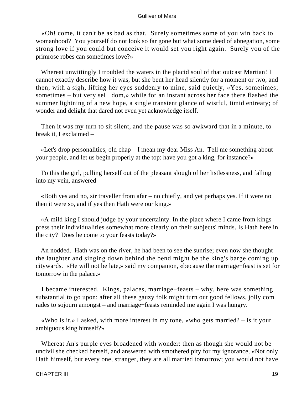«Oh! come, it can't be as bad as that. Surely sometimes some of you win back to womanhood? You yourself do not look so far gone but what some deed of abnegation, some strong love if you could but conceive it would set you right again. Surely you of the primrose robes can sometimes love?»

 Whereat unwittingly I troubled the waters in the placid soul of that outcast Martian! I cannot exactly describe how it was, but she bent her head silently for a moment or two, and then, with a sigh, lifting her eyes suddenly to mine, said quietly, «Yes, sometimes; sometimes – but very sel− dom,» while for an instant across her face there flashed the summer lightning of a new hope, a single transient glance of wistful, timid entreaty; of wonder and delight that dared not even yet acknowledge itself.

 Then it was my turn to sit silent, and the pause was so awkward that in a minute, to break it, I exclaimed –

 «Let's drop personalities, old chap – I mean my dear Miss An. Tell me something about your people, and let us begin properly at the top: have you got a king, for instance?»

 To this the girl, pulling herself out of the pleasant slough of her listlessness, and falling into my vein, answered –

 «Both yes and no, sir traveller from afar – no chiefly, and yet perhaps yes. If it were no then it were so, and if yes then Hath were our king.»

 «A mild king I should judge by your uncertainty. In the place where I came from kings press their individualities somewhat more clearly on their subjects' minds. Is Hath here in the city? Does he come to your feasts today?»

 An nodded. Hath was on the river, he had been to see the sunrise; even now she thought the laughter and singing down behind the bend might be the king's barge coming up citywards. «He will not be late,» said my companion, «because the marriage−feast is set for tomorrow in the palace.»

 I became interested. Kings, palaces, marriage−feasts – why, here was something substantial to go upon; after all these gauzy folk might turn out good fellows, jolly com− rades to sojourn amongst – and marriage−feasts reminded me again I was hungry.

 «Who is it,» I asked, with more interest in my tone, «who gets married? – is it your ambiguous king himself?»

 Whereat An's purple eyes broadened with wonder: then as though she would not be uncivil she checked herself, and answered with smothered pity for my ignorance, «Not only Hath himself, but every one, stranger, they are all married tomorrow; you would not have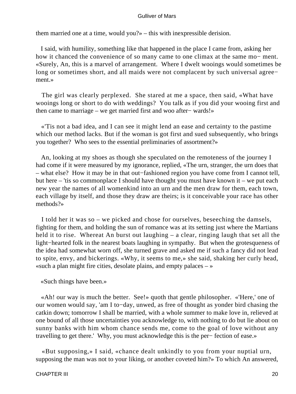them married one at a time, would you?» – this with inexpressible derision.

 I said, with humility, something like that happened in the place I came from, asking her how it chanced the convenience of so many came to one climax at the same mo− ment. «Surely, An, this is a marvel of arrangement. Where I dwelt wooings would sometimes be long or sometimes short, and all maids were not complacent by such universal agree− ment.»

 The girl was clearly perplexed. She stared at me a space, then said, «What have wooings long or short to do with weddings? You talk as if you did your wooing first and then came to marriage – we get married first and woo after− wards!»

 «'Tis not a bad idea, and I can see it might lend an ease and certainty to the pastime which our method lacks. But if the woman is got first and sued subsequently, who brings you together? Who sees to the essential preliminaries of assortment?»

 An, looking at my shoes as though she speculated on the remoteness of the journey I had come if it were measured by my ignorance, replied, «The urn, stranger, the urn does that – what else? How it may be in that out−fashioned region you have come from I cannot tell, but here – 'tis so commonplace I should have thought you must have known it – we put each new year the names of all womenkind into an urn and the men draw for them, each town, each village by itself, and those they draw are theirs; is it conceivable your race has other methods?»

 I told her it was so – we picked and chose for ourselves, beseeching the damsels, fighting for them, and holding the sun of romance was at its setting just where the Martians held it to rise. Whereat An burst out laughing – a clear, ringing laugh that set all the light−hearted folk in the nearest boats laughing in sympathy. But when the grotesqueness of the idea had somewhat worn off, she turned grave and asked me if such a fancy did not lead to spite, envy, and bickerings. «Why, it seems to me,» she said, shaking her curly head, «such a plan might fire cities, desolate plains, and empty palaces  $-\infty$ 

«Such things have been.»

 «Ah! our way is much the better. See!» quoth that gentle philosopher. «'Here,' one of our women would say, 'am I to−day, unwed, as free of thought as yonder bird chasing the catkin down; tomorrow I shall be married, with a whole summer to make love in, relieved at one bound of all those uncertainties you acknowledge to, with nothing to do but lie about on sunny banks with him whom chance sends me, come to the goal of love without any travelling to get there.' Why, you must acknowledge this is the per− fection of ease.»

 «But supposing,» I said, «chance dealt unkindly to you from your nuptial urn, supposing the man was not to your liking, or another coveted him?» To which An answered,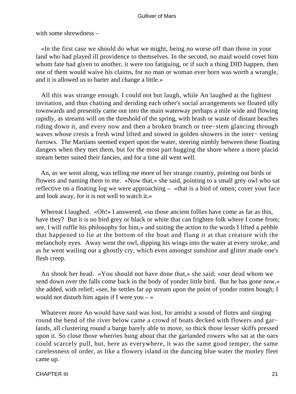with some shrewdness –

 «In the first case we should do what we might, being no worse off than those in your land who had played ill providence to themselves. In the second, no maid would covet him whom fate had given to another, it were too fatiguing, or if such a thing DID happen, then one of them would waive his claims, for no man or woman ever born was worth a wrangle, and it is allowed us to barter and change a little.»

 All this was strange enough. I could not but laugh, while An laughed at the lightest invitation, and thus chatting and deriding each other's social arrangements we floated idly townwards and presently came out into the main waterway perhaps a mile wide and flowing rapidly, as streams will on the threshold of the spring, with brash or waste of distant beaches riding down it, and every now and then a broken branch or tree−stem glancing through waves whose crests a fresh wind lifted and sowed in golden showers in the inter− vening furrows. The Martians seemed expert upon the water, steering nimbly between these floating dangers when they met them, but for the most part hugging the shore where a more placid stream better suited their fancies, and for a time all went well.

 An, as we went along, was telling me more of her strange country, pointing out birds or flowers and naming them to me. «Now that,» she said, pointing to a small grey owl who sat reflective on a floating log we were approaching – «that is a bird of omen; cover your face and look away, for it is not well to watch it.»

Whereat I laughed. «Oh!» I answered, «so those ancient follies have come as far as this, have they? But it is no bird grey or black or white that can frighten folk where I come from; see, I will ruffle his philosophy for him,» and suiting the action to the words I lifted a pebble that happened to lie at the bottom of the boat and flung it at that creature with the melancholy eyes. Away went the owl, dipping his wings into the water at every stroke, and as he went wailing out a ghostly cry, which even amongst sunshine and glitter made one's flesh creep.

 An shook her head. «You should not have done that,» she said; «our dead whom we send down over the falls come back in the body of yonder little bird. But he has gone now,» she added, with relief; «see, he settles far up stream upon the point of yonder rotten bough; I would not disturb him again if I were you  $-\infty$ 

 Whatever more An would have said was lost, for amidst a sound of flutes and singing round the bend of the river below came a crowd of boats decked with flowers and gar− lands, all clustering round a barge barely able to move, so thick those lesser skiffs pressed upon it. So close those wherries hung about that the garlanded rowers who sat at the oars could scarcely pull, but, here as everywhere, it was the same good temper, the same carelessness of order, as like a flowery island in the dancing blue water the motley fleet came up.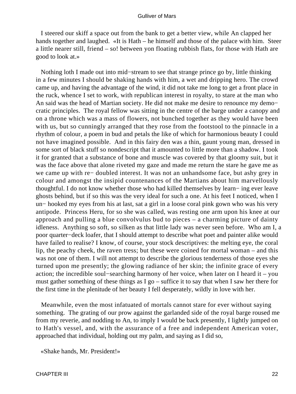I steered our skiff a space out from the bank to get a better view, while An clapped her hands together and laughed. «It is Hath – he himself and those of the palace with him. Steer a little nearer still, friend – so! between yon floating rubbish flats, for those with Hath are good to look at.»

 Nothing loth I made out into mid−stream to see that strange prince go by, little thinking in a few minutes I should be shaking hands with him, a wet and dripping hero. The crowd came up, and having the advantage of the wind, it did not take me long to get a front place in the ruck, whence I set to work, with republican interest in royalty, to stare at the man who An said was the head of Martian society. He did not make me desire to renounce my demo− cratic principles. The royal fellow was sitting in the centre of the barge under a canopy and on a throne which was a mass of flowers, not bunched together as they would have been with us, but so cunningly arranged that they rose from the footstool to the pinnacle in a rhythm of colour, a poem in bud and petals the like of which for harmonious beauty I could not have imagined possible. And in this fairy den was a thin, gaunt young man, dressed in some sort of black stuff so nondescript that it amounted to little more than a shadow. I took it for granted that a substance of bone and muscle was covered by that gloomy suit, but it was the face above that alone riveted my gaze and made me return the stare he gave me as we came up with re− doubled interest. It was not an unhandsome face, but ashy grey in colour and amongst the insipid countenances of the Martians about him marvellously thoughtful. I do not know whether those who had killed themselves by learn− ing ever leave ghosts behind, but if so this was the very ideal for such a one. At his feet I noticed, when I un− hooked my eyes from his at last, sat a girl in a loose coral pink gown who was his very antipode. Princess Heru, for so she was called, was resting one arm upon his knee at our approach and pulling a blue convolvulus bud to pieces – a charming picture of dainty idleness. Anything so soft, so silken as that little lady was never seen before. Who am I, a poor quarter−deck loafer, that I should attempt to describe what poet and painter alike would have failed to realise? I know, of course, your stock descriptives: the melting eye, the coral lip, the peachy cheek, the raven tress; but these were coined for mortal woman – and this was not one of them. I will not attempt to describe the glorious tenderness of those eyes she turned upon me presently; the glowing radiance of her skin; the infinite grace of every action; the incredible soul−searching harmony of her voice, when later on I heard it – you must gather something of these things as I go – suffice it to say that when I saw her there for the first time in the plenitude of her beauty I fell desperately, wildly in love with her.

 Meanwhile, even the most infatuated of mortals cannot stare for ever without saying something. The grating of our prow against the garlanded side of the royal barge roused me from my reverie, and nodding to An, to imply I would be back presently, I lightly jumped on to Hath's vessel, and, with the assurance of a free and independent American voter, approached that individual, holding out my palm, and saying as I did so,

«Shake hands, Mr. President!»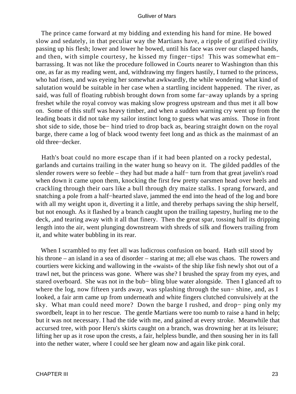The prince came forward at my bidding and extending his hand for mine. He bowed slow and sedately, in that peculiar way the Martians have, a ripple of gratified civility passing up his flesh; lower and lower he bowed, until his face was over our clasped hands, and then, with simple courtesy, he kissed my finger−tips! This was somewhat em− barrassing. It was not like the procedure followed in Courts nearer to Washington than this one, as far as my reading went, and, withdrawing my fingers hastily, I turned to the princess, who had risen, and was eyeing her somewhat awkwardly, the while wondering what kind of salutation would be suitable in her case when a startling incident happened. The river, as said, was full of floating rubbish brought down from some far−away uplands by a spring freshet while the royal convoy was making slow progress upstream and thus met it all bow on. Some of this stuff was heavy timber, and when a sudden warning cry went up from the leading boats it did not take my sailor instinct long to guess what was amiss. Those in front shot side to side, those be− hind tried to drop back as, bearing straight down on the royal barge, there came a log of black wood twenty feet long and as thick as the mainmast of an old three−decker.

 Hath's boat could no more escape than if it had been planted on a rocky pedestal, garlands and curtains trailing in the water hung so heavy on it. The gilded paddles of the slender rowers were so feeble – they had but made a half− turn from that great javelin's road when down it came upon them, knocking the first few pretty oarsmen head over heels and crackling through their oars like a bull through dry maize stalks. I sprang forward, and snatching a pole from a half−hearted slave, jammed the end into the head of the log and bore with all my weight upon it, diverting it a little, and thereby perhaps saving the ship herself, but not enough. As it flashed by a branch caught upon the trailing tapestry, hurling me to the deck, ,and tearing away with it all that finery. Then the great spar, tossing half its dripping length into the air, went plunging downstream with shreds of silk and flowers trailing from it, and white water bubbling in its rear.

 When I scrambled to my feet all was ludicrous confusion on board. Hath still stood by his throne – an island in a sea of disorder – staring at me; all else was chaos. The rowers and courtiers were kicking and wallowing in the «waist» of the ship like fish newly shot out of a trawl net, but the princess was gone. Where was she? I brushed the spray from my eyes, and stared overboard. She was not in the bub− bling blue water alongside. Then I glanced aft to where the log, now fifteen yards away, was splashing through the sun− shine, and, as I looked, a fair arm came up from underneath and white fingers clutched convulsively at the sky. What man could need more? Down the barge I rushed, and drop− ping only my swordbelt, leapt in to her rescue. The gentle Martians were too numb to raise a hand in help; but it was not necessary. I had the tide with me, and gained at every stroke. Meanwhile that accursed tree, with poor Heru's skirts caught on a branch, was drowning her at its leisure; lifting her up as it rose upon the crests, a fair, helpless bundle, and then sousing her in its fall into the nether water, where I could see her gleam now and again like pink coral.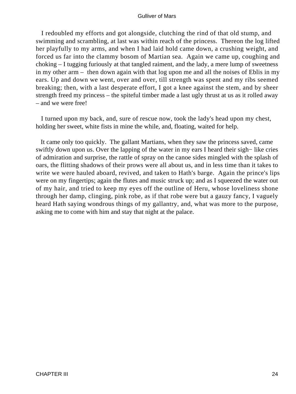I redoubled my efforts and got alongside, clutching the rind of that old stump, and swimming and scrambling, at last was within reach of the princess. Thereon the log lifted her playfully to my arms, and when I had laid hold came down, a crushing weight, and forced us far into the clammy bosom of Martian sea. Again we came up, coughing and choking – I tugging furiously at that tangled raiment, and the lady, a mere lump of sweetness in my other arm – then down again with that log upon me and all the noises of Eblis in my ears. Up and down we went, over and over, till strength was spent and my ribs seemed breaking; then, with a last desperate effort, I got a knee against the stem, and by sheer strength freed my princess – the spiteful timber made a last ugly thrust at us as it rolled away – and we were free!

 I turned upon my back, and, sure of rescue now, took the lady's head upon my chest, holding her sweet, white fists in mine the while, and, floating, waited for help.

 It came only too quickly. The gallant Martians, when they saw the princess saved, came swiftly down upon us. Over the lapping of the water in my ears I heard their sigh− like cries of admiration and surprise, the rattle of spray on the canoe sides mingled with the splash of oars, the flitting shadows of their prows were all about us, and in less time than it takes to write we were hauled aboard, revived, and taken to Hath's barge. Again the prince's lips were on my fingertips; again the flutes and music struck up; and as I squeezed the water out of my hair, and tried to keep my eyes off the outline of Heru, whose loveliness shone through her damp, clinging, pink robe, as if that robe were but a gauzy fancy, I vaguely heard Hath saying wondrous things of my gallantry, and, what was more to the purpose, asking me to come with him and stay that night at the palace.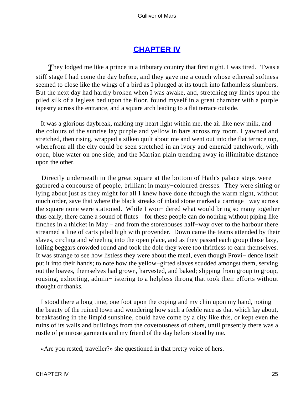# **[CHAPTER IV](#page-144-0)**

**They lodged me like a prince in a tributary country that first night. I was tired. Twas a** stiff stage I had come the day before, and they gave me a couch whose ethereal softness seemed to close like the wings of a bird as I plunged at its touch into fathomless slumbers. But the next day had hardly broken when I was awake, and, stretching my limbs upon the piled silk of a legless bed upon the floor, found myself in a great chamber with a purple tapestry across the entrance, and a square arch leading to a flat terrace outside.

 It was a glorious daybreak, making my heart light within me, the air like new milk, and the colours of the sunrise lay purple and yellow in bars across my room. I yawned and stretched, then rising, wrapped a silken quilt about me and went out into the flat terrace top, wherefrom all the city could be seen stretched in an ivory and emerald patchwork, with open, blue water on one side, and the Martian plain trending away in illimitable distance upon the other.

 Directly underneath in the great square at the bottom of Hath's palace steps were gathered a concourse of people, brilliant in many−coloured dresses. They were sitting or lying about just as they might for all I knew have done through the warm night, without much order, save that where the black streaks of inlaid stone marked a carriage− way across the square none were stationed. While I won− dered what would bring so many together thus early, there came a sound of flutes – for these people can do nothing without piping like finches in a thicket in May – and from the storehouses half−way over to the harbour there streamed a line of carts piled high with provender. Down came the teams attended by their slaves, circling and wheeling into the open place, and as they passed each group those lazy, lolling beggars crowded round and took the dole they were too thriftless to earn themselves. It was strange to see how listless they were about the meal, even though Provi− dence itself put it into their hands; to note how the yellow−girted slaves scudded amongst them, serving out the loaves, themselves had grown, harvested, and baked; slipping from group to group, rousing, exhorting, admin− istering to a helpless throng that took their efforts without thought or thanks.

 I stood there a long time, one foot upon the coping and my chin upon my hand, noting the beauty of the ruined town and wondering how such a feeble race as that which lay about, breakfasting in the limpid sunshine, could have come by a city like this, or kept even the ruins of its walls and buildings from the covetousness of others, until presently there was a rustle of primrose garments and my friend of the day before stood by me.

«Are you rested, traveller?» she questioned in that pretty voice of hers.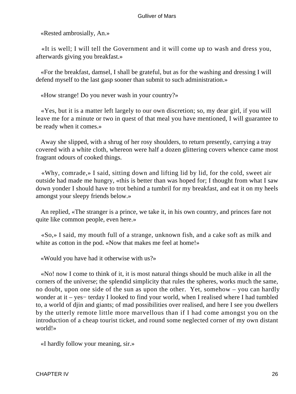«Rested ambrosially, An.»

 «It is well; I will tell the Government and it will come up to wash and dress you, afterwards giving you breakfast.»

 «For the breakfast, damsel, I shall be grateful, but as for the washing and dressing I will defend myself to the last gasp sooner than submit to such administration.»

«How strange! Do you never wash in your country?»

 «Yes, but it is a matter left largely to our own discretion; so, my dear girl, if you will leave me for a minute or two in quest of that meal you have mentioned, I will guarantee to be ready when it comes.»

 Away she slipped, with a shrug of her rosy shoulders, to return presently, carrying a tray covered with a white cloth, whereon were half a dozen glittering covers whence came most fragrant odours of cooked things.

 «Why, comrade,» I said, sitting down and lifting lid by lid, for the cold, sweet air outside had made me hungry, «this is better than was hoped for; I thought from what I saw down yonder I should have to trot behind a tumbril for my breakfast, and eat it on my heels amongst your sleepy friends below.»

 An replied, «The stranger is a prince, we take it, in his own country, and princes fare not quite like common people, even here.»

 «So,» I said, my mouth full of a strange, unknown fish, and a cake soft as milk and white as cotton in the pod. «Now that makes me feel at home!»

«Would you have had it otherwise with us?»

 «No! now I come to think of it, it is most natural things should be much alike in all the corners of the universe; the splendid simplicity that rules the spheres, works much the same, no doubt, upon one side of the sun as upon the other. Yet, somehow – you can hardly wonder at it – yes− terday I looked to find your world, when I realised where I had tumbled to, a world of djin and giants; of mad possibilities over realised, and here I see you dwellers by the utterly remote little more marvellous than if I had come amongst you on the introduction of a cheap tourist ticket, and round some neglected corner of my own distant world!»

«I hardly follow your meaning, sir.»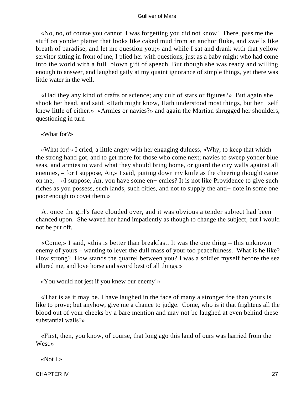«No, no, of course you cannot. I was forgetting you did not know! There, pass me the stuff on yonder platter that looks like caked mud from an anchor fluke, and swells like breath of paradise, and let me question you;» and while I sat and drank with that yellow servitor sitting in front of me, I plied her with questions, just as a baby might who had come into the world with a full−blown gift of speech. But though she was ready and willing enough to answer, and laughed gaily at my quaint ignorance of simple things, yet there was little water in the well.

 «Had they any kind of crafts or science; any cult of stars or figures?» But again she shook her head, and said, «Hath might know, Hath understood most things, but her− self knew little of either.» «Armies or navies?» and again the Martian shrugged her shoulders, questioning in turn –

«What for?»

 «What for!» I cried, a little angry with her engaging dulness, «Why, to keep that which the strong hand got, and to get more for those who come next; navies to sweep yonder blue seas, and armies to ward what they should bring home, or guard the city walls against all enemies, – for I suppose, An,» I said, putting down my knife as the cheering thought came on me, – «I suppose, An, you have some en− emies? It is not like Providence to give such riches as you possess, such lands, such cities, and not to supply the anti− dote in some one poor enough to covet them.»

 At once the girl's face clouded over, and it was obvious a tender subject had been chanced upon. She waved her hand impatiently as though to change the subject, but I would not be put off.

 «Come,» I said, «this is better than breakfast. It was the one thing – this unknown enemy of yours – wanting to lever the dull mass of your too peacefulness. What is he like? How strong? How stands the quarrel between you? I was a soldier myself before the sea allured me, and love horse and sword best of all things.»

«You would not jest if you knew our enemy!»

 «That is as it may be. I have laughed in the face of many a stronger foe than yours is like to prove; but anyhow, give me a chance to judge. Come, who is it that frightens all the blood out of your cheeks by a bare mention and may not be laughed at even behind these substantial walls?»

 «First, then, you know, of course, that long ago this land of ours was harried from the West.»

«Not I.»

CHAPTER IV 27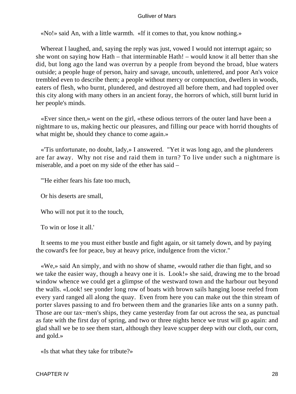«No!» said An, with a little warmth. «If it comes to that, you know nothing.»

 Whereat I laughed, and, saying the reply was just, vowed I would not interrupt again; so she wont on saying how Hath – that interminable Hath! – would know it all better than she did, but long ago the land was overrun by a people from beyond the broad, blue waters outside; a people huge of person, hairy and savage, uncouth, unlettered, and poor An's voice trembled even to describe them; a people without mercy or compunction, dwellers in woods, eaters of flesh, who burnt, plundered, and destroyed all before them, and had toppled over this city along with many others in an ancient foray, the horrors of which, still burnt lurid in her people's minds.

 «Ever since then,» went on the girl, «these odious terrors of the outer land have been a nightmare to us, making hectic our pleasures, and filling our peace with horrid thoughts of what might be, should they chance to come again.»

 «'Tis unfortunate, no doubt, lady,» I answered. "Yet it was long ago, and the plunderers are far away. Why not rise and raid them in turn? To live under such a nightmare is miserable, and a poet on my side of the ether has said –

"'He either fears his fate too much,

Or his deserts are small,

Who will not put it to the touch,

To win or lose it all.'

 It seems to me you must either bustle and fight again, or sit tamely down, and by paying the coward's fee for peace, buy at heavy price, indulgence from the victor."

 «We,» said An simply, and with no show of shame, «would rather die than fight, and so we take the easier way, though a heavy one it is. Look!» she said, drawing me to the broad window whence we could get a glimpse of the westward town and the harbour out beyond the walls. «Look! see yonder long row of boats with brown sails hanging loose reefed from every yard ranged all along the quay. Even from here you can make out the thin stream of porter slaves passing to and fro between them and the granaries like ants on a sunny path. Those are our tax−men's ships, they came yesterday from far out across the sea, as punctual as fate with the first day of spring, and two or three nights hence we trust will go again: and glad shall we be to see them start, although they leave scupper deep with our cloth, our corn, and gold.»

«Is that what they take for tribute?»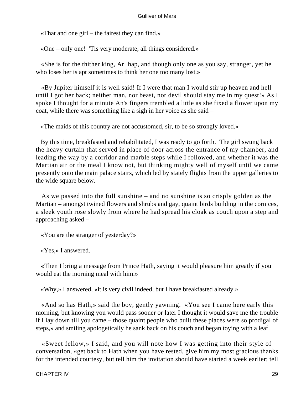«That and one girl – the fairest they can find.»

«One – only one! 'Tis very moderate, all things considered.»

 «She is for the thither king, Ar−hap, and though only one as you say, stranger, yet he who loses her is apt sometimes to think her one too many lost.»

 «By Jupiter himself it is well said! If I were that man I would stir up heaven and hell until I got her back; neither man, nor beast, nor devil should stay me in my quest!» As I spoke I thought for a minute An's fingers trembled a little as she fixed a flower upon my coat, while there was something like a sigh in her voice as she said –

«The maids of this country are not accustomed, sir, to be so strongly loved.»

 By this time, breakfasted and rehabilitated, I was ready to go forth. The girl swung back the heavy curtain that served in place of door across the entrance of my chamber, and leading the way by a corridor and marble steps while I followed, and whether it was the Martian air or the meal I know not, but thinking mighty well of myself until we came presently onto the main palace stairs, which led by stately flights from the upper galleries to the wide square below.

 As we passed into the full sunshine – and no sunshine is so crisply golden as the Martian – amongst twined flowers and shrubs and gay, quaint birds building in the cornices, a sleek youth rose slowly from where he had spread his cloak as couch upon a step and approaching asked –

«You are the stranger of yesterday?»

«Yes,» I answered.

 «Then I bring a message from Prince Hath, saying it would pleasure him greatly if you would eat the morning meal with him.»

«Why,» I answered, «it is very civil indeed, but I have breakfasted already.»

 «And so has Hath,» said the boy, gently yawning. «You see I came here early this morning, but knowing you would pass sooner or later I thought it would save me the trouble if I lay down till you came – those quaint people who built these places were so prodigal of steps,» and smiling apologetically he sank back on his couch and began toying with a leaf.

 «Sweet fellow,» I said, and you will note how I was getting into their style of conversation, «get back to Hath when you have rested, give him my most gracious thanks for the intended courtesy, but tell him the invitation should have started a week earlier; tell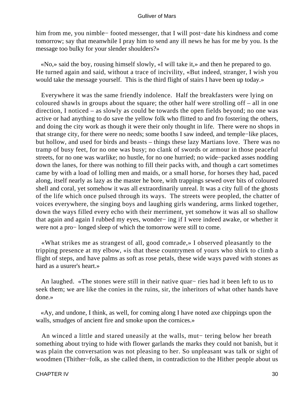him from me, you nimble− footed messenger, that I will post−date his kindness and come tomorrow; say that meanwhile I pray him to send any ill news he has for me by you. Is the message too bulky for your slender shoulders?»

 «No,» said the boy, rousing himself slowly, «I will take it,» and then he prepared to go. He turned again and said, without a trace of incivility, «But indeed, stranger, I wish you would take the message yourself. This is the third flight of stairs I have been up today.»

 Everywhere it was the same friendly indolence. Half the breakfasters were lying on coloured shawls in groups about the square; the other half were strolling off – all in one direction, I noticed – as slowly as could be towards the open fields beyond; no one was active or had anything to do save the yellow folk who flitted to and fro fostering the others, and doing the city work as though it were their only thought in life. There were no shops in that strange city, for there were no needs; some booths I saw indeed, and temple−like places, but hollow, and used for birds and beasts – things these lazy Martians love. There was no tramp of busy feet, for no one was busy; no clank of swords or armour in those peaceful streets, for no one was warlike; no hustle, for no one hurried; no wide−packed asses nodding down the lanes, for there was nothing to fill their packs with, and though a cart sometimes came by with a load of lolling men and maids, or a small horse, for horses they had, paced along, itself nearly as lazy as the master he bore, with trappings sewed over bits of coloured shell and coral, yet somehow it was all extraordinarily unreal. It was a city full of the ghosts of the life which once pulsed through its ways. The streets were peopled, the chatter of voices everywhere, the singing boys and laughing girls wandering, arms linked together, down the ways filled every echo with their merriment, yet somehow it was all so shallow that again and again I rubbed my eyes, wonder− ing if I were indeed awake, or whether it were not a pro− longed sleep of which the tomorrow were still to come.

 «What strikes me as strangest of all, good comrade,» I observed pleasantly to the tripping presence at my elbow, «is that these countrymen of yours who shirk to climb a flight of steps, and have palms as soft as rose petals, these wide ways paved with stones as hard as a usurer's heart.»

 An laughed. «The stones were still in their native quar− ries had it been left to us to seek them; we are like the conies in the ruins, sir, the inheritors of what other hands have done.»

 «Ay, and undone, I think, as well, for coming along I have noted axe chippings upon the walls, smudges of ancient fire and smoke upon the cornices.»

 An winced a little and stared uneasily at the walls, mut− tering below her breath something about trying to hide with flower garlands the marks they could not banish, but it was plain the conversation was not pleasing to her. So unpleasant was talk or sight of woodmen (Thither−folk, as she called them, in contradiction to the Hither people about us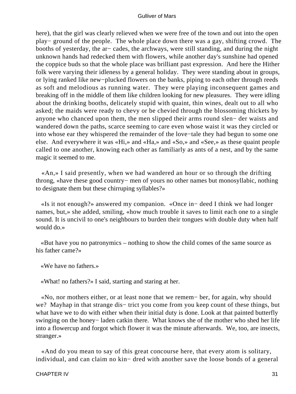here), that the girl was clearly relieved when we were free of the town and out into the open play− ground of the people. The whole place down there was a gay, shifting crowd. The booths of yesterday, the ar− cades, the archways, were still standing, and during the night unknown hands had redecked them with flowers, while another day's sunshine had opened the coppice buds so that the whole place was brilliant past expression. And here the Hither folk were varying their idleness by a general holiday. They were standing about in groups, or lying ranked like new−plucked flowers on the banks, piping to each other through reeds as soft and melodious as running water. They were playing inconsequent games and breaking off in the middle of them like children looking for new pleasures. They were idling about the drinking booths, delicately stupid with quaint, thin wines, dealt out to all who asked; the maids were ready to chevy or be chevied through the blossoming thickets by anyone who chanced upon them, the men slipped their arms round slen− der waists and wandered down the paths, scarce seeming to care even whose waist it was they circled or into whose ear they whispered the remainder of the love−tale they had begun to some one else. And everywhere it was «Hi,» and «Ha,» and «So,» and «See,» as these quaint people called to one another, knowing each other as familiarly as ants of a nest, and by the same magic it seemed to me.

 «An,» I said presently, when we had wandered an hour or so through the drifting throng, «have these good country− men of yours no other names but monosyllabic, nothing to designate them but these chirruping syllables?»

 «Is it not enough?» answered my companion. «Once in− deed I think we had longer names, but,» she added, smiling, «how much trouble it saves to limit each one to a single sound. It is uncivil to one's neighbours to burden their tongues with double duty when half would do.»

 «But have you no patronymics – nothing to show the child comes of the same source as his father came?»

«We have no fathers.»

«What! no fathers?» I said, starting and staring at her.

 «No, nor mothers either, or at least none that we remem− ber, for again, why should we? Mayhap in that strange dis− trict you come from you keep count of these things, but what have we to do with either when their initial duty is done. Look at that painted butterfly swinging on the honey− laden catkin there. What knows she of the mother who shed her life into a flowercup and forgot which flower it was the minute afterwards. We, too, are insects, stranger.»

 «And do you mean to say of this great concourse here, that every atom is solitary, individual, and can claim no kin− dred with another save the loose bonds of a general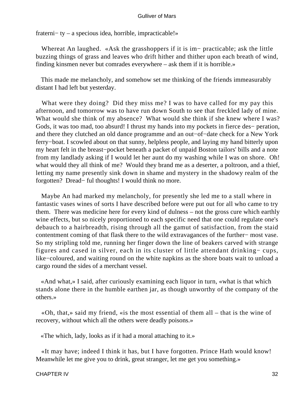fraterni− ty – a specious idea, horrible, impracticable!»

 Whereat An laughed. «Ask the grasshoppers if it is im− practicable; ask the little buzzing things of grass and leaves who drift hither and thither upon each breath of wind, finding kinsmen never but comrades everywhere – ask them if it is horrible.»

 This made me melancholy, and somehow set me thinking of the friends immeasurably distant I had left but yesterday.

What were they doing? Did they miss me? I was to have called for my pay this afternoon, and tomorrow was to have run down South to see that freckled lady of mine. What would she think of my absence? What would she think if she knew where I was? Gods, it was too mad, too absurd! I thrust my hands into my pockets in fierce des− peration, and there they clutched an old dance programme and an out−of−date check for a New York ferry−boat. I scowled about on that sunny, helpless people, and laying my hand bitterly upon my heart felt in the breast−pocket beneath a packet of unpaid Boston tailors' bills and a note from my landlady asking if I would let her aunt do my washing while I was on shore. Oh! what would they all think of me? Would they brand me as a deserter, a poltroon, and a thief, letting my name presently sink down in shame and mystery in the shadowy realm of the forgotten? Dread− ful thoughts! I would think no more.

 Maybe An had marked my melancholy, for presently she led me to a stall where in fantastic vases wines of sorts I have described before were put out for all who came to try them. There was medicine here for every kind of dulness – not the gross cure which earthly wine effects, but so nicely proportioned to each specific need that one could regulate one's debauch to a hairbreadth, rising through all the gamut of satisfaction, from the staid contentment coming of that flask there to the wild extravagances of the further− most vase. So my stripling told me, running her finger down the line of beakers carved with strange figures and cased in silver, each in its cluster of little attendant drinking− cups, like−coloured, and waiting round on the white napkins as the shore boats wait to unload a cargo round the sides of a merchant vessel.

 «And what,» I said, after curiously examining each liquor in turn, «what is that which stands alone there in the humble earthen jar, as though unworthy of the company of the others.»

 «Oh, that,» said my friend, «is the most essential of them all – that is the wine of recovery, without which all the others were deadly poisons.»

«The which, lady, looks as if it had a moral attaching to it.»

 «It may have; indeed I think it has, but I have forgotten. Prince Hath would know! Meanwhile let me give you to drink, great stranger, let me get you something.»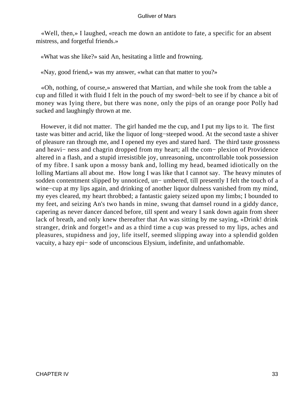«Well, then,» I laughed, «reach me down an antidote to fate, a specific for an absent mistress, and forgetful friends.»

«What was she like?» said An, hesitating a little and frowning.

«Nay, good friend,» was my answer, «what can that matter to you?»

 «Oh, nothing, of course,» answered that Martian, and while she took from the table a cup and filled it with fluid I felt in the pouch of my sword−belt to see if by chance a bit of money was Iying there, but there was none, only the pips of an orange poor Polly had sucked and laughingly thrown at me.

 However, it did not matter. The girl handed me the cup, and I put my lips to it. The first taste was bitter and acrid, like the liquor of long−steeped wood. At the second taste a shiver of pleasure ran through me, and I opened my eyes and stared hard. The third taste grossness and heavi− ness and chagrin dropped from my heart; all the com− plexion of Providence altered in a flash, and a stupid irresistible joy, unreasoning, uncontrollable took possession of my fibre. I sank upon a mossy bank and, lolling my head, beamed idiotically on the lolling Martians all about me. How long I was like that I cannot say. The heavy minutes of sodden contentment slipped by unnoticed, un− umbered, till presently I felt the touch of a wine−cup at my lips again, and drinking of another liquor dulness vanished from my mind, my eyes cleared, my heart throbbed; a fantastic gaiety seized upon my limbs; I bounded to my feet, and seizing An's two hands in mine, swung that damsel round in a giddy dance, capering as never dancer danced before, till spent and weary I sank down again from sheer lack of breath, and only knew thereafter that An was sitting by me saying, «Drink! drink stranger, drink and forget!» and as a third time a cup was pressed to my lips, aches and pleasures, stupidness and joy, life itself, seemed slipping away into a splendid golden vacuity, a hazy epi− sode of unconscious Elysium, indefinite, and unfathomable.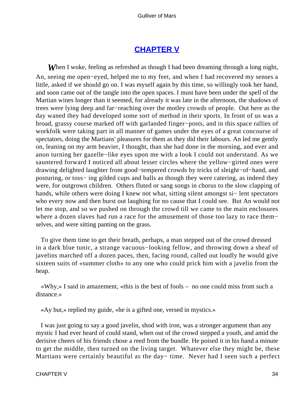# **[CHAPTER V](#page-144-0)**

**When** I woke, feeling as refreshed as though I had been dreaming through a long night, An, seeing me open−eyed, helped me to my feet, and when I had recovered my senses a little, asked if we should go on. I was myself again by this time, so willingly took her hand, and soon came out of the tangle into the open spaces. I must have been under the spell of the Martian wines longer than it seemed, for already it was late in the afternoon, the shadows of trees were lying deep and far−reaching over the motley crowds of people. Out here as the day waned they had developed some sort of method in their sports. In front of us was a broad, grassy course marked off with garlanded finger−posts, and in this space rallies of workfolk were taking part in all manner of games under the eyes of a great concourse of spectators, doing the Martians' pleasures for them as they did their labours. An led me gently on, leaning on my arm heavier, I thought, than she had done in the morning, and ever and anon turning her gazelle−like eyes upon me with a look I could not understand. As we sauntered forward I noticed all about lesser circles where the yellow−girted ones were drawing delighted laughter from good−tempered crowds by tricks of sleight−of−hand, and posturing, or toss− ing gilded cups and balls as though they were catering, as indeed they were, for outgrown children. Others fluted or sang songs in chorus to the slow clapping of hands, while others were doing I knew not what, sitting silent amongst si− lent spectators who every now and then burst out laughing for no cause that I could see. But An would not let me stop, and so we pushed on through the crowd till we came to the main enclosures where a dozen slaves had run a race for the amusement of those too lazy to race them− selves, and were sitting panting on the grass.

 To give them time to get their breath, perhaps, a man stepped out of the crowd dressed in a dark blue tunic, a strange vacuous−looking fellow, and throwing down a sheaf of javelins marched off a dozen paces, then, facing round, called out loudly he would give sixteen suits of «summer cloth» to any one who could prick him with a javelin from the heap.

 «Why,» I said in amazement, «this is the best of fools – no one could miss from such a distance.»

«Ay but,» replied my guide, «he is a gifted one, versed in mystics.»

 I was just going to say a good javelin, shod with iron, was a stronger argument than any mystic I had ever heard of could stand, when out of the crowd stepped a youth, and amid the derisive cheers of his friends chose a reed from the bundle. He poised it in his hand a minute to get the middle, then turned on the living target. Whatever else they might be, these Martians were certainly beautiful as the day− time. Never had I seen such a perfect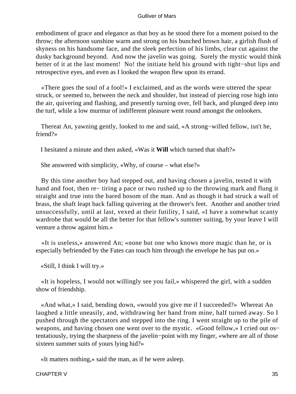embodiment of grace and elegance as that boy as he stood there for a moment poised to the throw; the afternoon sunshine warm and strong on his bunched brown hair, a girlish flush of shyness on his handsome face, and the sleek perfection of his limbs, clear cut against the dusky background beyond. And now the javelin was going. Surely the mystic would think better of it at the last moment! No! the initiate held his ground with tight−shut lips and retrospective eyes, and even as I looked the weapon flew upon its errand.

 «There goes the soul of a fool!» I exclaimed, and as the words were uttered the spear struck, or seemed to, between the neck and shoulder, but instead of piercing rose high into the air, quivering and flashing, and presently turning over, fell back, and plunged deep into the turf, while a low murmur of indifferent pleasure went round amongst the onlookers.

 Thereat An, yawning gently, looked to me and said, «A strong−willed fellow, isn't he, friend?»

I hesitated a minute and then asked, «Was it **Will** which turned that shaft?»

She answered with simplicity, «Why, of course – what else?»

 By this time another boy had stepped out, and having chosen a javelin, tested it with hand and foot, then re− tiring a pace or two rushed up to the throwing mark and flung it straight and true into the bared bosom of the man. And as though it had struck a wall of brass, the shaft leapt back falling quivering at the thrower's feet. Another and another tried unsuccessfully, until at last, vexed at their futility, I said, «I have a somewhat scanty wardrobe that would be all the better for that fellow's summer suiting, by your leave I will venture a throw against him.»

 «It is useless,» answered An; «none but one who knows more magic than he, or is especially befriended by the Fates can touch him through the envelope he has put on.»

«Still, I think I will try.»

 «It is hopeless, I would not willingly see you fail,» whispered the girl, with a sudden show of friendship.

 «And what,» I said, bending down, «would you give me if I succeeded?» Whereat An laughed a little uneasily, and, withdrawing her hand from mine, half turned away. So I pushed through the spectators and stepped into the ring. I went straight up to the pile of weapons, and having chosen one went over to the mystic. «Good fellow,» I cried out os– tentatiously, trying the sharpness of the javelin−point with my finger, «where are all of those sixteen summer suits of yours lying hid?»

«It matters nothing,» said the man, as if he were asleep.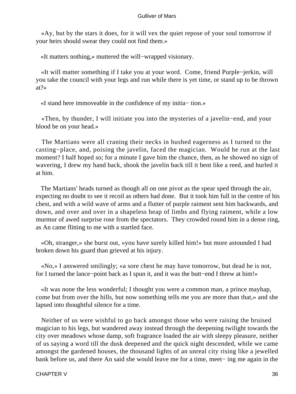«Ay, but by the stars it does, for it will vex the quiet repose of your soul tomorrow if your heirs should swear they could not find them.»

«It matters nothing,» muttered the will−wrapped visionary.

 «It will matter something if I take you at your word. Come, friend Purple−jerkin, will you take the council with your legs and run while there is yet time, or stand up to be thrown at?»

«I stand here immoveable in the confidence of my initia− tion.»

 «Then, by thunder, I will initiate you into the mysteries of a javelin−end, and your blood be on your head.»

 The Martians were all craning their necks in hushed eagerness as I turned to the casting−place, and, poising the javelin, faced the magician. Would he run at the last moment? I half hoped so; for a minute I gave him the chance, then, as he showed no sign of wavering, I drew my hand back, shook the javelin back till it bent like a reed, and hurled it at him.

 The Martians' heads turned as though all on one pivot as the spear sped through the air, expecting no doubt to see it recoil as others had done. But it took him full in the centre of his chest, and with a wild wave of arms and a flutter of purple raiment sent him backwards, and down, and over and over in a shapeless heap of limbs and flying raiment, while a low murmur of awed surprise rose from the spectators. They crowded round him in a dense ring, as An came flitting to me with a startled face.

 «Oh, stranger,» she burst out, «you have surely killed him!» but more astounded I had broken down his guard than grieved at his injury.

 «No,» I answered smilingly; «a sore chest he may have tomorrow, but dead he is not, for I turned the lance−point back as I spun it, and it was the butt−end I threw at him!»

 «It was none the less wonderful; I thought you were a common man, a prince mayhap, come but from over the hills, but now something tells me you are more than that,» and she lapsed into thoughtful silence for a time.

 Neither of us were wishful to go back amongst those who were raising the bruised magician to his legs, but wandered away instead through the deepening twilight towards the city over meadows whose damp, soft fragrance loaded the air with sleepy pleasure, neither of us saying a word till the dusk deepened and the quick night descended, while we came amongst the gardened houses, the thousand lights of an unreal city rising like a jewelled bank before us, and there An said she would leave me for a time, meet− ing me again in the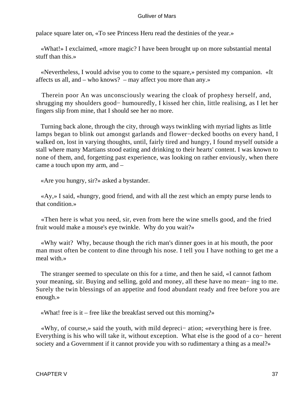palace square later on, «To see Princess Heru read the destinies of the year.»

 «What!» I exclaimed, «more magic? I have been brought up on more substantial mental stuff than this.»

 «Nevertheless, I would advise you to come to the square,» persisted my companion. «It affects us all, and – who knows? – may affect you more than any.»

 Therein poor An was unconsciously wearing the cloak of prophesy herself, and, shrugging my shoulders good− humouredly, I kissed her chin, little realising, as I let her fingers slip from mine, that I should see her no more.

 Turning back alone, through the city, through ways twinkling with myriad lights as little lamps began to blink out amongst garlands and flower−decked booths on every hand, I walked on, lost in varying thoughts, until, fairly tired and hungry, I found myself outside a stall where many Martians stood eating and drinking to their hearts' content. I was known to none of them, and, forgetting past experience, was looking on rather enviously, when there came a touch upon my arm, and –

«Are you hungry, sir?» asked a bystander.

 «Ay,» I said, «hungry, good friend, and with all the zest which an empty purse lends to that condition.»

 «Then here is what you need, sir, even from here the wine smells good, and the fried fruit would make a mouse's eye twinkle. Why do you wait?»

 «Why wait? Why, because though the rich man's dinner goes in at his mouth, the poor man must often be content to dine through his nose. I tell you I have nothing to get me a meal with.»

 The stranger seemed to speculate on this for a time, and then he said, «I cannot fathom your meaning, sir. Buying and selling, gold and money, all these have no mean− ing to me. Surely the twin blessings of an appetite and food abundant ready and free before you are enough.»

«What! free is it – free like the breakfast served out this morning?»

 «Why, of course,» said the youth, with mild depreci− ation; «everything here is free. Everything is his who will take it, without exception. What else is the good of a co− herent society and a Government if it cannot provide you with so rudimentary a thing as a meal?»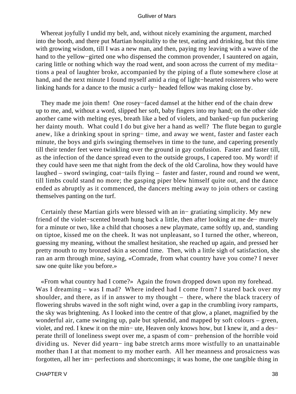Whereat joyfully I undid my belt, and, without nicely examining the argument, marched into the booth, and there put Martian hospitality to the test, eating and drinking, but this time with growing wisdom, till I was a new man, and then, paying my leaving with a wave of the hand to the yellow−girted one who dispensed the common provender, I sauntered on again, caring little or nothing which way the road went, and soon across the current of my medita− tions a peal of laughter broke, accompanied by the piping of a flute somewhere close at hand, and the next minute I found myself amid a ring of light−hearted roisterers who were linking hands for a dance to the music a curly− headed fellow was making close by.

 They made me join them! One rosey−faced damsel at the hither end of the chain drew up to me, and, without a word, slipped her soft, baby fingers into my hand; on the other side another came with melting eyes, breath like a bed of violets, and banked−up fun puckering her dainty mouth. What could I do but give her a hand as well? The flute began to gurgle anew, like a drinking spout in spring− time, and away we went, faster and faster each minute, the boys and girls swinging themselves in time to the tune, and capering presently till their tender feet were twinkling over the ground in gay confusion. Faster and faster till, as the infection of the dance spread even to the outside groups, I capered too. My word! if they could have seen me that night from the deck of the old Carolina, how they would have laughed – sword swinging, coat−tails flying – faster and faster, round and round we went, till limbs could stand no more; the gasping piper blew himself quite out, and the dance ended as abruptly as it commenced, the dancers melting away to join others or casting themselves panting on the turf.

 Certainly these Martian girls were blessed with an in− gratiating simplicity. My new friend of the violet−scented breath hung back a little, then after looking at me de− murely for a minute or two, like a child that chooses a new playmate, came softly up, and, standing on tiptoe, kissed me on the cheek. It was not unpleasant, so I turned the other, whereon, guessing my meaning, without the smallest hesitation, she reached up again, and pressed her pretty mouth to my bronzed skin a second time. Then, with a little sigh of satisfaction, she ran an arm through mine, saying, «Comrade, from what country have you come? I never saw one quite like you before.»

 «From what country had I come?» Again the frown dropped down upon my forehead. Was I dreaming – was I mad? Where indeed had I come from? I stared back over my shoulder, and there, as if in answer to my thought – there, where the black tracery of flowering shrubs waved in the soft night wind, over a gap in the crumbling ivory ramparts, the sky was brightening. As I looked into the centre of that glow, a planet, magnified by the wonderful air, came swinging up, pale but splendid, and mapped by soft colours – green, violet, and red. I knew it on the min− ute, Heaven only knows how, but I knew it, and a des− perate thrill of loneliness swept over me, a spasm of com− prehension of the horrible void dividing us. Never did yearn− ing babe stretch arms more wistfully to an unattainable mother than I at that moment to my mother earth. All her meanness and prosaicness was forgotten, all her im− perfections and shortcomings; it was home, the one tangible thing in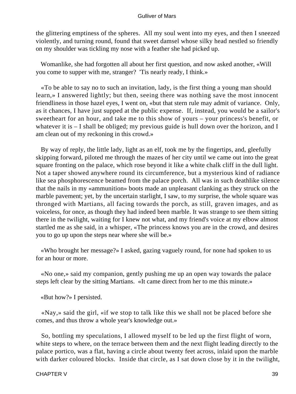the glittering emptiness of the spheres. All my soul went into my eyes, and then I sneezed violently, and turning round, found that sweet damsel whose silky head nestled so friendly on my shoulder was tickling my nose with a feather she had picked up.

 Womanlike, she had forgotten all about her first question, and now asked another, «Will you come to supper with me, stranger? 'Tis nearly ready, I think.»

 «To be able to say no to such an invitation, lady, is the first thing a young man should learn,» I answered lightly; but then, seeing there was nothing save the most innocent friendliness in those hazel eyes, I went on, «but that stern rule may admit of variance. Only, as it chances, I have just supped at the public expense. If, instead, you would be a sailor's sweetheart for an hour, and take me to this show of yours – your princess's benefit, or whatever it is  $-$  I shall be obliged; my previous guide is hull down over the horizon, and I am clean out of my reckoning in this crowd.»

 By way of reply, the little lady, light as an elf, took me by the fingertips, and, gleefully skipping forward, piloted me through the mazes of her city until we came out into the great square fronting on the palace, which rose beyond it like a white chalk cliff in the dull light. Not a taper showed anywhere round its circumference, but a mysterious kind of radiance like sea phosphorescence beamed from the palace porch. All was in such deathlike silence that the nails in my «ammunition» boots made an unpleasant clanking as they struck on the marble pavement; yet, by the uncertain starlight, I saw, to my surprise, the whole square was thronged with Martians, all facing towards the porch, as still, graven images, and as voiceless, for once, as though they had indeed been marble. It was strange to see them sitting there in the twilight, waiting for I knew not what, and my friend's voice at my elbow almost startled me as she said, in a whisper, «The princess knows you are in the crowd, and desires you to go up upon the steps near where she will be.»

 «Who brought her message?» I asked, gazing vaguely round, for none had spoken to us for an hour or more.

 «No one,» said my companion, gently pushing me up an open way towards the palace steps left clear by the sitting Martians. «It came direct from her to me this minute.»

«But how?» I persisted.

 «Nay,» said the girl, «if we stop to talk like this we shall not be placed before she comes, and thus throw a whole year's knowledge out.»

 So, bottling my speculations, I allowed myself to be led up the first flight of worn, white steps to where, on the terrace between them and the next flight leading directly to the palace portico, was a flat, having a circle about twenty feet across, inlaid upon the marble with darker coloured blocks. Inside that circle, as I sat down close by it in the twilight,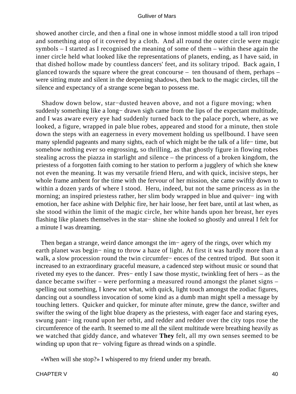showed another circle, and then a final one in whose inmost middle stood a tall iron tripod and something atop of it covered by a cloth. And all round the outer circle were magic symbols – I started as I recognised the meaning of some of them – within these again the inner circle held what looked like the representations of planets, ending, as I have said, in that dished hollow made by countless dancers' feet, and its solitary tripod. Back again, I glanced towards the square where the great concourse – ten thousand of them, perhaps – were sitting mute and silent in the deepening shadows, then back to the magic circles, till the silence and expectancy of a strange scene began to possess me.

 Shadow down below, star−dusted heaven above, and not a figure moving; when suddenly something like a long– drawn sigh came from the lips of the expectant multitude, and I was aware every eye had suddenly turned back to the palace porch, where, as we looked, a figure, wrapped in pale blue robes, appeared and stood for a minute, then stole down the steps with an eagerness in every movement holding us spellbound. I have seen many splendid pageants and many sights, each of which might be the talk of a life− time, but somehow nothing ever so engrossing, so thrilling, as that ghostly figure in flowing robes stealing across the piazza in starlight and silence – the princess of a broken kingdom, the priestess of a forgotten faith coming to her station to perform a jugglery of which she knew not even the meaning. It was my versatile friend Heru, and with quick, incisive steps, her whole frame ambent for the time with the fervour of her mission, she came swiftly down to within a dozen yards of where I stood. Heru, indeed, but not the same princess as in the morning; an inspired priestess rather, her slim body wrapped in blue and quiver− ing with emotion, her face ashine with Delphic fire, her hair loose, her feet bare, until at last when, as she stood within the limit of the magic circle, her white hands upon her breast, her eyes flashing like planets themselves in the star− shine she looked so ghostly and unreal I felt for a minute I was dreaming.

 Then began a strange, weird dance amongst the im− agery of the rings, over which my earth planet was begin− ning to throw a haze of light. At first it was hardly more than a walk, a slow procession round the twin circumfer− ences of the centred tripod. But soon it increased to an extraordinary graceful measure, a cadenced step without music or sound that riveted my eyes to the dancer. Pres− ently I saw those mystic, twinkling feet of hers – as the dance became swifter – were performing a measured round amongst the planet signs – spelling out something, I knew not what, with quick, light touch amongst the zodiac figures, dancing out a soundless invocation of some kind as a dumb man might spell a message by touching letters. Quicker and quicker, for minute after minute, grew the dance, swifter and swifter the swing of the light blue drapery as the priestess, with eager face and staring eyes, swung pant− ing round upon her orbit, and redder and redder over the city tops rose the circumference of the earth. It seemed to me all the silent multitude were breathing heavily as we watched that giddy dance, and whatever **They** felt, all my own senses seemed to be winding up upon that re− volving figure as thread winds on a spindle.

«When will she stop?» I whispered to my friend under my breath.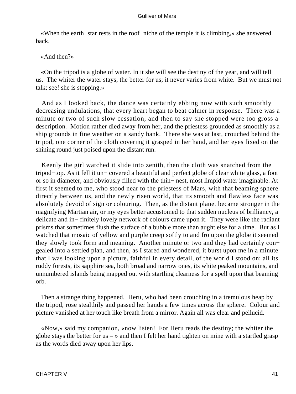«When the earth−star rests in the roof−niche of the temple it is climbing,» she answered back.

«And then?»

 «On the tripod is a globe of water. In it she will see the destiny of the year, and will tell us. The whiter the water stays, the better for us; it never varies from white. But we must not talk; see! she is stopping.»

 And as I looked back, the dance was certainly ebbing now with such smoothly decreasing undulations, that every heart began to beat calmer in response. There was a minute or two of such slow cessation, and then to say she stopped were too gross a description. Motion rather died away from her, and the priestess grounded as smoothly as a ship grounds in fine weather on a sandy bank. There she was at last, crouched behind the tripod, one corner of the cloth covering it grasped in her hand, and her eyes fixed on the shining round just poised upon the distant run.

 Keenly the girl watched it slide into zenith, then the cloth was snatched from the tripod−top. As it fell it un− covered a beautiful and perfect globe of clear white glass, a foot or so in diameter, and obviously filled with the thin− nest, most limpid water imaginable. At first it seemed to me, who stood near to the priestess of Mars, with that beaming sphere directly between us, and the newly risen world, that its smooth and flawless face was absolutely devoid of sign or colouring. Then, as the distant planet became stronger in the magnifying Martian air, or my eyes better accustomed to that sudden nucleus of brilliancy, a delicate and in− finitely lovely network of colours came upon it. They were like the radiant prisms that sometimes flush the surface of a bubble more than aught else for a time. But as I watched that mosaic of yellow and purple creep softly to and fro upon the globe it seemed they slowly took form and meaning. Another minute or two and they had certainly con− gealed into a settled plan, and then, as I stared and wondered, it burst upon me in a minute that I was looking upon a picture, faithful in every detail, of the world I stood on; all its ruddy forests, its sapphire sea, both broad and narrow ones, its white peaked mountains, and unnumbered islands being mapped out with startling clearness for a spell upon that beaming orb.

 Then a strange thing happened. Heru, who had been crouching in a tremulous heap by the tripod, rose stealthily and passed her hands a few times across the sphere. Colour and picture vanished at her touch like breath from a mirror. Again all was clear and pellucid.

 «Now,» said my companion, «now listen! For Heru reads the destiny; the whiter the globe stays the better for us  $-\infty$  and then I felt her hand tighten on mine with a startled grasp as the words died away upon her lips.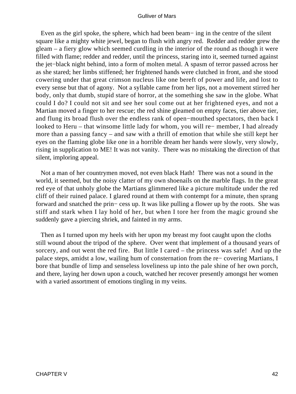Even as the girl spoke, the sphere, which had been beam− ing in the centre of the silent square like a mighty white jewel, began to flush with angry red. Redder and redder grew the gleam – a fiery glow which seemed curdling in the interior of the round as though it were filled with flame; redder and redder, until the princess, staring into it, seemed turned against the jet−black night behind, into a form of molten metal. A spasm of terror passed across her as she stared; her limbs stiffened; her frightened hands were clutched in front, and she stood cowering under that great crimson nucleus like one bereft of power and life, and lost to every sense but that of agony. Not a syllable came from her lips, not a movement stirred her body, only that dumb, stupid stare of horror, at the something she saw in the globe. What could I do? I could not sit and see her soul come out at her frightened eyes, and not a Martian moved a finger to her rescue; the red shine gleamed on empty faces, tier above tier, and flung its broad flush over the endless rank of open−mouthed spectators, then back I looked to Heru – that winsome little lady for whom, you will re− member, I had already more than a passing fancy – and saw with a thrill of emotion that while she still kept her eyes on the flaming globe like one in a horrible dream her hands were slowly, very slowly, rising in supplication to ME! It was not vanity. There was no mistaking the direction of that silent, imploring appeal.

 Not a man of her countrymen moved, not even black Hath! There was not a sound in the world, it seemed, but the noisy clatter of my own shoenails on the marble flags. In the great red eye of that unholy globe the Martians glimmered like a picture multitude under the red cliff of their ruined palace. I glared round at them with contempt for a minute, then sprang forward and snatched the prin− cess up. It was like pulling a flower up by the roots. She was stiff and stark when I lay hold of her, but when I tore her from the magic ground she suddenly gave a piercing shriek, and fainted in my arms.

 Then as I turned upon my heels with her upon my breast my foot caught upon the cloths still wound about the tripod of the sphere. Over went that implement of a thousand years of sorcery, and out went the red fire. But little I cared – the princess was safe! And up the palace steps, amidst a low, wailing hum of consternation from the re− covering Martians, I bore that bundle of limp and senseless loveliness up into the pale shine of her own porch, and there, laying her down upon a couch, watched her recover presently amongst her women with a varied assortment of emotions tingling in my veins.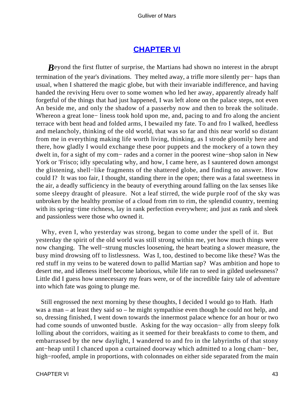## **[CHAPTER VI](#page-144-0)**

*Beyond the first flutter of surprise, the Martians had shown no interest in the abrupt* termination of the year's divinations. They melted away, a trifle more silently per− haps than usual, when I shattered the magic globe, but with their invariable indifference, and having handed the reviving Heru over to some women who led her away, apparently already half forgetful of the things that had just happened, I was left alone on the palace steps, not even An beside me, and only the shadow of a passerby now and then to break the solitude. Whereon a great lone− liness took hold upon me, and, pacing to and fro along the ancient terrace with bent head and folded arms, I bewailed my fate. To and fro I walked, heedless and melancholy, thinking of the old world, that was so far and this near world so distant from me in everything making life worth living, thinking, as I strode gloomily here and there, how gladly I would exchange these poor puppets and the mockery of a town they dwelt in, for a sight of my com− rades and a corner in the poorest wine−shop salon in New York or 'Frisco; idly speculating why, and how, I came here, as I sauntered down amongst the glistening, shell−like fragments of the shattered globe, and finding no answer. How could I? It was too fair, I thought, standing there in the open; there was a fatal sweetness in the air, a deadly sufficiency in the beauty of everything around falling on the lax senses like some sleepy draught of pleasure. Not a leaf stirred, the wide purple roof of the sky was unbroken by the healthy promise of a cloud from rim to rim, the splendid country, teeming with its spring–time richness, lay in rank perfection everywhere; and just as rank and sleek and passionless were those who owned it.

 Why, even I, who yesterday was strong, began to come under the spell of it. But yesterday the spirit of the old world was still strong within me, yet how much things were now changing. The well−strung muscles loosening, the heart beating a slower measure, the busy mind drowsing off to listlessness. Was I, too, destined to become like these? Was the red stuff in my veins to be watered down to pallid Martian sap? Was ambition and hope to desert me, and idleness itself become laborious, while life ran to seed in gilded uselessness? Little did I guess how unnecessary my fears were, or of the incredible fairy tale of adventure into which fate was going to plunge me.

 Still engrossed the next morning by these thoughts, I decided I would go to Hath. Hath was a man – at least they said so – he might sympathise even though he could not help, and so, dressing finished, I went down towards the innermost palace whence for an hour or two had come sounds of unwonted bustle. Asking for the way occasion− ally from sleepy folk lolling about the corridors, waiting as it seemed for their breakfasts to come to them, and embarrassed by the new daylight, I wandered to and fro in the labyrinths of that stony ant−heap until I chanced upon a curtained doorway which admitted to a long cham− ber, high−roofed, ample in proportions, with colonnades on either side separated from the main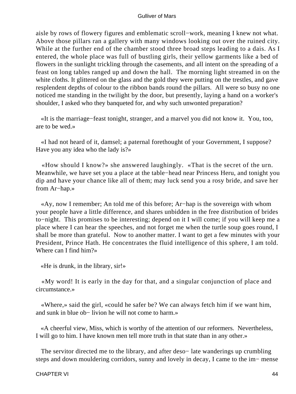aisle by rows of flowery figures and emblematic scroll−work, meaning I knew not what. Above those pillars ran a gallery with many windows looking out over the ruined city. While at the further end of the chamber stood three broad steps leading to a dais. As I entered, the whole place was full of bustling girls, their yellow garments like a bed of flowers in the sunlight trickling through the casements, and all intent on the spreading of a feast on long tables ranged up and down the hall. The morning light streamed in on the white cloths. It glittered on the glass and the gold they were putting on the trestles, and gave resplendent depths of colour to the ribbon bands round the pillars. All were so busy no one noticed me standing in the twilight by the door, but presently, laying a hand on a worker's shoulder, I asked who they banqueted for, and why such unwonted preparation?

 «It is the marriage−feast tonight, stranger, and a marvel you did not know it. You, too, are to be wed.»

 «I had not heard of it, damsel; a paternal forethought of your Government, I suppose? Have you any idea who the lady is?»

 «How should I know?» she answered laughingly. «That is the secret of the urn. Meanwhile, we have set you a place at the table−head near Princess Heru, and tonight you dip and have your chance like all of them; may luck send you a rosy bride, and save her from Ar−hap.»

 «Ay, now I remember; An told me of this before; Ar−hap is the sovereign with whom your people have a little difference, and shares unbidden in the free distribution of brides to−night. This promises to be interesting; depend on it I will come; if you will keep me a place where I can hear the speeches, and not forget me when the turtle soup goes round, I shall be more than grateful. Now to another matter. I want to get a few minutes with your President, Prince Hath. He concentrates the fluid intelligence of this sphere, I am told. Where can I find him?»

«He is drunk, in the library, sir!»

 «My word! It is early in the day for that, and a singular conjunction of place and circumstance.»

 «Where,» said the girl, «could he safer be? We can always fetch him if we want him, and sunk in blue ob− livion he will not come to harm.»

 «A cheerful view, Miss, which is worthy of the attention of our reformers. Nevertheless, I will go to him. I have known men tell more truth in that state than in any other.»

 The servitor directed me to the library, and after deso− late wanderings up crumbling steps and down mouldering corridors, sunny and lovely in decay, I came to the im− mense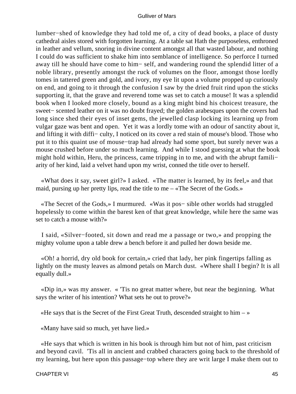lumber−shed of knowledge they had told me of, a city of dead books, a place of dusty cathedral aisles stored with forgotten learning. At a table sat Hath the purposeless, enthroned in leather and vellum, snoring in divine content amongst all that wasted labour, and nothing I could do was sufficient to shake him into semblance of intelligence. So perforce I turned away till he should have come to him− self, and wandering round the splendid litter of a noble library, presently amongst the ruck of volumes on the floor, amongst those lordly tomes in tattered green and gold, and ivory, my eye lit upon a volume propped up curiously on end, and going to it through the confusion I saw by the dried fruit rind upon the sticks supporting it, that the grave and reverend tome was set to catch a mouse! It was a splendid book when I looked more closely, bound as a king might bind his choicest treasure, the sweet− scented leather on it was no doubt frayed; the golden arabesques upon the covers had long since shed their eyes of inset gems, the jewelled clasp locking its learning up from vulgar gaze was bent and open. Yet it was a lordly tome with an odour of sanctity about it, and lifting it with diffi− culty, I noticed on its cover a red stain of mouse's blood. Those who put it to this quaint use of mouse−trap had already had some sport, but surely never was a mouse crushed before under so much learning. And while I stood guessing at what the book might hold within, Heru, the princess, came tripping in to me, and with the abrupt famili− arity of her kind, laid a velvet hand upon my wrist, conned the title over to herself.

 «What does it say, sweet girl?» I asked. «The matter is learned, by its feel,» and that maid, pursing up her pretty lips, read the title to me – «The Secret of the Gods.»

 «The Secret of the Gods,» I murmured. «Was it pos− sible other worlds had struggled hopelessly to come within the barest ken of that great knowledge, while here the same was set to catch a mouse with?»

 I said, «Silver−footed, sit down and read me a passage or two,» and propping the mighty volume upon a table drew a bench before it and pulled her down beside me.

 «Oh! a horrid, dry old book for certain,» cried that lady, her pink fingertips falling as lightly on the musty leaves as almond petals on March dust. «Where shall I begin? It is all equally dull.»

 «Dip in,» was my answer. « 'Tis no great matter where, but near the beginning. What says the writer of his intention? What sets he out to prove?»

«He says that is the Secret of the First Great Truth, descended straight to him  $-\infty$ 

«Many have said so much, yet have lied.»

 «He says that which is written in his book is through him but not of him, past criticism and beyond cavil. 'Tis all in ancient and crabbed characters going back to the threshold of my learning, but here upon this passage−top where they are writ large I make them out to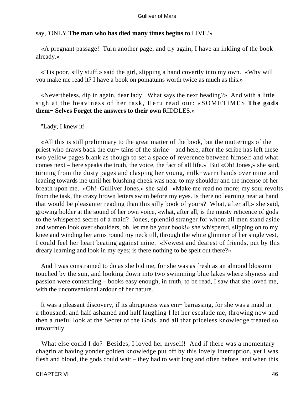## say, 'ONLY **The man who has died many times begins to** LIVE.'»

 «A pregnant passage! Turn another page, and try again; I have an inkling of the book already.»

 «'Tis poor, silly stuff,» said the girl, slipping a hand covertly into my own. «Why will you make me read it? I have a book on pomatums worth twice as much as this.»

 «Nevertheless, dip in again, dear lady. What says the next heading?» And with a little sigh at the heaviness of her task, Heru read out: «SOMETIMES **The gods them− Selves Forget the answers to their own** RIDDLES.»

## "Lady, I knew it!

 «All this is still preliminary to the great matter of the book, but the mutterings of the priest who draws back the cur− tains of the shrine – and here, after the scribe has left these two yellow pages blank as though to set a space of reverence between himself and what comes next – here speaks the truth, the voice, the fact of all life.» But «Oh! Jones,» she said, turning from the dusty pages and clasping her young, milk−warm hands over mine and leaning towards me until her blushing cheek was near to my shoulder and the incense of her breath upon me. «Oh! Gulliver Jones,» she said. «Make me read no more; my soul revolts from the task, the crazy brown letters swim before my eyes. Is there no learning near at hand that would be pleasanter reading than this silly book of yours? What, after all,» she said, growing bolder at the sound of her own voice, «what, after all, is the musty reticence of gods to the whispered secret of a maid? Jones, splendid stranger for whom all men stand aside and women look over shoulders, oh, let me be your book!» she whispered, slipping on to my knee and winding her arms round my neck till, through the white glimmer of her single vest, I could feel her heart beating against mine. «Newest and dearest of friends, put by this dreary learning and look in my eyes; is there nothing to be spelt out there?»

 And I was constrained to do as she bid me, for she was as fresh as an almond blossom touched by the sun, and looking down into two swimming blue lakes where shyness and passion were contending – books easy enough, in truth, to be read, I saw that she loved me, with the unconventional ardour of her nature.

 It was a pleasant discovery, if its abruptness was em− barrassing, for she was a maid in a thousand; and half ashamed and half laughing I let her escalade me, throwing now and then a rueful look at the Secret of the Gods, and all that priceless knowledge treated so unworthily.

 What else could I do? Besides, I loved her myself! And if there was a momentary chagrin at having yonder golden knowledge put off by this lovely interruption, yet I was flesh and blood, the gods could wait – they had to wait long and often before, and when this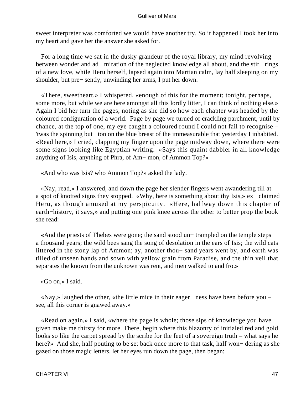sweet interpreter was comforted we would have another try. So it happened I took her into my heart and gave her the answer she asked for.

 For a long time we sat in the dusky grandeur of the royal library, my mind revolving between wonder and ad− miration of the neglected knowledge all about, and the stir− rings of a new love, while Heru herself, lapsed again into Martian calm, lay half sleeping on my shoulder, but pre− sently, unwinding her arms, I put her down.

 «There, sweetheart,» I whispered, «enough of this for the moment; tonight, perhaps, some more, but while we are here amongst all this lordly litter, I can think of nothing else.» Again I bid her turn the pages, noting as she did so how each chapter was headed by the coloured configuration of a world. Page by page we turned of crackling parchment, until by chance, at the top of one, my eye caught a coloured round I could not fail to recognise – 'twas the spinning but− ton on the blue breast of the immeasurable that yesterday I inhabited. «Read here,» I cried, clapping my finger upon the page midway down, where there were some signs looking like Egyptian writing. «Says this quaint dabbler in all knowledge anything of Isis, anything of Phra, of Am− mon, of Ammon Top?»

«And who was Isis? who Ammon Top?» asked the lady.

 «Nay, read,» I answered, and down the page her slender fingers went awandering till at a spot of knotted signs they stopped. «Why, here is something about thy Isis,» ex− claimed Heru, as though amused at my perspicuity. «Here, halfway down this chapter of earth−history, it says,» and putting one pink knee across the other to better prop the book she read:

 «And the priests of Thebes were gone; the sand stood un− trampled on the temple steps a thousand years; the wild bees sang the song of desolation in the ears of Isis; the wild cats littered in the stony lap of Ammon; ay, another thou− sand years went by, and earth was tilled of unseen hands and sown with yellow grain from Paradise, and the thin veil that separates the known from the unknown was rent, and men walked to and fro.»

«Go on,» I said.

 «Nay,» laughed the other, «the little mice in their eager− ness have been before you – see, all this corner is gnawed away.»

 «Read on again,» I said, «where the page is whole; those sips of knowledge you have given make me thirsty for more. There, begin where this blazonry of initialed red and gold looks so like the carpet spread by the scribe for the feet of a sovereign truth – what says he here?» And she, half pouting to be set back once more to that task, half won− dering as she gazed on those magic letters, let her eyes run down the page, then began: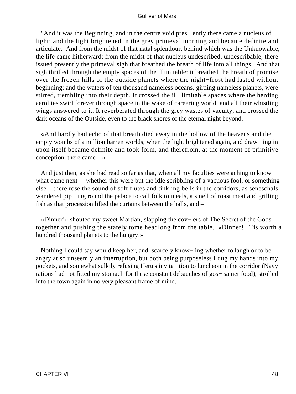"And it was the Beginning, and in the centre void pres− ently there came a nucleus of light: and the light brightened in the grey primeval morning and became definite and articulate. And from the midst of that natal splendour, behind which was the Unknowable, the life came hitherward; from the midst of that nucleus undescribed, undescribable, there issued presently the primeval sigh that breathed the breath of life into all things. And that sigh thrilled through the empty spaces of the illimitable: it breathed the breath of promise over the frozen hills of the outside planets where the night−frost had lasted without beginning: and the waters of ten thousand nameless oceans, girding nameless planets, were stirred, trembling into their depth. It crossed the il− limitable spaces where the herding aerolites swirl forever through space in the wake of careering world, and all their whistling wings answered to it. It reverberated through the grey wastes of vacuity, and crossed the dark oceans of the Outside, even to the black shores of the eternal night beyond.

 «And hardly had echo of that breath died away in the hollow of the heavens and the empty wombs of a million barren worlds, when the light brightened again, and draw− ing in upon itself became definite and took form, and therefrom, at the moment of primitive conception, there came  $-\infty$ 

 And just then, as she had read so far as that, when all my faculties were aching to know what came next – whether this were but the idle scribbling of a vacuous fool, or something else – there rose the sound of soft flutes and tinkling bells in the corridors, as seneschals wandered pip− ing round the palace to call folk to meals, a smell of roast meat and grilling fish as that procession lifted the curtains between the halls, and –

 «Dinner!» shouted my sweet Martian, slapping the cov− ers of The Secret of the Gods together and pushing the stately tome headlong from the table. «Dinner! 'Tis worth a hundred thousand planets to the hungry!»

 Nothing I could say would keep her, and, scarcely know− ing whether to laugh or to be angry at so unseemly an interruption, but both being purposeless I dug my hands into my pockets, and somewhat sulkily refusing Heru's invita− tion to luncheon in the corridor (Navy rations had not fitted my stomach for these constant debauches of gos− samer food), strolled into the town again in no very pleasant frame of mind.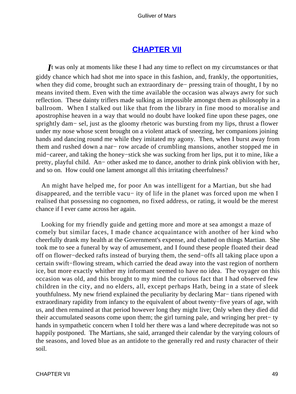## **[CHAPTER VII](#page-144-0)**

*I*t was only at moments like these I had any time to reflect on my circumstances or that giddy chance which had shot me into space in this fashion, and, frankly, the opportunities, when they did come, brought such an extraordinary de− pressing train of thought, I by no means invited them. Even with the time available the occasion was always awry for such reflection. These dainty triflers made sulking as impossible amongst them as philosophy in a ballroom. When I stalked out like that from the library in fine mood to moralise and apostrophise heaven in a way that would no doubt have looked fine upon these pages, one sprightly dam− sel, just as the gloomy rhetoric was bursting from my lips, thrust a flower under my nose whose scent brought on a violent attack of sneezing, her companions joining hands and dancing round me while they imitated my agony. Then, when I burst away from them and rushed down a nar− row arcade of crumbling mansions, another stopped me in mid−career, and taking the honey−stick she was sucking from her lips, put it to mine, like a pretty, playful child. An− other asked me to dance, another to drink pink oblivion with her, and so on. How could one lament amongst all this irritating cheerfulness?

 An might have helped me, for poor An was intelligent for a Martian, but she had disappeared, and the terrible vacu− ity of life in the planet was forced upon me when I realised that possessing no cognomen, no fixed address, or rating, it would be the merest chance if I ever came across her again.

 Looking for my friendly guide and getting more and more at sea amongst a maze of comely but similar faces, I made chance acquaintance with another of her kind who cheerfully drank my health at the Government's expense, and chatted on things Martian. She took me to see a funeral by way of amusement, and I found these people floated their dead off on flower−decked rafts instead of burying them, the send−offs all taking place upon a certain swift−flowing stream, which carried the dead away into the vast region of northern ice, but more exactly whither my informant seemed to have no idea. The voyager on this occasion was old, and this brought to my mind the curious fact that I had observed few children in the city, and no elders, all, except perhaps Hath, being in a state of sleek youthfulness. My new friend explained the peculiarity by declaring Mar− tians ripened with extraordinary rapidity from infancy to the equivalent of about twenty−five years of age, with us, and then remained at that period however long they might live; Only when they died did their accumulated seasons come upon them; the girl turning pale, and wringing her pret− ty hands in sympathetic concern when I told her there was a land where decrepitude was not so happily postponed. The Martians, she said, arranged their calendar by the varying colours of the seasons, and loved blue as an antidote to the generally red and rusty character of their soil.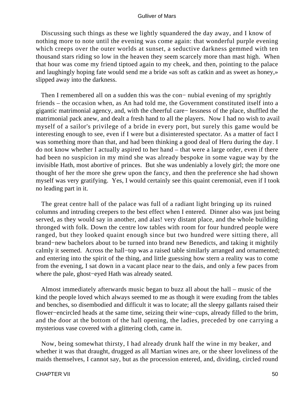Discussing such things as these we lightly squandered the day away, and I know of nothing more to note until the evening was come again: that wonderful purple evening which creeps over the outer worlds at sunset, a seductive darkness gemmed with ten thousand stars riding so low in the heaven they seem scarcely more than mast high. When that hour was come my friend tiptoed again to my cheek, and then, pointing to the palace and laughingly hoping fate would send me a bride «as soft as catkin and as sweet as honey,» slipped away into the darkness.

Then I remembered all on a sudden this was the con– nubial evening of my sprightly friends – the occasion when, as An had told me, the Government constituted itself into a gigantic matrimonial agency, and, with the cheerful care− lessness of the place, shuffled the matrimonial pack anew, and dealt a fresh hand to all the players. Now I had no wish to avail myself of a sailor's privilege of a bride in every port, but surely this game would be interesting enough to see, even if I were but a disinterested spectator. As a matter of fact I was something more than that, and had been thinking a good deal of Heru during the day. I do not know whether I actually aspired to her hand – that were a large order, even if there had been no suspicion in my mind she was already bespoke in some vague way by the invisible Hath, most abortive of princes. But she was undeniably a lovely girl; the more one thought of her the more she grew upon the fancy, and then the preference she had shown myself was very gratifying. Yes, I would certainly see this quaint ceremonial, even if I took no leading part in it.

 The great centre hall of the palace was full of a radiant light bringing up its ruined columns and intruding creepers to the best effect when I entered. Dinner also was just being served, as they would say in another, and alas! very distant place, and the whole building thronged with folk. Down the centre low tables with room for four hundred people were ranged, but they looked quaint enough since but two hundred were sitting there, all brand−new bachelors about to be turned into brand new Benedicts, and taking it mightily calmly it seemed. Across the hall−top was a raised table similarly arranged and ornamented; and entering into the spirit of the thing, and little guessing how stern a reality was to come from the evening, I sat down in a vacant place near to the dais, and only a few paces from where the pale, ghost−eyed Hath was already seated.

 Almost immediately afterwards music began to buzz all about the hall – music of the kind the people loved which always seemed to me as though it were exuding from the tables and benches, so disembodied and difficult it was to locate; all the sleepy gallants raised their flower−encircled heads at the same time, seizing their wine−cups, already filled to the brim, and the door at the bottom of the hall opening, the ladies, preceded by one carrying a mysterious vase covered with a glittering cloth, came in.

 Now, being somewhat thirsty, I had already drunk half the wine in my beaker, and whether it was that draught, drugged as all Martian wines are, or the sheer loveliness of the maids themselves, I cannot say, but as the procession entered, and, dividing, circled round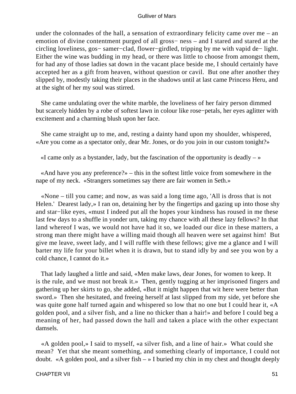under the colonnades of the hall, a sensation of extraordinary felicity came over me – an emotion of divine contentment purged of all gross− ness – and I stared and stared at the circling loveliness, gos− samer−clad, flower−girdled, tripping by me with vapid de− light. Either the wine was budding in my head, or there was little to choose from amongst them, for had any of those ladies sat down in the vacant place beside me, I should certainly have accepted her as a gift from heaven, without question or cavil. But one after another they slipped by, modestly taking their places in the shadows until at last came Princess Heru, and at the sight of her my soul was stirred.

 She came undulating over the white marble, the loveliness of her fairy person dimmed but scarcely hidden by a robe of softest lawn in colour like rose−petals, her eyes aglitter with excitement and a charming blush upon her face.

 She came straight up to me, and, resting a dainty hand upon my shoulder, whispered, «Are you come as a spectator only, dear Mr. Jones, or do you join in our custom tonight?»

«I came only as a bystander, lady, but the fascination of the opportunity is deadly  $-\infty$ 

 «And have you any preference?» – this in the softest little voice from somewhere in the nape of my neck. «Strangers sometimes say there are fair women in Seth.»

 «None – till you came; and now, as was said a long time ago, 'All is dross that is not Helen.' Dearest lady,» I ran on, detaining her by the fingertips and gazing up into those shy and star−like eyes, «must I indeed put all the hopes your kindness has roused in me these last few days to a shuffle in yonder urn, taking my chance with all these lazy fellows? In that land whereof I was, we would not have had it so, we loaded our dice in these matters, a strong man there might have a willing maid though all heaven were set against him! But give me leave, sweet lady, and I will ruffle with these fellows; give me a glance and I will barter my life for your billet when it is drawn, but to stand idly by and see you won by a cold chance, I cannot do it.»

 That lady laughed a little and said, «Men make laws, dear Jones, for women to keep. It is the rule, and we must not break it.» Then, gently tugging at her imprisoned fingers and gathering up her skirts to go, she added, «But it might happen that wit here were better than sword.» Then she hesitated, and freeing herself at last slipped from my side, yet before she was quite gone half turned again and whispered so low that no one but I could hear it, «A golden pool, and a silver fish, and a line no thicker than a hair!» and before I could beg a meaning of her, had passed down the hall and taken a place with the other expectant damsels.

 «A golden pool,» I said to myself, «a silver fish, and a line of hair.» What could she mean? Yet that she meant something, and something clearly of importance, I could not doubt. «A golden pool, and a silver fish  $-$  » I buried my chin in my chest and thought deeply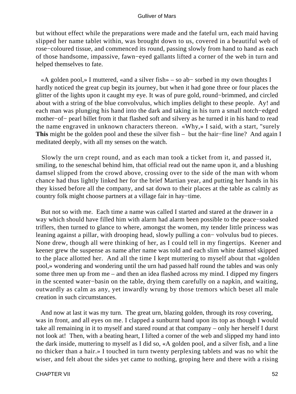but without effect while the preparations were made and the fateful urn, each maid having slipped her name tablet within, was brought down to us, covered in a beautiful web of rose−coloured tissue, and commenced its round, passing slowly from hand to hand as each of those handsome, impassive, fawn−eyed gallants lifted a corner of the web in turn and helped themselves to fate.

 «A golden pool,» I muttered, «and a silver fish» – so ab− sorbed in my own thoughts I hardly noticed the great cup begin its journey, but when it had gone three or four places the glitter of the lights upon it caught my eye. It was of pure gold, round−brimmed, and circled about with a string of the blue convolvulus, which implies delight to these people. Ay! and each man was plunging his hand into the dark and taking in his turn a small notch−edged mother−of− pearl billet from it that flashed soft and silvery as he turned it in his hand to read the name engraved in unknown characters thereon. «Why,» I said, with a start, "surely **This** might be the golden pool and these the silver fish – but the hair−fine line? And again I meditated deeply, with all my senses on the watch.

 Slowly the urn crept round, and as each man took a ticket from it, and passed it, smiling, to the seneschal behind him, that official read out the name upon it, and a blushing damsel slipped from the crowd above, crossing over to the side of the man with whom chance had thus lightly linked her for the brief Martian year, and putting her hands in his they kissed before all the company, and sat down to their places at the table as calmly as country folk might choose partners at a village fair in hay−time.

 But not so with me. Each time a name was called I started and stared at the drawer in a way which should have filled him with alarm had alarm been possible to the peace−soaked triflers, then turned to glance to where, amongst the women, my tender little princess was leaning against a pillar, with drooping head, slowly pulling a con− volvulus bud to pieces. None drew, though all were thinking of her, as I could tell in my fingertips. Keener and keener grew the suspense as name after name was told and each slim white damsel skipped to the place allotted her. And all the time I kept muttering to myself about that «golden pool,» wondering and wondering until the urn had passed half round the tables and was only some three men up from me – and then an idea flashed across my mind. I dipped my fingers in the scented water−basin on the table, drying them carefully on a napkin, and waiting, outwardly as calm as any, yet inwardly wrung by those tremors which beset all male creation in such circumstances.

 And now at last it was my turn. The great urn, blazing golden, through its rosy covering, was in front, and all eyes on me. I clapped a sunburnt hand upon its top as though I would take all remaining in it to myself and stared round at that company – only her herself I durst not look at! Then, with a beating heart, I lifted a corner of the web and slipped my hand into the dark inside, muttering to myself as I did so, «A golden pool, and a silver fish, and a line no thicker than a hair.» I touched in turn twenty perplexing tablets and was no whit the wiser, and felt about the sides yet came to nothing, groping here and there with a rising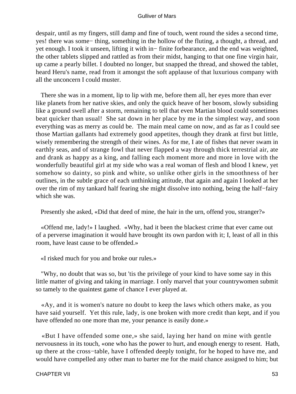despair, until as my fingers, still damp and fine of touch, went round the sides a second time, yes! there was some− thing, something in the hollow of the fluting, a thought, a thread, and yet enough. I took it unseen, lifting it with in− finite forbearance, and the end was weighted, the other tablets slipped and rattled as from their midst, hanging to that one fine virgin hair, up came a pearly billet. I doubted no longer, but snapped the thread, and showed the tablet, heard Heru's name, read from it amongst the soft applause of that luxurious company with all the unconcern I could muster.

 There she was in a moment, lip to lip with me, before them all, her eyes more than ever like planets from her native skies, and only the quick heave of her bosom, slowly subsiding like a ground swell after a storm, remaining to tell that even Martian blood could sometimes beat quicker than usual! She sat down in her place by me in the simplest way, and soon everything was as merry as could be. The main meal came on now, and as far as I could see those Martian gallants had extremely good appetites, though they drank at first but little, wisely remembering the strength of their wines. As for me, I ate of fishes that never swam in earthly seas, and of strange fowl that never flapped a way through thick terrestrial air, ate and drank as happy as a king, and falling each moment more and more in love with the wonderfully beautiful girl at my side who was a real woman of flesh and blood I knew, yet somehow so dainty, so pink and white, so unlike other girls in the smoothness of her outlines, in the subtle grace of each unthinking attitude, that again and again I looked at her over the rim of my tankard half fearing she might dissolve into nothing, being the half−fairy which she was.

Presently she asked, «Did that deed of mine, the hair in the urn, offend you, stranger?»

 «Offend me, lady!» I laughed. «Why, had it been the blackest crime that ever came out of a perverse imagination it would have brought its own pardon with it; I, least of all in this room, have least cause to be offended.»

«I risked much for you and broke our rules.»

 "Why, no doubt that was so, but 'tis the privilege of your kind to have some say in this little matter of giving and taking in marriage. I only marvel that your countrywomen submit so tamely to the quaintest game of chance I ever played at.

 «Ay, and it is women's nature no doubt to keep the laws which others make, as you have said yourself. Yet this rule, lady, is one broken with more credit than kept, and if you have offended no one more than me, your penance is easily done.»

 «But I have offended some one,» she said, laying her hand on mine with gentle nervousness in its touch, «one who has the power to hurt, and enough energy to resent. Hath, up there at the cross−table, have I offended deeply tonight, for he hoped to have me, and would have compelled any other man to barter me for the maid chance assigned to him; but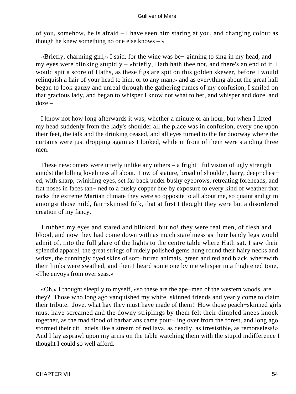of you, somehow, he is afraid – I have seen him staring at you, and changing colour as though he knew something no one else knows  $-\infty$ 

 «Briefly, charming girl,» I said, for the wine was be− ginning to sing in my head, and my eyes were blinking stupidly – «briefly, Hath hath thee not, and there's an end of it. I would spit a score of Haths, as these figs are spit on this golden skewer, before I would relinquish a hair of your head to him, or to any man,» and as everything about the great hall began to look gauzy and unreal through the gathering fumes of my confusion, I smiled on that gracious lady, and began to whisper I know not what to her, and whisper and doze, and doze –

 I know not how long afterwards it was, whether a minute or an hour, but when I lifted my head suddenly from the lady's shoulder all the place was in confusion, every one upon their feet, the talk and the drinking ceased, and all eyes turned to the far doorway where the curtains were just dropping again as I looked, while in front of them were standing three men.

These newcomers were utterly unlike any others – a fright– ful vision of ugly strength amidst the lolling loveliness all about. Low of stature, broad of shoulder, hairy, deep−chest− ed, with sharp, twinkling eyes, set far back under bushy eyebrows, retreating foreheads, and flat noses in faces tan− ned to a dusky copper hue by exposure to every kind of weather that racks the extreme Martian climate they were so opposite to all about me, so quaint and grim amongst those mild, fair−skinned folk, that at first I thought they were but a disordered creation of my fancy.

 I rubbed my eyes and stared and blinked, but no! they were real men, of flesh and blood, and now they had come down with as much stateliness as their bandy legs would admit of, into the full glare of the lights to the centre table where Hath sat. I saw their splendid apparel, the great strings of rudely polished gems hung round their hairy necks and wrists, the cunningly dyed skins of soft−furred animals, green and red and black, wherewith their limbs were swathed, and then I heard some one by me whisper in a frightened tone, «The envoys from over seas.»

 «Oh,» I thought sleepily to myself, «so these are the ape−men of the western woods, are they? Those who long ago vanquished my white−skinned friends and yearly come to claim their tribute. Jove, what hay they must have made of them! How those peach−skinned girls must have screamed and the downy striplings by them felt their dimpled knees knock together, as the mad flood of barbarians came pour− ing over from the forest, and long ago stormed their cit− adels like a stream of red lava, as deadly, as irresistible, as remorseless!» And I lay asprawl upon my arms on the table watching them with the stupid indifference I thought I could so well afford.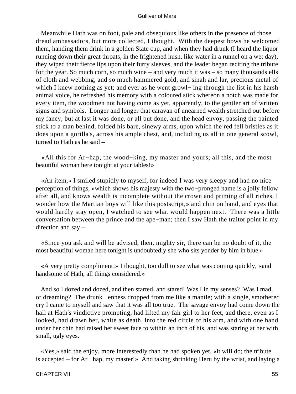Meanwhile Hath was on foot, pale and obsequious like others in the presence of those dread ambassadors, but more collected, I thought. With the deepest bows he welcomed them, handing them drink in a golden State cup, and when they had drunk (I heard the liquor running down their great throats, in the frightened hush, like water in a runnel on a wet day), they wiped their fierce lips upon their furry sleeves, and the leader began reciting the tribute for the year. So much corn, so much wine – and very much it was – so many thousands ells of cloth and webbing, and so much hammered gold, and sinah and lar, precious metal of which I knew nothing as yet; and ever as he went growl− ing through the list in his harsh animal voice, he refreshed his memory with a coloured stick whereon a notch was made for every item, the woodmen not having come as yet, apparently, to the gentler art of written signs and symbols. Longer and longer that caravan of unearned wealth stretched out before my fancy, but at last it was done, or all but done, and the head envoy, passing the painted stick to a man behind, folded his bare, sinewy arms, upon which the red fell bristles as it does upon a gorilla's, across his ample chest, and, including us all in one general scowl, turned to Hath as he said –

 «All this for Ar−hap, the wood−king, my master and yours; all this, and the most beautiful woman here tonight at your tables!»

 «An item,» I smiled stupidly to myself, for indeed I was very sleepy and had no nice perception of things, «which shows his majesty with the two−pronged name is a jolly fellow after all, and knows wealth is incomplete without the crown and priming of all riches. I wonder how the Martian boys will like this postscript,» and chin on hand, and eyes that would hardly stay open, I watched to see what would happen next. There was a little conversation between the prince and the ape−man; then I saw Hath the traitor point in my direction and say –

 «Since you ask and will be advised, then, mighty sir, there can be no doubt of it, the most beautiful woman here tonight is undoubtedly she who sits yonder by him in blue.»

 «A very pretty compliment!» I thought, too dull to see what was coming quickly, «and handsome of Hath, all things considered.»

 And so I dozed and dozed, and then started, and stared! Was I in my senses? Was I mad, or dreaming? The drunk− enness dropped from me like a mantle; with a single, smothered cry I came to myself and saw that it was all too true. The savage envoy had come down the hall at Hath's vindictive prompting, had lifted my fair girl to her feet, and there, even as I looked, had drawn her, white as death, into the red circle of his arm, and with one hand under her chin had raised her sweet face to within an inch of his, and was staring at her with small, ugly eyes.

 «Yes,» said the enjoy, more interestedly than he had spoken yet, «it will do; the tribute is accepted – for Ar− hap, my master!» And taking shrinking Heru by the wrist, and laying a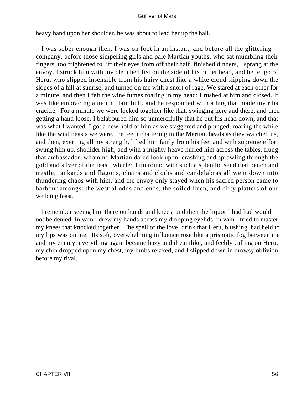heavy hand upon her shoulder, he was about to lead her up the hall.

 I was sober enough then. I was on foot in an instant, and before all the glittering company, before those simpering girls and pale Martian youths, who sat mumbling their fingers, too frightened to lift their eyes from off their half−finished dinners, I sprang at the envoy. I struck him with my clenched fist on the side of his bullet head, and he let go of Heru, who slipped insensible from his hairy chest like a white cloud slipping down the slopes of a hill at sunrise, and turned on me with a snort of rage. We stared at each other for a minute, and then I felt the wine fumes roaring in my head; I rushed at him and closed. It was like embracing a moun– tain bull, and he responded with a hug that made my ribs crackle. For a minute we were locked together like that, swinging here and there, and then getting a hand loose, I belaboured him so unmercifully that he put his head down, and that was what I wanted. I got a new hold of him as we staggered and plunged, roaring the while like the wild beasts we were, the teeth chattering in the Martian heads as they watched us, and then, exerting all my strength, lifted him fairly from his feet and with supreme effort swung him up, shoulder high, and with a mighty heave hurled him across the tables, flung that ambassador, whom no Martian dared look upon, crashing and sprawling through the gold and silver of the feast, whirled him round with such a splendid send that bench and trestle, tankards and flagons, chairs and cloths and candelabras all went down into thundering chaos with him, and the envoy only stayed when his sacred person came to harbour amongst the westral odds and ends, the soiled linen, and dirty platters of our wedding feast.

 I remember seeing him there on hands and knees, and then the liquor I had had would not be denied. In vain I drew my hands across my drooping eyelids, in vain I tried to master my knees that knocked together. The spell of the love−drink that Heru, blushing, had held to my lips was on me. Its soft, overwhelming influence rose like a prismatic fog between me and my enemy, everything again became hazy and dreamlike, and feebly calling on Heru, my chin dropped upon my chest, my limbs relaxed, and I slipped down in drowsy oblivion before my rival.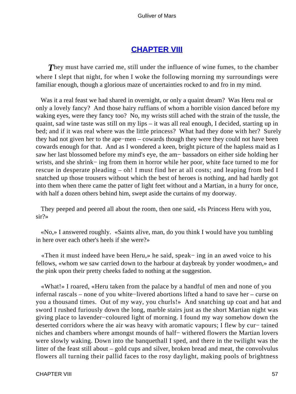## **[CHAPTER VIII](#page-144-0)**

**They must have carried me, still under the influence of wine fumes, to the chamber** where I slept that night, for when I woke the following morning my surroundings were familiar enough, though a glorious maze of uncertainties rocked to and fro in my mind.

 Was it a real feast we had shared in overnight, or only a quaint dream? Was Heru real or only a lovely fancy? And those hairy ruffians of whom a horrible vision danced before my waking eyes, were they fancy too? No, my wrists still ached with the strain of the tussle, the quaint, sad wine taste was still on my lips – it was all real enough, I decided, starting up in bed; and if it was real where was the little princess? What had they done with her? Surely they had not given her to the ape−men – cowards though they were they could not have been cowards enough for that. And as I wondered a keen, bright picture of the hapless maid as I saw her last blossomed before my mind's eye, the am− bassadors on either side holding her wrists, and she shrink− ing from them in horror while her poor, white face turned to me for rescue in desperate pleading – oh! I must find her at all costs; and leaping from bed I snatched up those trousers without which the best of heroes is nothing, and had hardly got into them when there came the patter of light feet without and a Martian, in a hurry for once, with half a dozen others behind him, swept aside the curtains of my doorway.

 They peeped and peered all about the room, then one said, «Is Princess Heru with you, sir?»

 «No,» I answered roughly. «Saints alive, man, do you think I would have you tumbling in here over each other's heels if she were?»

 «Then it must indeed have been Heru,» he said, speak− ing in an awed voice to his fellows, «whom we saw carried down to the harbour at daybreak by yonder woodmen,» and the pink upon their pretty cheeks faded to nothing at the suggestion.

 «What!» I roared, «Heru taken from the palace by a handful of men and none of you infernal rascals – none of you white−livered abortions lifted a hand to save her – curse on you a thousand times. Out of my way, you churls!» And snatching up coat and hat and sword I rushed furiously down the long, marble stairs just as the short Martian night was giving place to lavender−coloured light of morning. I found my way somehow down the deserted corridors where the air was heavy with aromatic vapours; I flew by cur− tained niches and chambers where amongst mounds of half− withered flowers the Martian lovers were slowly waking. Down into the banquethall I sped, and there in the twilight was the litter of the feast still about – gold cups and silver, broken bread and meat, the convolvulus flowers all turning their pallid faces to the rosy daylight, making pools of brightness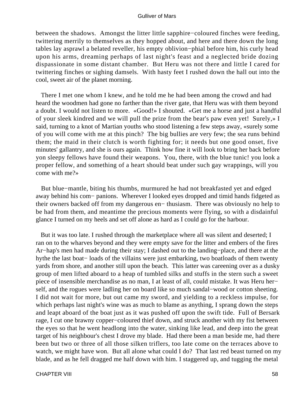between the shadows. Amongst the litter little sapphire−coloured finches were feeding, twittering merrily to themselves as they hopped about, and here and there down the long tables lay asprawl a belated reveller, his empty oblivion−phial before him, his curly head upon his arms, dreaming perhaps of last night's feast and a neglected bride dozing dispassionate in some distant chamber. But Heru was not there and little I cared for twittering finches or sighing damsels. With hasty feet I rushed down the hall out into the cool, sweet air of the planet morning.

 There I met one whom I knew, and he told me he had been among the crowd and had heard the woodmen had gone no farther than the river gate, that Heru was with them beyond a doubt. I would not listen to more. «Good!» I shouted. «Get me a horse and just a handful of your sleek kindred and we will pull the prize from the bear's paw even yet! Surely,» I said, turning to a knot of Martian youths who stood listening a few steps away, «surely some of you will come with me at this pinch? The big bullies are very few; the sea runs behind them; the maid in their clutch is worth fighting for; it needs but one good onset, five minutes' gallantry, and she is ours again. Think how fine it will look to bring her back before yon sleepy fellows have found their weapons. You, there, with the blue tunic! you look a proper fellow, and something of a heart should beat under such gay wrappings, will you come with me?»

 But blue−mantle, biting his thumbs, murmured he had not breakfasted yet and edged away behind his com− panions. Wherever I looked eyes dropped and timid hands fidgeted as their owners backed off from my dangerous en− thusiasm. There was obviously no help to be had from them, and meantime the precious moments were flying, so with a disdainful glance I turned on my heels and set off alone as hard as I could go for the harbour.

 But it was too late. I rushed through the marketplace where all was silent and deserted; I ran on to the wharves beyond and they were empty save for the litter and embers of the fires Ar−hap's men had made during their stay; I dashed out to the landing−place, and there at the hythe the last boat− loads of the villains were just embarking, two boatloads of them twenty yards from shore, and another still upon the beach. This latter was careening over as a dusky group of men lifted aboard to a heap of tumbled silks and stuffs in the stern such a sweet piece of insensible merchandise as no man, I at least of all, could mistake. It was Heru her− self, and the rogues were ladling her on board like so much sandal−wood or cotton sheeting. I did not wait for more, but out came my sword, and yielding to a reckless impulse, for which perhaps last night's wine was as much to blame as anything, I sprang down the steps and leapt aboard of the boat just as it was pushed off upon the swift tide. Full of Bersark rage, I cut one brawny copper−coloured thief down, and struck another with my fist between the eyes so that he went headlong into the water, sinking like lead, and deep into the great target of his neighbour's chest I drove my blade. Had there been a man beside me, had there been but two or three of all those silken triflers, too late come on the terraces above to watch, we might have won. But all alone what could I do? That last red beast turned on my blade, and as he fell dragged me half down with him. I staggered up, and tugging the metal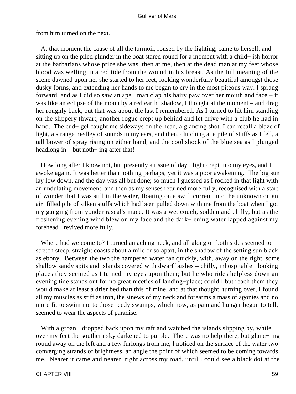from him turned on the next.

 At that moment the cause of all the turmoil, roused by the fighting, came to herself, and sitting up on the piled plunder in the boat stared round for a moment with a child− ish horror at the barbarians whose prize she was, then at me, then at the dead man at my feet whose blood was welling in a red tide from the wound in his breast. As the full meaning of the scene dawned upon her she started to her feet, looking wonderfully beautiful amongst those dusky forms, and extending her hands to me began to cry in the most piteous way. I sprang forward, and as I did so saw an ape− man clap his hairy paw over her mouth and face – it was like an eclipse of the moon by a red earth−shadow, I thought at the moment – and drag her roughly back, but that was about the last I remembered. As I turned to hit him standing on the slippery thwart, another rogue crept up behind and let drive with a club he had in hand. The cud− gel caught me sideways on the head, a glancing shot. I can recall a blaze of light, a strange medley of sounds in my ears, and then, clutching at a pile of stuffs as I fell, a tall bower of spray rising on either hand, and the cool shock of the blue sea as I plunged headlong in – but noth– ing after that!

 How long after I know not, but presently a tissue of day− light crept into my eyes, and I awoke again. It was better than nothing perhaps, yet it was a poor awakening. The big sun lay low down, and the day was all but done; so much I guessed as I rocked in that light with an undulating movement, and then as my senses returned more fully, recognised with a start of wonder that I was still in the water, floating on a swift current into the unknown on an air−filled pile of silken stuffs which had been pulled down with me from the boat when I got my ganging from yonder rascal's mace. It was a wet couch, sodden and chilly, but as the freshening evening wind blew on my face and the dark− ening water lapped against my forehead I revived more fully.

 Where had we come to? I turned an aching neck, and all along on both sides seemed to stretch steep, straight coasts about a mile or so apart, in the shadow of the setting sun black as ebony. Between the two the hampered water ran quickly, with, away on the right, some shallow sandy spits and islands covered with dwarf bushes – chilly, inhospitable− looking places they seemed as I turned my eyes upon them; but he who rides helpless down an evening tide stands out for no great niceties of landing−place; could I but reach them they would make at least a drier bed than this of mine, and at that thought, turning over, I found all my muscles as stiff as iron, the sinews of my neck and forearms a mass of agonies and no more fit to swim me to those reedy swamps, which now, as pain and hunger began to tell, seemed to wear the aspects of paradise.

With a groan I dropped back upon my raft and watched the islands slipping by, while over my feet the southern sky darkened to purple. There was no help there, but glanc− ing round away on the left and a few furlongs from me, I noticed on the surface of the water two converging strands of brightness, an angle the point of which seemed to be coming towards me. Nearer it came and nearer, right across my road, until I could see a black dot at the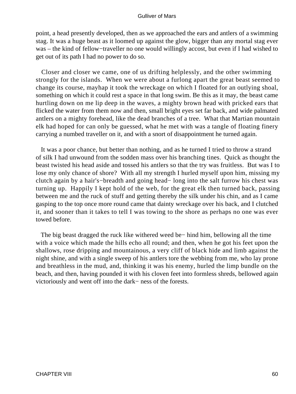point, a head presently developed, then as we approached the ears and antlers of a swimming stag. It was a huge beast as it loomed up against the glow, bigger than any mortal stag ever was – the kind of fellow−traveller no one would willingly accost, but even if I had wished to get out of its path I had no power to do so.

 Closer and closer we came, one of us drifting helplessly, and the other swimming strongly for the islands. When we were about a furlong apart the great beast seemed to change its course, mayhap it took the wreckage on which I floated for an outlying shoal, something on which it could rest a space in that long swim. Be this as it may, the beast came hurtling down on me lip deep in the waves, a mighty brown head with pricked ears that flicked the water from them now and then, small bright eyes set far back, and wide palmated antlers on a mighty forehead, like the dead branches of a tree. What that Martian mountain elk had hoped for can only be guessed, what he met with was a tangle of floating finery carrying a numbed traveller on it, and with a snort of disappointment he turned again.

 It was a poor chance, but better than nothing, and as he turned I tried to throw a strand of silk I had unwound from the sodden mass over his branching tines. Quick as thought the beast twisted his head aside and tossed his antlers so that the try was fruitless. But was I to lose my only chance of shore? With all my strength I hurled myself upon him, missing my clutch again by a hair's−breadth and going head− long into the salt furrow his chest was turning up. Happily I kept hold of the web, for the great elk then turned back, passing between me and the ruck of stuff and getting thereby the silk under his chin, and as I came gasping to the top once more round came that dainty wreckage over his back, and I clutched it, and sooner than it takes to tell I was towing to the shore as perhaps no one was ever towed before.

 The big beast dragged the ruck like withered weed be− hind him, bellowing all the time with a voice which made the hills echo all round; and then, when he got his feet upon the shallows, rose dripping and mountainous, a very cliff of black hide and limb against the night shine, and with a single sweep of his antlers tore the webbing from me, who lay prone and breathless in the mud, and, thinking it was his enemy, hurled the limp bundle on the beach, and then, having pounded it with his cloven feet into formless shreds, bellowed again victoriously and went off into the dark− ness of the forests.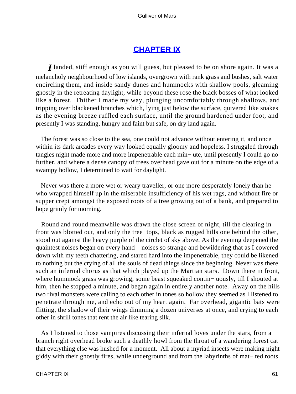## **[CHAPTER IX](#page-144-0)**

*I* landed, stiff enough as you will guess, but pleased to be on shore again. It was a melancholy neighbourhood of low islands, overgrown with rank grass and bushes, salt water encircling them, and inside sandy dunes and hummocks with shallow pools, gleaming ghostly in the retreating daylight, while beyond these rose the black bosses of what looked like a forest. Thither I made my way, plunging uncomfortably through shallows, and tripping over blackened branches which, lying just below the surface, quivered like snakes as the evening breeze ruffled each surface, until the ground hardened under foot, and presently I was standing, hungry and faint but safe, on dry land again.

 The forest was so close to the sea, one could not advance without entering it, and once within its dark arcades every way looked equally gloomy and hopeless. I struggled through tangles night made more and more impenetrable each min− ute, until presently I could go no further, and where a dense canopy of trees overhead gave out for a minute on the edge of a swampy hollow, I determined to wait for daylight.

 Never was there a more wet or weary traveller, or one more desperately lonely than he who wrapped himself up in the miserable insufficiency of his wet rags, and without fire or supper crept amongst the exposed roots of a tree growing out of a bank, and prepared to hope grimly for morning.

 Round and round meanwhile was drawn the close screen of night, till the clearing in front was blotted out, and only the tree−tops, black as rugged hills one behind the other, stood out against the heavy purple of the circlet of sky above. As the evening deepened the quaintest noises began on every hand – noises so strange and bewildering that as I cowered down with my teeth chattering, and stared hard into the impenetrable, they could be likened to nothing but the crying of all the souls of dead things since the beginning. Never was there such an infernal chorus as that which played up the Martian stars. Down there in front, where hummock grass was growing, some beast squeaked contin− uously, till I shouted at him, then he stopped a minute, and began again in entirely another note. Away on the hills two rival monsters were calling to each other in tones so hollow they seemed as I listened to penetrate through me, and echo out of my heart again. Far overhead, gigantic bats were flitting, the shadow of their wings dimming a dozen universes at once, and crying to each other in shrill tones that rent the air like tearing silk.

 As I listened to those vampires discussing their infernal loves under the stars, from a branch right overhead broke such a deathly howl from the throat of a wandering forest cat that everything else was hushed for a moment. All about a myriad insects were making night giddy with their ghostly fires, while underground and from the labyrinths of mat− ted roots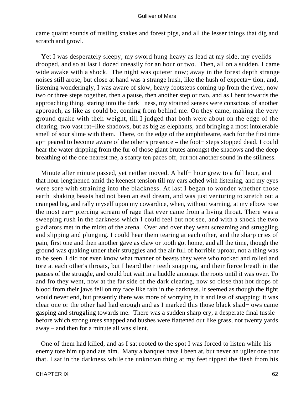came quaint sounds of rustling snakes and forest pigs, and all the lesser things that dig and scratch and growl.

 Yet I was desperately sleepy, my sword hung heavy as lead at my side, my eyelids drooped, and so at last I dozed uneasily for an hour or two. Then, all on a sudden, I came wide awake with a shock. The night was quieter now; away in the forest depth strange noises still arose, but close at hand was a strange hush, like the hush of expecta− tion, and, listening wonderingly, I was aware of slow, heavy footsteps coming up from the river, now two or three steps together, then a pause, then another step or two, and as I bent towards the approaching thing, staring into the dark− ness, my strained senses were conscious of another approach, as like as could be, coming from behind me. On they came, making the very ground quake with their weight, till I judged that both were about on the edge of the clearing, two vast rat−like shadows, but as big as elephants, and bringing a most intolerable smell of sour slime with them. There, on the edge of the amphitheatre, each for the first time ap− peared to become aware of the other's presence – the foot− steps stopped dead. I could hear the water dripping from the fur of those giant brutes amongst the shadows and the deep breathing of the one nearest me, a scanty ten paces off, but not another sound in the stillness.

 Minute after minute passed, yet neither moved. A half− hour grew to a full hour, and that hour lengthened amid the keenest tension till my ears ached with listening, and my eyes were sore with straining into the blackness. At last I began to wonder whether those earth−shaking beasts had not been an evil dream, and was just venturing to stretch out a cramped leg, and rally myself upon my cowardice, when, without warning, at my elbow rose the most ear− piercing scream of rage that ever came from a living throat. There was a sweeping rush in the darkness which I could feel but not see, and with a shock the two gladiators met in the midst of the arena. Over and over they went screaming and struggling, and slipping and plunging. I could hear them tearing at each other, and the sharp cries of pain, first one and then another gave as claw or tooth got home, and all the time, though the ground was quaking under their struggles and the air full of horrible uproar, not a thing was to be seen. I did not even know what manner of beasts they were who rocked and rolled and tore at each other's throats, but I heard their teeth snapping, and their fierce breath in the pauses of the struggle, and could but wait in a huddle amongst the roots until it was over. To and fro they went, now at the far side of the dark clearing, now so close that hot drops of blood from their jaws fell on my face like rain in the darkness. It seemed as though the fight would never end, but presently there was more of worrying in it and less of snapping; it was clear one or the other had had enough and as I marked this those black shad− ows came gasping and struggling towards me. There was a sudden sharp cry, a desperate final tussle – before which strong trees snapped and bushes were flattened out like grass, not twenty yards away – and then for a minute all was silent.

 One of them had killed, and as I sat rooted to the spot I was forced to listen while his enemy tore him up and ate him. Many a banquet have I been at, but never an uglier one than that. I sat in the darkness while the unknown thing at my feet ripped the flesh from his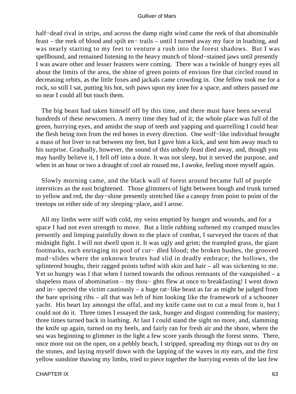half−dead rival in strips, and across the damp night wind came the reek of that abominable feast – the reek of blood and spilt en− trails – until I turned away my face in loathing, and was nearly starting to my feet to venture a rush into the forest shadows. But I was spellbound, and remained listening to the heavy munch of blood−stained jaws until presently I was aware other and lesser feasters were coming. There was a twinkle of hungry eyes all about the limits of the area, the shine of green points of envious fire that circled round in decreasing orbits, as the little foxes and jackals came crowding in. One fellow took me for a rock, so still I sat, putting his hot, soft paws upon my knee for a space, and others passed me so near I could all but touch them.

 The big beast had taken himself off by this time, and there must have been several hundreds of these newcomers. A merry time they had of it; the whole place was full of the green, hurrying eyes, and amidst the snap of teeth and yapping and quarrelling I could hear the flesh being torn from the red bones in every direction. One wolf−like individual brought a mass of hot liver to eat between my feet, but I gave him a kick, and sent him away much to his surprise. Gradually, however, the sound of this unholy feast died away, and, though you may hardly believe it, I fell off into a doze. It was not sleep, but it served the purpose, and when in an hour or two a draught of cool air roused me, I awoke, feeling more myself again.

 Slowly morning came, and the black wall of forest around became full of purple interstices as the east brightened. Those glimmers of light between bough and trunk turned to yellow and red, the day−shine presently stretched like a canopy from point to point of the treetops on either side of my sleeping−place, and I arose.

 All my limbs were stiff with cold, my veins emptied by hunger and wounds, and for a space I had not even strength to move. But a little rubbing softened my cramped muscles presently and limping painfully down to the place of combat, I surveyed the traces of that midnight fight. I will not dwell upon it. It was ugly and grim; the trampled grass, the giant footmarks, each enringing its pool of cur− dled blood; the broken bushes, the grooved mud−slides where the unknown brutes had slid in deadly embrace; the hollows, the splintered boughs, their ragged points tufted with skin and hair – all was sickening to me. Yet so hungry was I that when I turned towards the odious remnants of the vanquished  $- a$ shapeless mass of abomination – my thou− ghts flew at once to breakfasting! I went down and in− spected the victim cautiously – a huge rat−like beast as far as might be judged from the bare uprising ribs – all that was left of him looking like the framework of a schooner yacht. His heart lay amongst the offal, and my knife came out to cut a meal from it, but I could not do it. Three times I essayed the task, hunger and disgust contending for mastery; three times turned back in loathing. At last I could stand the sight no more, and, slamming the knife up again, turned on my heels, and fairly ran for fresh air and the shore, where the sea was beginning to glimmer in the light a few score yards through the forest stems. There, once more out on the open, on a pebbly beach, I stripped, spreading my things out to dry on the stones, and laying myself down with the lapping of the waves in my ears, and the first yellow sunshine thawing my limbs, tried to piece together the hurrying events of the last few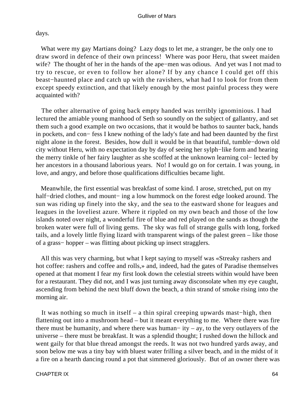days.

 What were my gay Martians doing? Lazy dogs to let me, a stranger, be the only one to draw sword in defence of their own princess! Where was poor Heru, that sweet maiden wife? The thought of her in the hands of the ape−men was odious. And yet was I not mad to try to rescue, or even to follow her alone? If by any chance I could get off this beast−haunted place and catch up with the ravishers, what had I to look for from them except speedy extinction, and that likely enough by the most painful process they were acquainted with?

 The other alternative of going back empty handed was terribly ignominious. I had lectured the amiable young manhood of Seth so soundly on the subject of gallantry, and set them such a good example on two occasions, that it would be bathos to saunter back, hands in pockets, and con− fess I knew nothing of the lady's fate and had been daunted by the first night alone in the forest. Besides, how dull it would be in that beautiful, tumble−down old city without Heru, with no expectation day by day of seeing her sylph−like form and hearing the merry tinkle of her fairy laughter as she scoffed at the unknown learning col− lected by her ancestors in a thousand laborious years. No! I would go on for certain. I was young, in love, and angry, and before those qualifications difficulties became light.

 Meanwhile, the first essential was breakfast of some kind. I arose, stretched, put on my half–dried clothes, and mount– ing a low hummock on the forest edge looked around. The sun was riding up finely into the sky, and the sea to the eastward shone for leagues and leagues in the loveliest azure. Where it rippled on my own beach and those of the low islands noted over night, a wonderful fire of blue and red played on the sands as though the broken water were full of living gems. The sky was full of strange gulls with long, forked tails, and a lovely little flying lizard with transparent wings of the palest green – like those of a grass− hopper – was flitting about picking up insect stragglers.

 All this was very charming, but what I kept saying to myself was «Streaky rashers and hot coffee: rashers and coffee and rolls,» and, indeed, had the gates of Paradise themselves opened at that moment I fear my first look down the celestial streets within would have been for a restaurant. They did not, and I was just turning away disconsolate when my eye caught, ascending from behind the next bluff down the beach, a thin strand of smoke rising into the morning air.

 It was nothing so much in itself – a thin spiral creeping upwards mast−high, then flattening out into a mushroom head – but it meant everything to me. Where there was fire there must be humanity, and where there was human− ity – ay, to the very outlayers of the universe – there must be breakfast. It was a splendid thought; I rushed down the hillock and went gaily for that blue thread amongst the reeds. It was not two hundred yards away, and soon below me was a tiny bay with bluest water frilling a silver beach, and in the midst of it a fire on a hearth dancing round a pot that simmered gloriously. But of an owner there was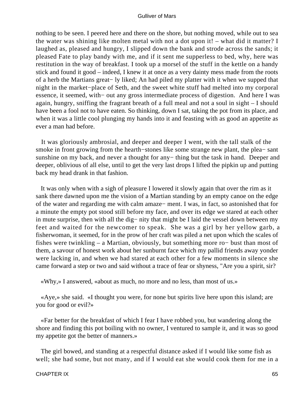nothing to be seen. I peered here and there on the shore, but nothing moved, while out to sea the water was shining like molten metal with not a dot upon it! – what did it matter? I laughed as, pleased and hungry, I slipped down the bank and strode across the sands; it pleased Fate to play bandy with me, and if it sent me supperless to bed, why, here was restitution in the way of breakfast. I took up a morsel of the stuff in the kettle on a handy stick and found it good – indeed, I knew it at once as a very dainty mess made from the roots of a herb the Martians great− ly liked; An had piled my platter with it when we supped that night in the market−place of Seth, and the sweet white stuff had melted into my corporal essence, it seemed, with− out any gross intermediate process of digestion. And here I was again, hungry, sniffing the fragrant breath of a full meal and not a soul in sight – I should have been a fool not to have eaten. So thinking, down I sat, taking the pot from its place, and when it was a little cool plunging my hands into it and feasting with as good an appetite as ever a man had before.

 It was gloriously ambrosial, and deeper and deeper I went, with the tall stalk of the smoke in front growing from the hearth−stones like some strange new plant, the plea− sant sunshine on my back, and never a thought for any− thing but the task in hand. Deeper and deeper, oblivious of all else, until to get the very last drops I lifted the pipkin up and putting back my head drank in that fashion.

 It was only when with a sigh of pleasure I lowered it slowly again that over the rim as it sank there dawned upon me the vision of a Martian standing by an empty canoe on the edge of the water and regarding me with calm amaze− ment. I was, in fact, so astonished that for a minute the empty pot stood still before my face, and over its edge we stared at each other in mute surprise, then with all the dig− nity that might be I laid the vessel down between my feet and waited for the newcomer to speak. She was a girl by her yellow garb, a fisherwoman, it seemed, for in the prow of her craft was piled a net upon which the scales of fishes were twinkling – a Martian, obviously, but something more ro− bust than most of them, a savour of honest work about her sunburnt face which my pallid friends away yonder were lacking in, and when we had stared at each other for a few moments in silence she came forward a step or two and said without a trace of fear or shyness, "Are you a spirit, sir?

«Why,» I answered, «about as much, no more and no less, than most of us.»

 «Aye,» she said. «I thought you were, for none but spirits live here upon this island; are you for good or evil?»

 «Far better for the breakfast of which I fear I have robbed you, but wandering along the shore and finding this pot boiling with no owner, I ventured to sample it, and it was so good my appetite got the better of manners.»

 The girl bowed, and standing at a respectful distance asked if I would like some fish as well; she had some, but not many, and if I would eat she would cook them for me in a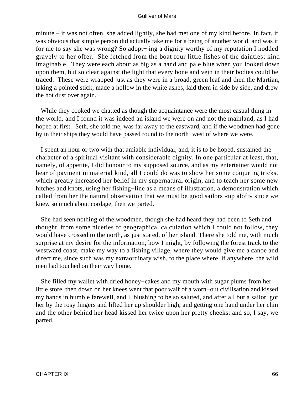minute – it was not often, she added lightly, she had met one of my kind before. In fact, it was obvious that simple person did actually take me for a being of another world, and was it for me to say she was wrong? So adopt− ing a dignity worthy of my reputation I nodded gravely to her offer. She fetched from the boat four little fishes of the daintiest kind imaginable. They were each about as big as a hand and pale blue when you looked down upon them, but so clear against the light that every bone and vein in their bodies could be traced. These were wrapped just as they were in a broad, green leaf and then the Martian, taking a pointed stick, made a hollow in the white ashes, laid them in side by side, and drew the hot dust over again.

 While they cooked we chatted as though the acquaintance were the most casual thing in the world, and I found it was indeed an island we were on and not the mainland, as I had hoped at first. Seth, she told me, was far away to the eastward, and if the woodmen had gone by in their ships they would have passed round to the north−west of where we were.

 I spent an hour or two with that amiable individual, and, it is to be hoped, sustained the character of a spiritual visitant with considerable dignity. In one particular at least, that, namely, of appetite, I did honour to my supposed source, and as my entertainer would not hear of payment in material kind, all I could do was to show her some conjuring tricks, which greatly increased her belief in my supernatural origin, and to teach her some new hitches and knots, using her fishing−line as a means of illustration, a demonstration which called from her the natural observation that we must be good sailors «up aloft» since we knew so much about cordage, then we parted.

 She had seen nothing of the woodmen, though she had heard they had been to Seth and thought, from some niceties of geographical calculation which I could not follow, they would have crossed to the north, as just stated, of her island. There she told me, with much surprise at my desire for the information, how I might, by following the forest track to the westward coast, make my way to a fishing village, where they would give me a canoe and direct me, since such was my extraordinary wish, to the place where, if anywhere, the wild men had touched on their way home.

 She filled my wallet with dried honey−cakes and my mouth with sugar plums from her little store, then down on her knees went that poor waif of a worn−out civilisation and kissed my hands in humble farewell, and I, blushing to be so saluted, and after all but a sailor, got her by the rosy fingers and lifted her up shoulder high, and getting one hand under her chin and the other behind her head kissed her twice upon her pretty cheeks; and so, I say, we parted.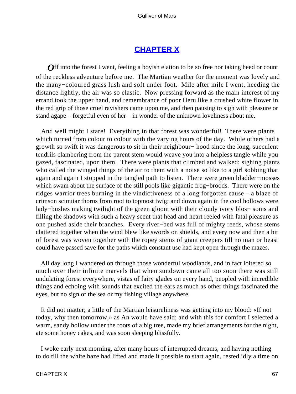# **[CHAPTER X](#page-144-0)**

**Off** into the forest I went, feeling a boyish elation to be so free nor taking heed or count of the reckless adventure before me. The Martian weather for the moment was lovely and the many−coloured grass lush and soft under foot. Mile after mile I went, heeding the distance lightly, the air was so elastic. Now pressing forward as the main interest of my errand took the upper hand, and remembrance of poor Heru like a crushed white flower in the red grip of those cruel ravishers came upon me, and then pausing to sigh with pleasure or stand agape – forgetful even of her – in wonder of the unknown loveliness about me.

 And well might I stare! Everything in that forest was wonderful! There were plants which turned from colour to colour with the varying hours of the day. While others had a growth so swift it was dangerous to sit in their neighbour− hood since the long, succulent tendrils clambering from the parent stem would weave you into a helpless tangle while you gazed, fascinated, upon them. There were plants that climbed and walked; sighing plants who called the winged things of the air to them with a noise so like to a girl sobbing that again and again I stopped in the tangled path to listen. There were green bladder−mosses which swam about the surface of the still pools like gigantic frog−broods. There were on the ridges warrior trees burning in the vindictiveness of a long forgotten cause – a blaze of crimson scimitar thorns from root to topmost twig; and down again in the cool hollows were lady−bushes making twilight of the green gloom with their cloudy ivory blos− soms and filling the shadows with such a heavy scent that head and heart reeled with fatal pleasure as one pushed aside their branches. Every river−bed was full of mighty reeds, whose stems clattered together when the wind blew like swords on shields, and every now and then a bit of forest was woven together with the ropey stems of giant creepers till no man or beast could have passed save for the paths which constant use had kept open through the mazes.

 All day long I wandered on through those wonderful woodlands, and in fact loitered so much over their infinite marvels that when sundown came all too soon there was still undulating forest everywhere, vistas of fairy glades on every hand, peopled with incredible things and echoing with sounds that excited the ears as much as other things fascinated the eyes, but no sign of the sea or my fishing village anywhere.

 It did not matter; a little of the Martian leisureliness was getting into my blood: «If not today, why then tomorrow,» as An would have said; and with this for comfort I selected a warm, sandy hollow under the roots of a big tree, made my brief arrangements for the night, ate some honey cakes, and was soon sleeping blissfully.

 I woke early next morning, after many hours of interrupted dreams, and having nothing to do till the white haze had lifted and made it possible to start again, rested idly a time on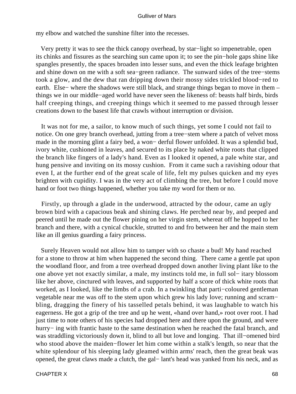my elbow and watched the sunshine filter into the recesses.

 Very pretty it was to see the thick canopy overhead, by star−light so impenetrable, open its chinks and fissures as the searching sun came upon it; to see the pin−hole gaps shine like spangles presently, the spaces broaden into lesser suns, and even the thick leafage brighten and shine down on me with a soft sea−green radiance. The sunward sides of the tree−stems took a glow, and the dew that ran dripping down their mossy sides trickled blood−red to earth. Else− where the shadows were still black, and strange things began to move in them – things we in our middle−aged world have never seen the likeness of: beasts half birds, birds half creeping things, and creeping things which it seemed to me passed through lesser creations down to the basest life that crawls without interruption or division.

 It was not for me, a sailor, to know much of such things, yet some I could not fail to notice. On one grey branch overhead, jutting from a tree−stem where a patch of velvet moss made in the morning glint a fairy bed, a won− derful flower unfolded. It was a splendid bud, ivory white, cushioned in leaves, and secured to its place by naked white roots that clipped the branch like fingers of a lady's hand. Even as I looked it opened, a pale white star, and hung pensive and inviting on its mossy cushion. From it came such a ravishing odour that even I, at the further end of the great scale of life, felt my pulses quicken and my eyes brighten with cupidity. I was in the very act of climbing the tree, but before I could move hand or foot two things happened, whether you take my word for them or no.

 Firstly, up through a glade in the underwood, attracted by the odour, came an ugly brown bird with a capacious beak and shining claws. He perched near by, and peeped and peered until he made out the flower pining on her virgin stem, whereat off he hopped to her branch and there, with a cynical chuckle, strutted to and fro between her and the main stem like an ill genius guarding a fairy princess.

 Surely Heaven would not allow him to tamper with so chaste a bud! My hand reached for a stone to throw at him when happened the second thing. There came a gentle pat upon the woodland floor, and from a tree overhead dropped down another living plant like to the one above yet not exactly similar, a male, my instincts told me, in full sol− itary blossom like her above, cinctured with leaves, and supported by half a score of thick white roots that worked, as I looked, like the limbs of a crab. In a twinkling that parti−coloured gentleman vegetable near me was off to the stem upon which grew his lady love; running and scram− bling, dragging the finery of his tasselled petals behind, it was laughable to watch his eagerness. He got a grip of the tree and up he went, «hand over hand,» root over root. I had just time to note others of his species had dropped here and there upon the ground, and were hurry− ing with frantic haste to the same destination when he reached the fatal branch, and was straddling victoriously down it, blind to all but love and longing. That ill−omened bird who stood above the maiden−flower let him come within a stalk's length, so near that the white splendour of his sleeping lady gleamed within arms' reach, then the great beak was opened, the great claws made a clutch, the gal− lant's head was yanked from his neck, and as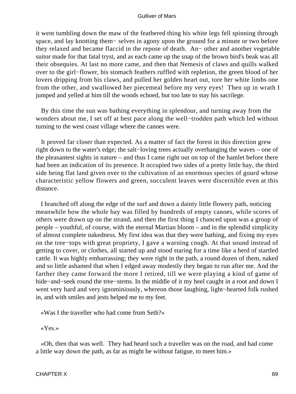it went tumbling down the maw of the feathered thing his white legs fell spinning through space, and lay knotting them− selves in agony upon the ground for a minute or two before they relaxed and became flaccid in the repose of death. An− other and another vegetable suitor made for that fatal tryst, and as each came up the snap of the brown bird's beak was all their obsequies. At last no more came, and then that Nemesis of claws and quills walked over to the girl−flower, his stomach feathers ruffled with repletion, the green blood of her lovers dripping from his claws, and pulled her golden heart out, tore her white limbs one from the other, and swallowed her piecemeal before my very eyes! Then up in wrath I jumped and yelled at him till the woods echoed, but too late to stay his sacrilege.

 By this time the sun was bathing everything in splendour, and turning away from the wonders about me, I set off at best pace along the well−trodden path which led without turning to the west coast village where the canoes were.

 It proved far closer than expected. As a matter of fact the forest in this direction grew right down to the water's edge; the salt−loving trees actually overhanging the waves – one of the pleasantest sights in nature – and thus I came right out on top of the hamlet before there had been an indication of its presence. It occupied two sides of a pretty little bay, the third side being flat land given over to the cultivation of an enormous species of gourd whose characteristic yellow flowers and green, succulent leaves were discernible even at this distance.

 I branched off along the edge of the surf and down a dainty little flowery path, noticing meanwhile how the whole bay was filled by hundreds of empty canoes, while scores of others were drawn up on the strand, and then the first thing I chanced upon was a group of people – youthful, of course, with the eternal Martian bloom – and in the splendid simplicity of almost complete nakedness. My first idea was that they were bathing, and fixing my eyes on the tree−tops with great propriety, I gave a warning cough. At that sound instead of getting to cover, or clothes, all started up and stood staring for a time like a herd of startled cattle. It was highly embarrassing; they were right in the path, a round dozen of them, naked and so little ashamed that when I edged away modestly they began to run after me. And the farther they came forward the more I retired, till we were playing a kind of game of hide−and−seek round the tree−stems. In the middle of it my heel caught in a root and down I went very hard and very ignominiously, whereon those laughing, light−hearted folk rushed in, and with smiles and jests helped me to my feet.

«Was I the traveller who had come from Seth?»

«Yes.»

 «Oh, then that was well. They had heard such a traveller was on the road, and had come a little way down the path, as far as might be without fatigue, to meet him.»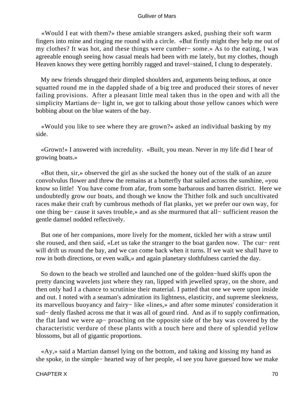«Would I eat with them?» these amiable strangers asked, pushing their soft warm fingers into mine and ringing me round with a circle. «But firstly might they help me out of my clothes? It was hot, and these things were cumber− some.» As to the eating, I was agreeable enough seeing how casual meals had been with me lately, but my clothes, though Heaven knows they were getting horribly ragged and travel−stained, I clung to desperately.

 My new friends shrugged their dimpled shoulders and, arguments being tedious, at once squatted round me in the dappled shade of a big tree and produced their stores of never failing provisions. After a pleasant little meal taken thus in the open and with all the simplicity Martians de− light in, we got to talking about those yellow canoes which were bobbing about on the blue waters of the bay.

 «Would you like to see where they are grown?» asked an individual basking by my side.

 «Grown!» I answered with incredulity. «Built, you mean. Never in my life did I hear of growing boats.»

 «But then, sir,» observed the girl as she sucked the honey out of the stalk of an azure convolvulus flower and threw the remains at a butterfly that sailed across the sunshine, «you know so little! You have come from afar, from some barbarous and barren district. Here we undoubtedly grow our boats, and though we know the Thither folk and such uncultivated races make their craft by cumbrous methods of flat planks, yet we prefer our own way, for one thing be− cause it saves trouble,» and as she murmured that all− sufficient reason the gentle damsel nodded reflectively.

 But one of her companions, more lively for the moment, tickled her with a straw until she roused, and then said, «Let us take the stranger to the boat garden now. The cur– rent will drift us round the bay, and we can come back when it turns. If we wait we shall have to row in both directions, or even walk,» and again planetary slothfulness carried the day.

 So down to the beach we strolled and launched one of the golden−hued skiffs upon the pretty dancing wavelets just where they ran, lipped with jewelled spray, on the shore, and then only had I a chance to scrutinise their material. I patted that one we were upon inside and out. I noted with a seaman's admiration its lightness, elasticity, and supreme sleekness, its marvellous buoyancy and fairy− like «lines,» and after some minutes' consideration it sud− denly flashed across me that it was all of gourd rind. And as if to supply confirmation, the flat land we were ap− proaching on the opposite side of the bay was covered by the characteristic verdure of these plants with a touch here and there of splendid yellow blossoms, but all of gigantic proportions.

 «Ay,» said a Martian damsel lying on the bottom, and taking and kissing my hand as she spoke, in the simple− hearted way of her people, «I see you have guessed how we make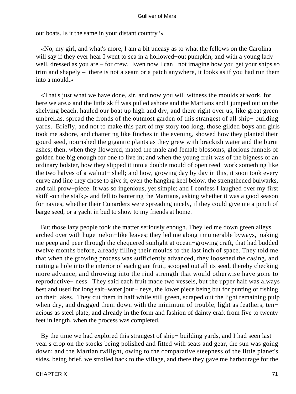our boats. Is it the same in your distant country?»

 «No, my girl, and what's more, I am a bit uneasy as to what the fellows on the Carolina will say if they ever hear I went to sea in a hollowed−out pumpkin, and with a young lady – well, dressed as you are – for crew. Even now I can– not imagine how you get your ships so trim and shapely – there is not a seam or a patch anywhere, it looks as if you had run them into a mould.»

 «That's just what we have done, sir, and now you will witness the moulds at work, for here we are,» and the little skiff was pulled ashore and the Martians and I jumped out on the shelving beach, hauled our boat up high and dry, and there right over us, like great green umbrellas, spread the fronds of the outmost garden of this strangest of all ship− building yards. Briefly, and not to make this part of my story too long, those gilded boys and girls took me ashore, and chattering like finches in the evening, showed how they planted their gourd seed, nourished the gigantic plants as they grew with brackish water and the burnt ashes; then, when they flowered, mated the male and female blossoms, glorious funnels of golden hue big enough for one to live in; and when the young fruit was of the bigness of an ordinary bolster, how they slipped it into a double mould of open reed−work something like the two halves of a walnut− shell; and how, growing day by day in this, it soon took every curve and line they chose to give it, even the hanging keel below, the strengthened bulwarks, and tall prow−piece. It was so ingenious, yet simple; and I confess I laughed over my first skiff «on the stalk,» and fell to bantering the Martians, asking whether it was a good season for navies, whether their Cunarders were spreading nicely, if they could give me a pinch of barge seed, or a yacht in bud to show to my friends at home.

 But those lazy people took the matter seriously enough. They led me down green alleys arched over with huge melon−like leaves; they led me along innumerable byways, making me peep and peer through the chequered sunlight at ocean−growing craft, that had budded twelve months before, already filling their moulds to the last inch of space. They told me that when the growing process was sufficiently advanced, they loosened the casing, and cutting a hole into the interior of each giant fruit, scooped out all its seed, thereby checking more advance, and throwing into the rind strength that would otherwise have gone to reproductive− ness. They said each fruit made two vessels, but the upper half was always best and used for long salt−water jour− neys, the lower piece being but for punting or fishing on their lakes. They cut them in half while still green, scraped out the light remaining pulp when dry, and dragged them down with the minimum of trouble, light as feathers, ten− acious as steel plate, and already in the form and fashion of dainty craft from five to twenty feet in length, when the process was completed.

 By the time we had explored this strangest of ship− building yards, and I had seen last year's crop on the stocks being polished and fitted with seats and gear, the sun was going down; and the Martian twilight, owing to the comparative steepness of the little planet's sides, being brief, we strolled back to the village, and there they gave me harbourage for the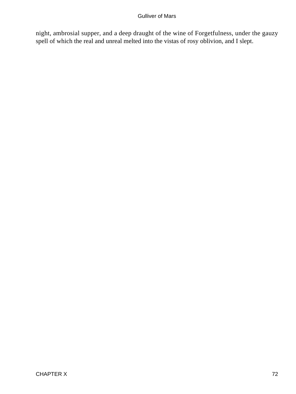night, ambrosial supper, and a deep draught of the wine of Forgetfulness, under the gauzy spell of which the real and unreal melted into the vistas of rosy oblivion, and I slept.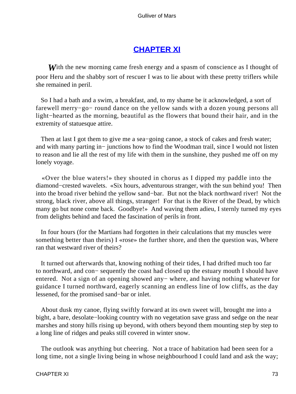# **[CHAPTER XI](#page-144-0)**

**W**ith the new morning came fresh energy and a spasm of conscience as I thought of poor Heru and the shabby sort of rescuer I was to lie about with these pretty triflers while she remained in peril.

 So I had a bath and a swim, a breakfast, and, to my shame be it acknowledged, a sort of farewell merry−go− round dance on the yellow sands with a dozen young persons all light−hearted as the morning, beautiful as the flowers that bound their hair, and in the extremity of statuesque attire.

Then at last I got them to give me a sea–going canoe, a stock of cakes and fresh water; and with many parting in− junctions how to find the Woodman trail, since I would not listen to reason and lie all the rest of my life with them in the sunshine, they pushed me off on my lonely voyage.

 «Over the blue waters!» they shouted in chorus as I dipped my paddle into the diamond−crested wavelets. «Six hours, adventurous stranger, with the sun behind you! Then into the broad river behind the yellow sand−bar. But not the black northward river! Not the strong, black river, above all things, stranger! For that is the River of the Dead, by which many go but none come back. Goodbye!» And waving them adieu, I sternly turned my eyes from delights behind and faced the fascination of perils in front.

 In four hours (for the Martians had forgotten in their calculations that my muscles were something better than theirs) I «rose» the further shore, and then the question was, Where ran that westward river of theirs?

 It turned out afterwards that, knowing nothing of their tides, I had drifted much too far to northward, and con− sequently the coast had closed up the estuary mouth I should have entered. Not a sign of an opening showed any− where, and having nothing whatever for guidance I turned northward, eagerly scanning an endless line of low cliffs, as the day lessened, for the promised sand−bar or inlet.

 About dusk my canoe, flying swiftly forward at its own sweet will, brought me into a bight, a bare, desolate−looking country with no vegetation save grass and sedge on the near marshes and stony hills rising up beyond, with others beyond them mounting step by step to a long line of ridges and peaks still covered in winter snow.

 The outlook was anything but cheering. Not a trace of habitation had been seen for a long time, not a single living being in whose neighbourhood I could land and ask the way;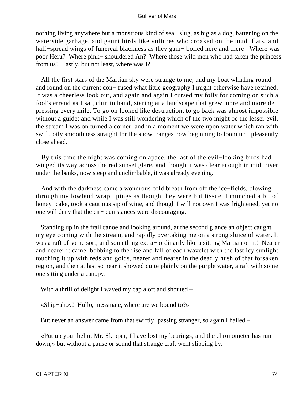nothing living anywhere but a monstrous kind of sea− slug, as big as a dog, battening on the waterside garbage, and gaunt birds like vultures who croaked on the mud−flats, and half−spread wings of funereal blackness as they gam− bolled here and there. Where was poor Heru? Where pink− shouldered An? Where those wild men who had taken the princess from us? Lastly, but not least, where was I?

 All the first stars of the Martian sky were strange to me, and my boat whirling round and round on the current con− fused what little geography I might otherwise have retained. It was a cheerless look out, and again and again I cursed my folly for coming on such a fool's errand as I sat, chin in hand, staring at a landscape that grew more and more de− pressing every mile. To go on looked like destruction, to go back was almost impossible without a guide; and while I was still wondering which of the two might be the lesser evil, the stream I was on turned a corner, and in a moment we were upon water which ran with swift, oily smoothness straight for the snow−ranges now beginning to loom un− pleasantly close ahead.

 By this time the night was coming on apace, the last of the evil−looking birds had winged its way across the red sunset glare, and though it was clear enough in mid−river under the banks, now steep and unclimbable, it was already evening.

 And with the darkness came a wondrous cold breath from off the ice−fields, blowing through my lowland wrap− pings as though they were but tissue. I munched a bit of honey−cake, took a cautious sip of wine, and though I will not own I was frightened, yet no one will deny that the cir− cumstances were discouraging.

 Standing up in the frail canoe and looking around, at the second glance an object caught my eye coming with the stream, and rapidly overtaking me on a strong sluice of water. It was a raft of some sort, and something extra− ordinarily like a sitting Martian on it! Nearer and nearer it came, bobbing to the rise and fall of each wavelet with the last icy sunlight touching it up with reds and golds, nearer and nearer in the deadly hush of that forsaken region, and then at last so near it showed quite plainly on the purple water, a raft with some one sitting under a canopy.

With a thrill of delight I waved my cap aloft and shouted –

«Ship−ahoy! Hullo, messmate, where are we bound to?»

But never an answer came from that swiftly−passing stranger, so again I hailed –

 «Put up your helm, Mr. Skipper; I have lost my bearings, and the chronometer has run down,» but without a pause or sound that strange craft went slipping by.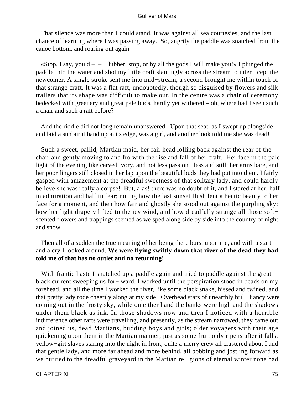That silence was more than I could stand. It was against all sea courtesies, and the last chance of learning where I was passing away. So, angrily the paddle was snatched from the canoe bottom, and roaring out again –

«Stop, I say, you  $d - - -$  lubber, stop, or by all the gods I will make you!» I plunged the paddle into the water and shot my little craft slantingly across the stream to inter− cept the newcomer. A single stroke sent me into mid−stream, a second brought me within touch of that strange craft. It was a flat raft, undoubtedly, though so disguised by flowers and silk trailers that its shape was difficult to make out. In the centre was a chair of ceremony bedecked with greenery and great pale buds, hardly yet withered – oh, where had I seen such a chair and such a raft before?

 And the riddle did not long remain unanswered. Upon that seat, as I swept up alongside and laid a sunburnt hand upon its edge, was a girl, and another look told me she was dead!

 Such a sweet, pallid, Martian maid, her fair head lolling back against the rear of the chair and gently moving to and fro with the rise and fall of her craft. Her face in the pale light of the evening like carved ivory, and not less passion− less and still; her arms bare, and her poor fingers still closed in her lap upon the beautiful buds they had put into them. I fairly gasped with amazement at the dreadful sweetness of that solitary lady, and could hardly believe she was really a corpse! But, alas! there was no doubt of it, and I stared at her, half in admiration and half in fear; noting how the last sunset flush lent a hectic beauty to her face for a moment, and then how fair and ghostly she stood out against the purpling sky; how her light drapery lifted to the icy wind, and how dreadfully strange all those soft− scented flowers and trappings seemed as we sped along side by side into the country of night and snow.

 Then all of a sudden the true meaning of her being there burst upon me, and with a start and a cry I looked around. **We were flying swiftly down that river of the dead they had told me of that has no outlet and no returning!**

 With frantic haste I snatched up a paddle again and tried to paddle against the great black current sweeping us for− ward. I worked until the perspiration stood in beads on my forehead, and all the time I worked the river, like some black snake, hissed and twined, and that pretty lady rode cheerily along at my side. Overhead stars of unearthly bril− liancy were coming out in the frosty sky, while on either hand the banks were high and the shadows under them black as ink. In those shadows now and then I noticed with a horrible indifference other rafts were travelling, and presently, as the stream narrowed, they came out and joined us, dead Martians, budding boys and girls; older voyagers with their age quickening upon them in the Martian manner, just as some fruit only ripens after it falls; yellow−girt slaves staring into the night in front, quite a merry crew all clustered about I and that gentle lady, and more far ahead and more behind, all bobbing and jostling forward as we hurried to the dreadful graveyard in the Martian re− gions of eternal winter none had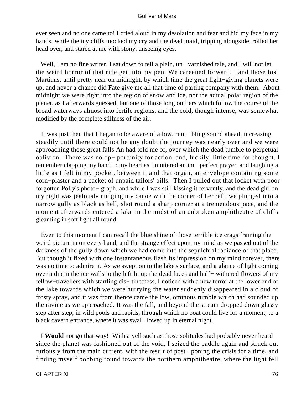ever seen and no one came to! I cried aloud in my desolation and fear and hid my face in my hands, while the icy cliffs mocked my cry and the dead maid, tripping alongside, rolled her head over, and stared at me with stony, unseeing eyes.

 Well, I am no fine writer. I sat down to tell a plain, un− varnished tale, and I will not let the weird horror of that ride get into my pen. We careened forward, I and those lost Martians, until pretty near on midnight, by which time the great light−giving planets were up, and never a chance did Fate give me all that time of parting company with them. About midnight we were right into the region of snow and ice, not the actual polar region of the planet, as I afterwards guessed, but one of those long outliers which follow the course of the broad waterways almost into fertile regions, and the cold, though intense, was somewhat modified by the complete stillness of the air.

 It was just then that I began to be aware of a low, rum− bling sound ahead, increasing steadily until there could not be any doubt the journey was nearly over and we were approaching those great falls An had told me of, over which the dead tumble to perpetual oblivion. There was no op− portunity for action, and, luckily, little time for thought. I remember clapping my hand to my heart as I muttered an im− perfect prayer, and laughing a little as I felt in my pocket, between it and that organ, an envelope containing some corn−plaster and a packet of unpaid tailors' bills. Then I pulled out that locket with poor forgotten Polly's photo− graph, and while I was still kissing it fervently, and the dead girl on my right was jealously nudging my canoe with the corner of her raft, we plunged into a narrow gully as black as hell, shot round a sharp corner at a tremendous pace, and the moment afterwards entered a lake in the midst of an unbroken amphitheatre of cliffs gleaming in soft light all round.

 Even to this moment I can recall the blue shine of those terrible ice crags framing the weird picture in on every hand, and the strange effect upon my mind as we passed out of the darkness of the gully down which we had come into the sepulchral radiance of that place. But though it fixed with one instantaneous flash its impression on my mind forever, there was no time to admire it. As we swept on to the lake's surface, and a glance of light coming over a dip in the ice walls to the left lit up the dead faces and half− withered flowers of my fellow−travellers with startling dis− tinctness, I noticed with a new terror at the lower end of the lake towards which we were hurrying the water suddenly disappeared in a cloud of frosty spray, and it was from thence came the low, ominous rumble which had sounded up the ravine as we approached. It was the fall, and beyond the stream dropped down glassy step after step, in wild pools and rapids, through which no boat could live for a moment, to a black cavern entrance, where it was swal− lowed up in eternal night.

 I **Would** not go that way! With a yell such as those solitudes had probably never heard since the planet was fashioned out of the void, I seized the paddle again and struck out furiously from the main current, with the result of post− poning the crisis for a time, and finding myself bobbing round towards the northern amphitheatre, where the light fell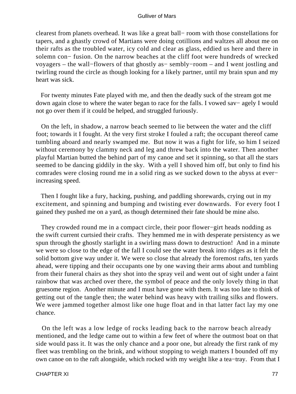clearest from planets overhead. It was like a great ball− room with those constellations for tapers, and a ghastly crowd of Martians were doing cotillions and waltzes all about me on their rafts as the troubled water, icy cold and clear as glass, eddied us here and there in solemn con− fusion. On the narrow beaches at the cliff foot were hundreds of wrecked voyagers – the wall−flowers of that ghostly as− sembly−room – and I went jostling and twirling round the circle as though looking for a likely partner, until my brain spun and my heart was sick.

 For twenty minutes Fate played with me, and then the deadly suck of the stream got me down again close to where the water began to race for the falls. I vowed sav− agely I would not go over them if it could be helped, and struggled furiously.

 On the left, in shadow, a narrow beach seemed to lie between the water and the cliff foot; towards it I fought. At the very first stroke I fouled a raft; the occupant thereof came tumbling aboard and nearly swamped me. But now it was a fight for life, so him I seized without ceremony by clammy neck and leg and threw back into the water. Then another playful Martian butted the behind part of my canoe and set it spinning, so that all the stars seemed to be dancing giddily in the sky. With a yell I shoved him off, but only to find his comrades were closing round me in a solid ring as we sucked down to the abyss at ever− increasing speed.

 Then I fought like a fury, hacking, pushing, and paddling shorewards, crying out in my excitement, and spinning and bumping and twisting ever downwards. For every foot I gained they pushed me on a yard, as though determined their fate should be mine also.

 They crowded round me in a compact circle, their poor flower−girt heads nodding as the swift current curtsied their crafts. They hemmed me in with desperate persistency as we spun through the ghostly starlight in a swirling mass down to destruction! And in a minute we were so close to the edge of the fall I could see the water break into ridges as it felt the solid bottom give way under it. We were so close that already the foremost rafts, ten yards ahead, were tipping and their occupants one by one waving their arms about and tumbling from their funeral chairs as they shot into the spray veil and went out of sight under a faint rainbow that was arched over there, the symbol of peace and the only lovely thing in that gruesome region. Another minute and I must have gone with them. It was too late to think of getting out of the tangle then; the water behind was heavy with trailing silks and flowers. We were jammed together almost like one huge float and in that latter fact lay my one chance.

 On the left was a low ledge of rocks leading back to the narrow beach already mentioned, and the ledge came out to within a few feet of where the outmost boat on that side would pass it. It was the only chance and a poor one, but already the first rank of my fleet was trembling on the brink, and without stopping to weigh matters I bounded off my own canoe on to the raft alongside, which rocked with my weight like a tea−tray. From that I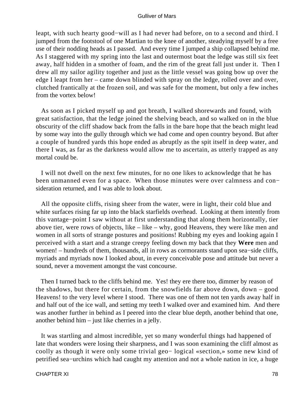leapt, with such hearty good−will as I had never had before, on to a second and third. I jumped from the footstool of one Martian to the knee of another, steadying myself by a free use of their nodding heads as I passed. And every time I jumped a ship collapsed behind me. As I staggered with my spring into the last and outermost boat the ledge was still six feet away, half hidden in a smother of foam, and the rim of the great fall just under it. Then I drew all my sailor agility together and just as the little vessel was going bow up over the edge I leapt from her – came down blinded with spray on the ledge, rolled over and over, clutched frantically at the frozen soil, and was safe for the moment, but only a few inches from the vortex below!

 As soon as I picked myself up and got breath, I walked shorewards and found, with great satisfaction, that the ledge joined the shelving beach, and so walked on in the blue obscurity of the cliff shadow back from the falls in the bare hope that the beach might lead by some way into the gully through which we had come and open country beyond. But after a couple of hundred yards this hope ended as abruptly as the spit itself in deep water, and there I was, as far as the darkness would allow me to ascertain, as utterly trapped as any mortal could be.

 I will not dwell on the next few minutes, for no one likes to acknowledge that he has been unmanned even for a space. When those minutes were over calmness and con− sideration returned, and I was able to look about.

 All the opposite cliffs, rising sheer from the water, were in light, their cold blue and white surfaces rising far up into the black starfields overhead. Looking at them intently from this vantage−point I saw without at first understanding that along them horizontally, tier above tier, were rows of objects, like – like – why, good Heavens, they were like men and women in all sorts of strange postures and positions! Rubbing my eyes and looking again I perceived with a start and a strange creepy feeling down my back that they **Were** men and women! – hundreds of them, thousands, all in rows as cormorants stand upon sea−side cliffs, myriads and myriads now I looked about, in every conceivable pose and attitude but never a sound, never a movement amongst the vast concourse.

Then I turned back to the cliffs behind me. Yes! they ere there too, dimmer by reason of the shadows, but there for certain, from the snowfields far above down, down – good Heavens! to the very level where I stood. There was one of them not ten yards away half in and half out of the ice wall, and setting my teeth I walked over and examined him. And there was another further in behind as I peered into the clear blue depth, another behind that one, another behind him – just like cherries in a jelly.

 It was startling and almost incredible, yet so many wonderful things had happened of late that wonders were losing their sharpness, and I was soon examining the cliff almost as coolly as though it were only some trivial geo− logical «section,» some new kind of petrified sea−urchins which had caught my attention and not a whole nation in ice, a huge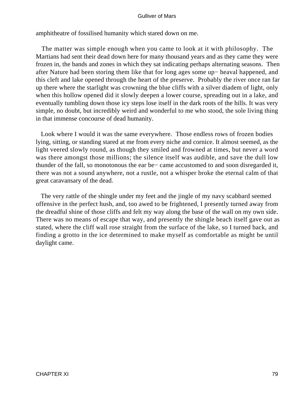amphitheatre of fossilised humanity which stared down on me.

 The matter was simple enough when you came to look at it with philosophy. The Martians had sent their dead down here for many thousand years and as they came they were frozen in, the bands and zones in which they sat indicating perhaps alternating seasons. Then after Nature had been storing them like that for long ages some up− heaval happened, and this cleft and lake opened through the heart of the preserve. Probably the river once ran far up there where the starlight was crowning the blue cliffs with a silver diadem of light, only when this hollow opened did it slowly deepen a lower course, spreading out in a lake, and eventually tumbling down those icy steps lose itself in the dark roots of the hills. It was very simple, no doubt, but incredibly weird and wonderful to me who stood, the sole living thing in that immense concourse of dead humanity.

 Look where I would it was the same everywhere. Those endless rows of frozen bodies lying, sitting, or standing stared at me from every niche and cornice. It almost seemed, as the light veered slowly round, as though they smiled and frowned at times, but never a word was there amongst those millions; the silence itself was audible, and save the dull low thunder of the fall, so monotonous the ear be− came accustomed to and soon disregarded it, there was not a sound anywhere, not a rustle, not a whisper broke the eternal calm of that great caravansary of the dead.

 The very rattle of the shingle under my feet and the jingle of my navy scabbard seemed offensive in the perfect hush, and, too awed to be frightened, I presently turned away from the dreadful shine of those cliffs and felt my way along the base of the wall on my own side. There was no means of escape that way, and presently the shingle beach itself gave out as stated, where the cliff wall rose straight from the surface of the lake, so I turned back, and finding a grotto in the ice determined to make myself as comfortable as might be until daylight came.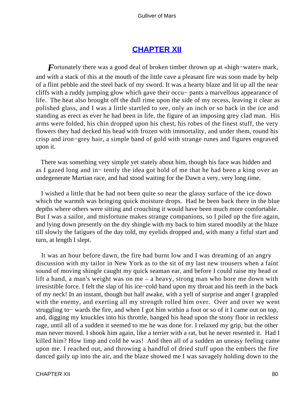# **[CHAPTER XII](#page-144-0)**

*F*ortunately there was a good deal of broken timber thrown up at «high−water» mark, and with a stack of this at the mouth of the little cave a pleasant fire was soon made by help of a flint pebble and the steel back of my sword. It was a hearty blaze and lit up all the near cliffs with a ruddy jumping glow which gave their occu− pants a marvellous appearance of life. The heat also brought off the dull rime upon the side of my recess, leaving it clear as polished glass, and I was a little startled to see, only an inch or so back in the ice and standing as erect as ever he had been in life, the figure of an imposing grey clad man. His arms were folded, his chin dropped upon his chest, his robes of the finest stuff, the very flowers they had decked his head with frozen with immortality, and under them, round his crisp and iron−grey hair, a simple band of gold with strange runes and figures engraved upon it.

 There was something very simple yet stately about him, though his face was hidden and as I gazed long and in− tently the idea got hold of me that he had been a king over an undegenerate Martian race, and had stood waiting for the Dawn a very, very long time.

 I wished a little that he had not been quite so near the glassy surface of the ice down which the warmth was bringing quick moisture drops. Had he been back there in the blue depths where others were sitting and crouching it would have been much more comfortable. But I was a sailor, and misfortune makes strange companions, so I piled up the fire again, and lying down presently on the dry shingle with my back to him stared moodily at the blaze till slowly the fatigues of the day told, my eyelids dropped and, with many a fitful start and turn, at length I slept.

 It was an hour before dawn, the fire had burnt low and I was dreaming of an angry discussion with my tailor in New York as to the sit of my last new trousers when a faint sound of moving shingle caught my quick seaman ear, and before I could raise my head or lift a hand, a man's weight was on me – a heavy, strong man who bore me down with irresistible force. I felt the slap of his ice−cold hand upon my throat and his teeth in the back of my neck! In an instant, though but half awake, with a yell of surprise and anger I grappled with the enemy, and exerting all my strength rolled him over. Over and over we went struggling to− wards the fire, and when I got him within a foot or so of it I came out on top, and, digging my knuckles into his throttle, banged his head upon the stony floor in reckless rage, until all of a sudden it seemed to me he was done for. I relaxed my grip, but the other man never moved. I shook him again, like a terrier with a rat, but he never resented it. Had I killed him? How limp and cold he was! And then all of a sudden an uneasy feeling came upon me. I reached out, and throwing a handful of dried stuff upon the embers the fire danced gaily up into the air, and the blaze showed me I was savagely holding down to the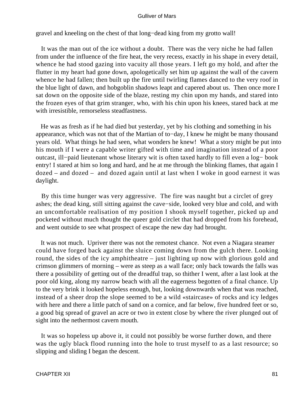gravel and kneeling on the chest of that long−dead king from my grotto wall!

 It was the man out of the ice without a doubt. There was the very niche he had fallen from under the influence of the fire heat, the very recess, exactly in his shape in every detail, whence he had stood gazing into vacuity all those years. I left go my hold, and after the flutter in my heart had gone down, apologetically set him up against the wall of the cavern whence he had fallen; then built up the fire until twirling flames danced to the very roof in the blue light of dawn, and hobgoblin shadows leapt and capered about us. Then once more I sat down on the opposite side of the blaze, resting my chin upon my hands, and stared into the frozen eyes of that grim stranger, who, with his chin upon his knees, stared back at me with irresistible, remorseless steadfastness.

 He was as fresh as if he had died but yesterday, yet by his clothing and something in his appearance, which was not that of the Martian of to−day, I knew he might be many thousand years old. What things he had seen, what wonders he knew! What a story might be put into his mouth if I were a capable writer gifted with time and imagination instead of a poor outcast, ill−paid lieutenant whose literary wit is often taxed hardly to fill even a log− book entry! I stared at him so long and hard, and he at me through the blinking flames, that again I dozed – and dozed – and dozed again until at last when I woke in good earnest it was daylight.

 By this time hunger was very aggressive. The fire was naught but a circlet of grey ashes; the dead king, still sitting against the cave−side, looked very blue and cold, and with an uncomfortable realisation of my position I shook myself together, picked up and pocketed without much thought the queer gold circlet that had dropped from his forehead, and went outside to see what prospect of escape the new day had brought.

 It was not much. Upriver there was not the remotest chance. Not even a Niagara steamer could have forged back against the sluice coming down from the gulch there. Looking round, the sides of the icy amphitheatre – just lighting up now with glorious gold and crimson glimmers of morning – were as steep as a wall face; only back towards the falls was there a possibility of getting out of the dreadful trap, so thither I went, after a last look at the poor old king, along my narrow beach with all the eagerness begotten of a final chance. Up to the very brink it looked hopeless enough, but, looking downwards when that was reached, instead of a sheer drop the slope seemed to be a wild «staircase» of rocks and icy ledges with here and there a little patch of sand on a cornice, and far below, five hundred feet or so, a good big spread of gravel an acre or two in extent close by where the river plunged out of sight into the nethermost cavern mouth.

 It was so hopeless up above it, it could not possibly be worse further down, and there was the ugly black flood running into the hole to trust myself to as a last resource; so slipping and sliding I began the descent.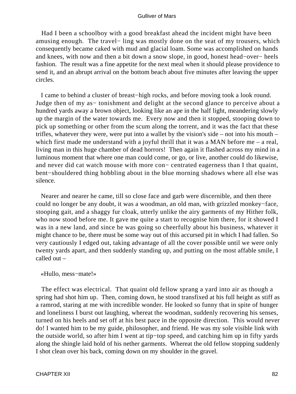Had I been a schoolboy with a good breakfast ahead the incident might have been amusing enough. The travel− ling was mostly done on the seat of my trousers, which consequently became caked with mud and glacial loam. Some was accomplished on hands and knees, with now and then a bit down a snow slope, in good, honest head−over− heels fashion. The result was a fine appetite for the next meal when it should please providence to send it, and an abrupt arrival on the bottom beach about five minutes after leaving the upper circles.

 I came to behind a cluster of breast−high rocks, and before moving took a look round. Judge then of my as− tonishment and delight at the second glance to perceive about a hundred yards away a brown object, looking like an ape in the half light, meandering slowly up the margin of the water towards me. Every now and then it stopped, stooping down to pick up something or other from the scum along the torrent, and it was the fact that these trifles, whatever they were, were put into a wallet by the vision's side – not into his mouth – which first made me understand with a joyful thrill that it was a MAN before me – a real, living man in this huge chamber of dead horrors! Then again it flashed across my mind in a luminous moment that where one man could come, or go, or live, another could do likewise, and never did cat watch mouse with more con− centrated eagerness than I that quaint, bent−shouldered thing hobbling about in the blue morning shadows where all else was silence.

 Nearer and nearer he came, till so close face and garb were discernible, and then there could no longer be any doubt, it was a woodman, an old man, with grizzled monkey−face, stooping gait, and a shaggy fur cloak, utterly unlike the airy garments of my Hither folk, who now stood before me. It gave me quite a start to recognise him there, for it showed I was in a new land, and since he was going so cheerfully about his business, whatever it might chance to be, there must be some way out of this accursed pit in which I had fallen. So very cautiously I edged out, taking advantage of all the cover possible until we were only twenty yards apart, and then suddenly standing up, and putting on the most affable smile, I called out –

#### «Hullo, mess−mate!»

 The effect was electrical. That quaint old fellow sprang a yard into air as though a spring had shot him up. Then, coming down, he stood transfixed at his full height as stiff as a ramrod, staring at me with incredible wonder. He looked so funny that in spite of hunger and loneliness I burst out laughing, whereat the woodman, suddenly recovering his senses, turned on his heels and set off at his best pace in the opposite direction. This would never do! I wanted him to be my guide, philosopher, and friend. He was my sole visible link with the outside world, so after him I went at tip−top speed, and catching him up in fifty yards along the shingle laid hold of his nether garments. Whereat the old fellow stopping suddenly I shot clean over his back, coming down on my shoulder in the gravel.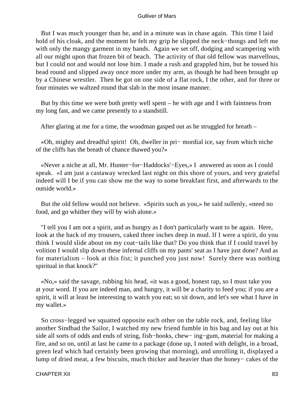But I was much younger than he, and in a minute was in chase again. This time I laid hold of his cloak, and the moment he felt my grip he slipped the neck−thongs and left me with only the mangy garment in my hands. Again we set off, dodging and scampering with all our might upon that frozen bit of beach. The activity of that old fellow was marvellous, but I could not and would not lose him. I made a rush and grappled him, but he tossed his head round and slipped away once more under my arm, as though he had been brought up by a Chinese wrestler. Then he got on one side of a flat rock, I the other, and for three or four minutes we waltzed round that slab in the most insane manner.

 But by this time we were both pretty well spent – he with age and I with faintness from my long fast, and we came presently to a standstill.

After glaring at me for a time, the woodman gasped out as he struggled for breath –

 «Oh, mighty and dreadful spirit! Oh, dweller in pri− mordial ice, say from which niche of the cliffs has the breath of chance thawed you?»

 «Never a niche at all, Mr. Hunter−for−Haddocks'−Eyes,» I answered as soon as I could speak. «I am just a castaway wrecked last night on this shore of yours, and very grateful indeed will I be if you can show me the way to some breakfast first, and afterwards to the outside world.»

 But the old fellow would not believe. «Spirits such as you,» he said sullenly, «need no food, and go whither they will by wish alone.»

 "I tell you I am not a spirit, and as hungry as I don't particularly want to be again. Here, look at the back of my trousers, caked three inches deep in mud. If I were a spirit, do you think I would slide about on my coat−tails like that? Do you think that if I could travel by volition I would slip down these infernal cliffs on my pants' seat as I have just done? And as for materialism – look at this fist; it punched you just now! Surely there was nothing spiritual in that knock?''

 «No,» said the savage, rubbing his head, «it was a good, honest rap, so I must take you at your word. If you are indeed man, and hungry, it will be a charity to feed you; if you are a spirit, it will at least be interesting to watch you eat; so sit down, and let's see what I have in my wallet.»

 So cross−legged we squatted opposite each other on the table rock, and, feeling like another Sindbad the Sailor, I watched my new friend fumble in his bag and lay out at his side all sorts of odds and ends of string, fish−hooks, chew− ing−gum, material for making a fire, and so on, until at last he came to a package (done up, I noted with delight, in a broad, green leaf which had certainly been growing that morning), and unrolling it, displayed a lump of dried meat, a few biscuits, much thicker and heavier than the honey− cakes of the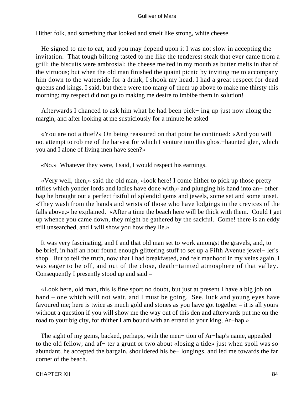Hither folk, and something that looked and smelt like strong, white cheese.

 He signed to me to eat, and you may depend upon it I was not slow in accepting the invitation. That tough biltong tasted to me like the tenderest steak that ever came from a grill; the biscuits were ambrosial; the cheese melted in my mouth as butter melts in that of the virtuous; but when the old man finished the quaint picnic by inviting me to accompany him down to the waterside for a drink, I shook my head. I had a great respect for dead queens and kings, I said, but there were too many of them up above to make me thirsty this morning; my respect did not go to making me desire to imbibe them in solution!

 Afterwards I chanced to ask him what he had been pick− ing up just now along the margin, and after looking at me suspiciously for a minute he asked –

 «You are not a thief?» On being reassured on that point he continued: «And you will not attempt to rob me of the harvest for which I venture into this ghost−haunted glen, which you and I alone of living men have seen?»

«No.» Whatever they were, I said, I would respect his earnings.

 «Very well, then,» said the old man, «look here! I come hither to pick up those pretty trifles which yonder lords and ladies have done with,» and plunging his hand into an− other bag he brought out a perfect fistful of splendid gems and jewels, some set and some unset. «They wash from the hands and wrists of those who have lodgings in the crevices of the falls above,» he explained. «After a time the beach here will be thick with them. Could I get up whence you came down, they might be gathered by the sackful. Come! there is an eddy still unsearched, and I will show you how they lie.»

 It was very fascinating, and I and that old man set to work amongst the gravels, and, to be brief, in half an hour found enough glittering stuff to set up a Fifth Avenue jewel− ler's shop. But to tell the truth, now that I had breakfasted, and felt manhood in my veins again, I was eager to be off, and out of the close, death−tainted atmosphere of that valley. Consequently I presently stood up and said –

 «Look here, old man, this is fine sport no doubt, but just at present I have a big job on hand – one which will not wait, and I must be going. See, luck and young eyes have favoured me; here is twice as much gold and stones as you have got together – it is all yours without a question if you will show me the way out of this den and afterwards put me on the road to your big city, for thither I am bound with an errand to your king, Ar−hap.»

 The sight of my gems, backed, perhaps, with the men− tion of Ar−hap's name, appealed to the old fellow; and af− ter a grunt or two about «losing a tide» just when spoil was so abundant, he accepted the bargain, shouldered his be− longings, and led me towards the far corner of the beach.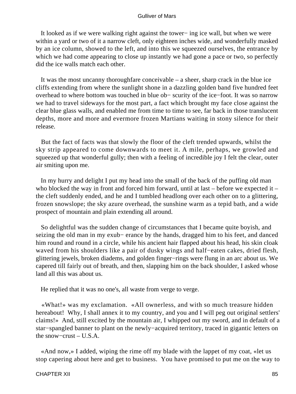It looked as if we were walking right against the tower− ing ice wall, but when we were within a yard or two of it a narrow cleft, only eighteen inches wide, and wonderfully masked by an ice column, showed to the left, and into this we squeezed ourselves, the entrance by which we had come appearing to close up instantly we had gone a pace or two, so perfectly did the ice walls match each other.

 It was the most uncanny thoroughfare conceivable – a sheer, sharp crack in the blue ice cliffs extending from where the sunlight shone in a dazzling golden band five hundred feet overhead to where bottom was touched in blue ob− scurity of the ice−foot. It was so narrow we had to travel sideways for the most part, a fact which brought my face close against the clear blue glass walls, and enabled me from time to time to see, far back in those translucent depths, more and more and evermore frozen Martians waiting in stony silence for their release.

 But the fact of facts was that slowly the floor of the cleft trended upwards, whilst the sky strip appeared to come downwards to meet it. A mile, perhaps, we growled and squeezed up that wonderful gully; then with a feeling of incredible joy I felt the clear, outer air smiting upon me.

 In my hurry and delight I put my head into the small of the back of the puffing old man who blocked the way in front and forced him forward, until at last – before we expected it – the cleft suddenly ended, and he and I tumbled headlong over each other on to a glittering, frozen snowslope; the sky azure overhead, the sunshine warm as a tepid bath, and a wide prospect of mountain and plain extending all around.

 So delightful was the sudden change of circumstances that I became quite boyish, and seizing the old man in my exub− erance by the hands, dragged him to his feet, and danced him round and round in a circle, while his ancient hair flapped about his head, his skin cloak waved from his shoulders like a pair of dusky wings and half−eaten cakes, dried flesh, glittering jewels, broken diadems, and golden finger−rings were flung in an arc about us. We capered till fairly out of breath, and then, slapping him on the back shoulder, I asked whose land all this was about us.

He replied that it was no one's, all waste from verge to verge.

 «What!» was my exclamation. «All ownerless, and with so much treasure hidden hereabout! Why, I shall annex it to my country, and you and I will peg out original settlers' claims!» And, still excited by the mountain air, I whipped out my sword, and in default of a star−spangled banner to plant on the newly−acquired territory, traced in gigantic letters on the snow−crust – U.S.A.

 «And now,» I added, wiping the rime off my blade with the lappet of my coat, «let us stop capering about here and get to business. You have promised to put me on the way to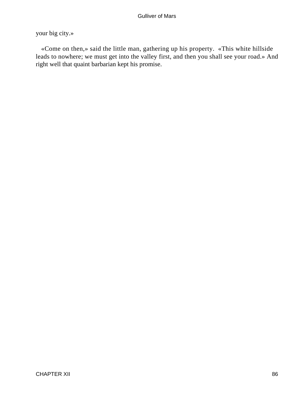### your big city.»

 «Come on then,» said the little man, gathering up his property. «This white hillside leads to nowhere; we must get into the valley first, and then you shall see your road.» And right well that quaint barbarian kept his promise.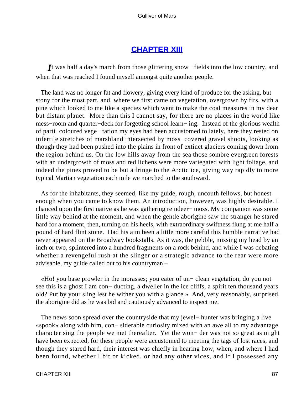### **[CHAPTER XIII](#page-144-0)**

*I*t was half a day's march from those glittering snow– fields into the low country, and when that was reached I found myself amongst quite another people.

 The land was no longer fat and flowery, giving every kind of produce for the asking, but stony for the most part, and, where we first came on vegetation, overgrown by firs, with a pine which looked to me like a species which went to make the coal measures in my dear but distant planet. More than this I cannot say, for there are no places in the world like mess−room and quarter−deck for forgetting school learn− ing. Instead of the glorious wealth of parti−coloured vege− tation my eyes had been accustomed to lately, here they rested on infertile stretches of marshland intersected by moss−covered gravel shoots, looking as though they had been pushed into the plains in front of extinct glaciers coming down from the region behind us. On the low hills away from the sea those sombre evergreen forests with an undergrowth of moss and red lichens were more variegated with light foliage, and indeed the pines proved to be but a fringe to the Arctic ice, giving way rapidly to more typical Martian vegetation each mile we marched to the southward.

 As for the inhabitants, they seemed, like my guide, rough, uncouth fellows, but honest enough when you came to know them. An introduction, however, was highly desirable. I chanced upon the first native as he was gathering reindeer− moss. My companion was some little way behind at the moment, and when the gentle aborigine saw the stranger he stared hard for a moment, then, turning on his heels, with extraordinary swiftness flung at me half a pound of hard flint stone. Had his aim been a little more careful this humble narrative had never appeared on the Broadway bookstalls. As it was, the pebble, missing my head by an inch or two, splintered into a hundred fragments on a rock behind, and while I was debating whether a revengeful rush at the slinger or a strategic advance to the rear were more advisable, my guide called out to his countryman –

 «Ho! you base prowler in the morasses; you eater of un− clean vegetation, do you not see this is a ghost I am con− ducting, a dweller in the ice cliffs, a spirit ten thousand years old? Put by your sling lest he wither you with a glance.» And, very reasonably, surprised, the aborigine did as he was bid and cautiously advanced to inspect me.

 The news soon spread over the countryside that my jewel− hunter was bringing a live «spook» along with him, con− siderable curiosity mixed with an awe all to my advantage characterising the people we met thereafter. Yet the won− der was not so great as might have been expected, for these people were accustomed to meeting the tags of lost races, and though they stared hard, their interest was chiefly in hearing how, when, and where I had been found, whether I bit or kicked, or had any other vices, and if I possessed any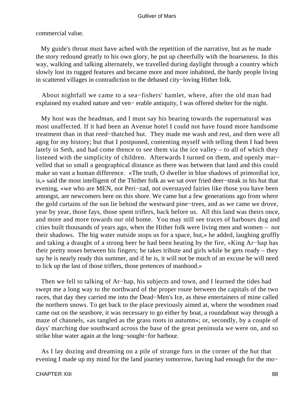commercial value.

 My guide's throat must have ached with the repetition of the narrative, but as he made the story redound greatly to his own glory, he put up cheerfully with the hoarseness. In this way, walking and talking alternately, we travelled during daylight through a country which slowly lost its rugged features and became more and more inhabited, the hardy people living in scattered villages in contradiction to the debased city−loving Hither folk.

 About nightfall we came to a sea−fishers' hamlet, where, after the old man had explained my exalted nature and ven− erable antiquity, I was offered shelter for the night.

 My host was the headman, and I must say his bearing towards the supernatural was most unaffected. If it had been an Avenue hotel I could not have found more handsome treatment than in that reed−thatched hut. They made me wash and rest, and then were all agog for my history; but that I postponed, contenting myself with telling them I had been lately in Seth, and had come thence to see them via the ice valley – to all of which they listened with the simplicity of children. Afterwards I turned on them, and openly mar− velled that so small a geographical distance as there was between that land and this could make so vast a human difference. «The truth, O dweller in blue shadows of primordial ice, is,» said the most intelligent of the Thither folk as we sat over fried deer−steak in his hut that evening, «we who are MEN, not Peri−zad, not overstayed fairies like those you have been amongst, are newcomers here on this shore. We came but a few generations ago from where the gold curtains of the sun lie behind the westward pine−trees, and as we came we drove, year by year, those fays, those spent triflers, back before us. All this land was theirs once, and more and more towards our old home. You may still see traces of harbours dug and cities built thousands of years ago, when the Hither folk were living men and women – not their shadows. The big water outside stops us for a space, but,» he added, laughing gruffly and taking a draught of a strong beer he had been heating by the fire, «King Ar−hap has their pretty noses between his fingers; he takes tribute and girls while he gets ready – they say he is nearly ready this summer, and if he is, it will not be much of an excuse he will need to lick up the last of those triflers, those pretences of manhood.»

 Then we fell to talking of Ar−hap, his subjects and town, and I learned the tides had swept me a long way to the northward of the proper route between the capitals of the two races, that day they carried me into the Dead−Men's Ice, as these entertainers of mine called the northern snows. To get back to the place previously aimed at, where the woodmen road came out on the seashore, it was necessary to go either by boat, a roundabout way through a maze of channels, «as tangled as the grass roots in autumn»; or, secondly, by a couple of days' marching due southward across the base of the great peninsula we were on, and so strike blue water again at the long−sought−for harbour.

 As I lay dozing and dreaming on a pile of strange furs in the corner of the hut that evening I made up my mind for the land journey tomorrow, having had enough for the mo−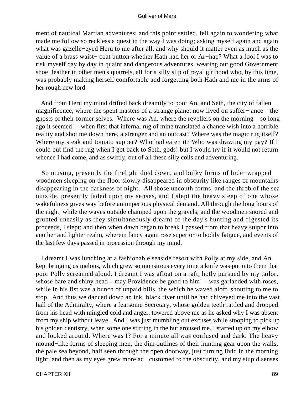ment of nautical Martian adventures; and this point settled, fell again to wondering what made me follow so reckless a quest in the way I was doing; asking myself again and again what was gazelle−eyed Heru to me after all, and why should it matter even as much as the value of a brass waist− coat button whether Hath had her or Ar−hap? What a fool I was to risk myself day by day in quaint and dangerous adventures, wearing out good Government shoe−leather in other men's quarrels, all for a silly slip of royal girlhood who, by this time, was probably making herself comfortable and forgetting both Hath and me in the arms of her rough new lord.

 And from Heru my mind drifted back dreamily to poor An, and Seth, the city of fallen magnificence, where the spent masters of a strange planet now lived on suffer− ance – the ghosts of their former selves. Where was An, where the revellers on the morning – so long ago it seemed! – when first that infernal rug of mine translated a chance wish into a horrible reality and shot me down here, a stranger and an outcast? Where was the magic rug itself? Where my steak and tomato supper? Who had eaten it? Who was drawing my pay? If I could but find the rug when I got back to Seth, gods! but I would try if it would not return whence I had come, and as swiftly, out of all these silly coils and adventuring.

 So musing, presently the firelight died down, and bulky forms of hide−wrapped woodmen sleeping on the floor slowly disappeared in obscurity like ranges of mountains disappearing in the darkness of night. All those uncouth forms, and the throb of the sea outside, presently faded upon my senses, and I slept the heavy sleep of one whose wakefulness gives way before an imperious physical demand. All through the long hours of the night, while the waves outside champed upon the gravels, and the woodmen snored and grunted uneasily as they simultaneously dreamt of the day's hunting and digested its proceeds, I slept; and then when dawn began to break I passed from that heavy stupor into another and lighter realm, wherein fancy again rose superior to bodily fatigue, and events of the last few days passed in procession through my mind.

 I dreamt I was lunching at a fashionable seaside resort with Polly at my side, and An kept bringing us melons, which grew so monstrous every time a knife was put into them that poor Polly screamed aloud. I dreamt I was afloat on a raft, hotly pursued by my tailor, whose bare and shiny head – may Providence be good to him! – was garlanded with roses, while in his fist was a bunch of unpaid bills, the which he waved aloft, shouting to me to stop. And thus we danced down an ink−black river until he had chiveyed me into the vast hall of the Admiralty, where a fearsome Secretary, whose golden teeth rattled and dropped from his head with mingled cold and anger, towered above me as he asked why I was absent from my ship without leave. And I was just mumbling out excuses while stooping to pick up his golden dentistry, when some one stirring in the hut aroused me. I started up on my elbow and looked around. Where was I? For a minute all was confused and dark. The heavy mound−like forms of sleeping men, the dim outlines of their hunting gear upon the walls, the pale sea beyond, half seen through the open doorway, just turning livid in the morning light; and then as my eyes grew more ac− customed to the obscurity, and my stupid senses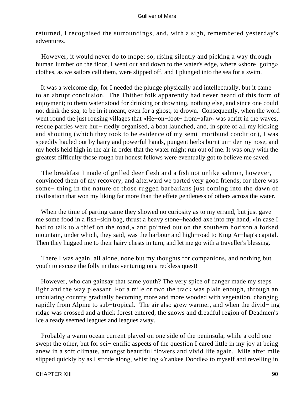returned, I recognised the surroundings, and, with a sigh, remembered yesterday's adventures.

 However, it would never do to mope; so, rising silently and picking a way through human lumber on the floor, I went out and down to the water's edge, where «shore−going» clothes, as we sailors call them, were slipped off, and I plunged into the sea for a swim.

 It was a welcome dip, for I needed the plunge physically and intellectually, but it came to an abrupt conclusion. The Thither folk apparently had never heard of this form of enjoyment; to them water stood for drinking or drowning, nothing else, and since one could not drink the sea, to be in it meant, even for a ghost, to drown. Consequently, when the word went round the just rousing villages that «He−on−foot− from−afar» was adrift in the waves, rescue parties were hur− riedly organised, a boat launched, and, in spite of all my kicking and shouting (which they took to be evidence of my semi−moribund condition), I was speedily hauled out by hairy and powerful hands, pungent herbs burnt un− der my nose, and my heels held high in the air in order that the water might run out of me. It was only with the greatest difficulty those rough but honest fellows were eventually got to believe me saved.

 The breakfast I made of grilled deer flesh and a fish not unlike salmon, however, convinced them of my recovery, and afterward we parted very good friends; for there was some− thing in the nature of those rugged barbarians just coming into the dawn of civilisation that won my liking far more than the effete gentleness of others across the water.

 When the time of parting came they showed no curiosity as to my errand, but just gave me some food in a fish−skin bag, thrust a heavy stone−headed axe into my hand, «in case I had to talk to a thief on the road,» and pointed out on the southern horizon a forked mountain, under which, they said, was the harbour and high−road to King Ar−hap's capital. Then they hugged me to their hairy chests in turn, and let me go with a traveller's blessing.

 There I was again, all alone, none but my thoughts for companions, and nothing but youth to excuse the folly in thus venturing on a reckless quest!

 However, who can gainsay that same youth? The very spice of danger made my steps light and the way pleasant. For a mile or two the track was plain enough, through an undulating country gradually becoming more and more wooded with vegetation, changing rapidly from Alpine to sub−tropical. The air also grew warmer, and when the divid− ing ridge was crossed and a thick forest entered, the snows and dreadful region of Deadmen's Ice already seemed leagues and leagues away.

 Probably a warm ocean current played on one side of the peninsula, while a cold one swept the other, but for sci– entific aspects of the question I cared little in my joy at being anew in a soft climate, amongst beautiful flowers and vivid life again. Mile after mile slipped quickly by as I strode along, whistling «Yankee Doodle» to myself and revelling in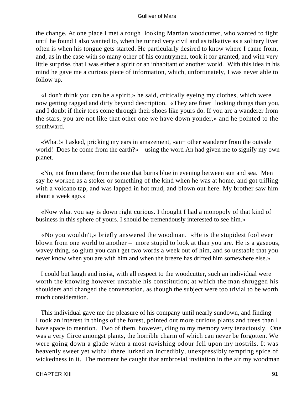the change. At one place I met a rough−looking Martian woodcutter, who wanted to fight until he found I also wanted to, when he turned very civil and as talkative as a solitary liver often is when his tongue gets started. He particularly desired to know where I came from, and, as in the case with so many other of his countrymen, took it for granted, and with very little surprise, that I was either a spirit or an inhabitant of another world. With this idea in his mind he gave me a curious piece of information, which, unfortunately, I was never able to follow up.

 «I don't think you can be a spirit,» he said, critically eyeing my clothes, which were now getting ragged and dirty beyond description. «They are finer−looking things than you, and I doubt if their toes come through their shoes like yours do. If you are a wanderer from the stars, you are not like that other one we have down yonder,» and he pointed to the southward.

 «What!» I asked, pricking my ears in amazement, «an− other wanderer from the outside world! Does he come from the earth?» – using the word An had given me to signify my own planet.

 «No, not from there; from the one that burns blue in evening between sun and sea. Men say he worked as a stoker or something of the kind when he was at home, and got trifling with a volcano tap, and was lapped in hot mud, and blown out here. My brother saw him about a week ago.»

 «Now what you say is down right curious. I thought I had a monopoly of that kind of business in this sphere of yours. I should be tremendously interested to see him.»

 «No you wouldn't,» briefly answered the woodman. «He is the stupidest fool ever blown from one world to another – more stupid to look at than you are. He is a gaseous, wavey thing, so glum you can't get two words a week out of him, and so unstable that you never know when you are with him and when the breeze has drifted him somewhere else.»

 I could but laugh and insist, with all respect to the woodcutter, such an individual were worth the knowing however unstable his constitution; at which the man shrugged his shoulders and changed the conversation, as though the subject were too trivial to be worth much consideration.

 This individual gave me the pleasure of his company until nearly sundown, and finding I took an interest in things of the forest, pointed out more curious plants and trees than I have space to mention. Two of them, however, cling to my memory very tenaciously. One was a very Circe amongst plants, the horrible charm of which can never be forgotten. We were going down a glade when a most ravishing odour fell upon my nostrils. It was heavenly sweet yet withal there lurked an incredibly, unexpressibly tempting spice of wickedness in it. The moment he caught that ambrosial invitation in the air my woodman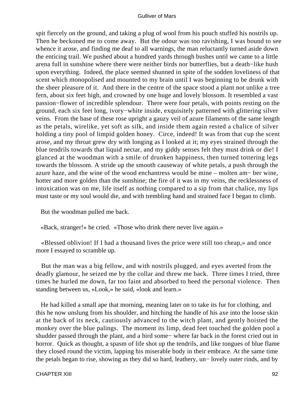spit fiercely on the ground, and taking a plug of wool from his pouch stuffed his nostrils up. Then he beckoned me to come away. But the odour was too ravishing, I was bound to see whence it arose, and finding me deaf to all warnings, the man reluctantly turned aside down the enticing trail. We pushed about a hundred yards through bushes until we came to a little arena full in sunshine where there were neither birds nor butterflies, but a death−like hush upon everything. Indeed, the place seemed shunned in spite of the sodden loveliness of that scent which monopolised and mounted to my brain until I was beginning to be drunk with the sheer pleasure of it. And there in the centre of the space stood a plant not unlike a tree fern, about six feet high, and crowned by one huge and lovely blossom. It resembled a vast passion−flower of incredible splendour. There were four petals, with points resting on the ground, each six feet long, ivory−white inside, exquisitely patterned with glittering silver veins. From the base of these rose upright a gauzy veil of azure filaments of the same length as the petals, wirelike, yet soft as silk, and inside them again rested a chalice of silver holding a tiny pool of limpid golden honey. Circe, indeed! It was from that cup the scent arose, and my throat grew dry with longing as I looked at it; my eyes strained through the blue tendrils towards that liquid nectar, and my giddy senses felt they must drink or die! I glanced at the woodman with a smile of drunken happiness, then turned tottering legs towards the blossom. A stride up the smooth causeway of white petals, a push through the azure haze, and the wine of the wood enchantress would be mine – molten am− ber wine, hotter and more golden than the sunshine; the fire of it was in my veins, the recklessness of intoxication was on me, life itself as nothing compared to a sip from that chalice, my lips must taste or my soul would die, and with trembling hand and strained face I began to climb.

But the woodman pulled me back.

«Back, stranger!» he cried. «Those who drink there never live again.»

 «Blessed oblivion! If I had a thousand lives the price were still too cheap,» and once more I essayed to scramble up.

 But the man was a big fellow, and with nostrils plugged, and eyes averted from the deadly glamour, he seized me by the collar and threw me back. Three times I tried, three times he hurled me down, far too faint and absorbed to heed the personal violence. Then standing between us, «Look,» he said, «look and learn.»

 He had killed a small ape that morning, meaning later on to take its fur for clothing, and this he now unslung from his shoulder, and hitching the handle of his axe into the loose skin at the back of its neck, cautiously advanced to the witch plant, and gently hoisted the monkey over the blue palings. The moment its limp, dead feet touched the golden pool a shudder passed through the plant, and a bird some− where far back in the forest cried out in horror. Quick as thought, a spasm of life shot up the tendrils, and like tongues of blue flame they closed round the victim, lapping his miserable body in their embrace. At the same time the petals began to rise, showing as they did so hard, leathery, un− lovely outer rinds, and by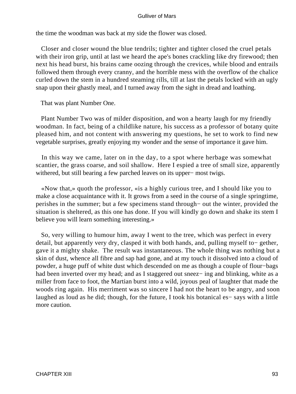the time the woodman was back at my side the flower was closed.

 Closer and closer wound the blue tendrils; tighter and tighter closed the cruel petals with their iron grip, until at last we heard the ape's bones crackling like dry firewood; then next his head burst, his brains came oozing through the crevices, while blood and entrails followed them through every cranny, and the horrible mess with the overflow of the chalice curled down the stem in a hundred steaming rills, till at last the petals locked with an ugly snap upon their ghastly meal, and I turned away from the sight in dread and loathing.

That was plant Number One.

 Plant Number Two was of milder disposition, and won a hearty laugh for my friendly woodman. In fact, being of a childlike nature, his success as a professor of botany quite pleased him, and not content with answering my questions, he set to work to find new vegetable surprises, greatly enjoying my wonder and the sense of importance it gave him.

 In this way we came, later on in the day, to a spot where herbage was somewhat scantier, the grass coarse, and soil shallow. Here I espied a tree of small size, apparently withered, but still bearing a few parched leaves on its upper− most twigs.

 «Now that,» quoth the professor, «is a highly curious tree, and I should like you to make a close acquaintance with it. It grows from a seed in the course of a single springtime, perishes in the summer; but a few specimens stand through− out the winter, provided the situation is sheltered, as this one has done. If you will kindly go down and shake its stem I believe you will learn something interesting.»

 So, very willing to humour him, away I went to the tree, which was perfect in every detail, but apparently very dry, clasped it with both hands, and, pulling myself to− gether, gave it a mighty shake. The result was instantaneous. The whole thing was nothing but a skin of dust, whence all fibre and sap had gone, and at my touch it dissolved into a cloud of powder, a huge puff of white dust which descended on me as though a couple of flour−bags had been inverted over my head; and as I staggered out sneez− ing and blinking, white as a miller from face to foot, the Martian burst into a wild, joyous peal of laughter that made the woods ring again. His merriment was so sincere I had not the heart to be angry, and soon laughed as loud as he did; though, for the future, I took his botanical es− says with a little more caution.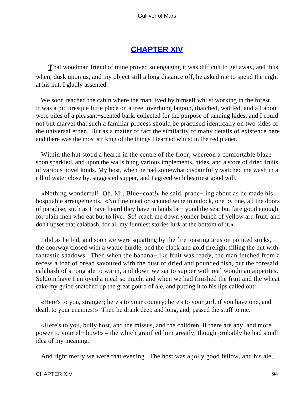## **[CHAPTER XIV](#page-144-0)**

**That woodman friend of mine proved so engaging it was difficult to get away, and thus** when, dusk upon us, and my object still a long distance off, he asked me to spend the night at his hut, I gladly assented.

 We soon reached the cabin where the man lived by himself whilst working in the forest. It was a picturesque little place on a tree−overhung lagoon, thatched, wattled, and all about were piles of a pleasant−scented bark, collected for the purpose of tanning hides, and I could not but marvel that such a familiar process should be practised identically on two sides of the universal ether. But as a matter of fact the similarity of many details of existence here and there was the most striking of the things I learned whilst in the red planet.

 Within the hut stood a hearth in the centre of the floor, whereon a comfortable blaze soon sparkled, and upon the walls hung various implements, hides, and a store of dried fruits of various novel kinds. My host, when he had somewhat disdainfully watched me wash in a rill of water close by, suggested supper, and I agreed with heartiest good will.

 «Nothing wonderful! Oh, Mr. Blue−coat!» he said, pranc− ing about as he made his hospitable arrangements. «No fine meat or scented wine to unlock, one by one, all the doors of paradise, such as I have heard they have in lands be− yond the sea; but fare good enough for plain men who eat but to live. So! reach me down yonder bunch of yellow aru fruit, and don't upset that calabash, for all my funniest stories lurk at the bottom of it.»

 I did as he bid, and soon we were squatting by the fire toasting arus on pointed sticks, the doorway closed with a wattle hurdle, and the black and gold firelight filling the hut with fantastic shadows. Then when the banana−like fruit was ready, the man fetched from a recess a loaf of bread savoured with the dust of dried and pounded fish, put the foresaid calabash of strong ale to warm, and down we sat to supper with real woodman appetites. Seldom have I enjoyed a meal so much, and when we had finished the fruit and the wheat cake my guide snatched up the great gourd of ale, and putting it to his lips called out:

 «Here's to you, stranger; here's to your country; here's to your girl, if you have one, and death to your enemies!» Then he drank deep and long, and, passed the stuff to me.

 «Here's to you, bully host, and the missus, and the children, if there are any, and more power to your el− bow!» – the which gratified him greatly, though probably he had small idea of my meaning.

And right merry we were that evening. The host was a jolly good fellow, and his ale,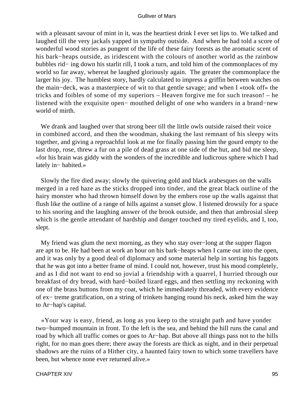with a pleasant savour of mint in it, was the heartiest drink I ever set lips to. We talked and laughed till the very jackals yapped in sympathy outside. And when he had told a score of wonderful wood stories as pungent of the life of these fairy forests as the aromatic scent of his bark−heaps outside, as iridescent with the colours of another world as the rainbow bubbles rid− ing down his starlit rill, I took a turn, and told him of the commonplaces of my world so far away, whereat he laughed gloriously again. The greater the commonplace the larger his joy. The humblest story, hardly calculated to impress a griffin between watches on the main−deck, was a masterpiece of wit to that gentle savage; and when I «took off» the tricks and foibles of some of my superiors – Heaven forgive me for such treason! – he listened with the exquisite open− mouthed delight of one who wanders in a brand−new world of mirth.

We drank and laughed over that strong beer till the little owls outside raised their voice in combined accord, and then the woodman, shaking the last remnant of his sleepy wits together, and giving a reproachful look at me for finally passing him the gourd empty to the last drop, rose, threw a fur on a pile of dead grass at one side of the hut, and bid me sleep, «for his brain was giddy with the wonders of the incredible and ludicrous sphere which I had lately in− habited.»

 Slowly the fire died away; slowly the quivering gold and black arabesques on the walls merged in a red haze as the sticks dropped into tinder, and the great black outline of the hairy monster who had thrown himself down by the embers rose up the walls against that flush like the outline of a range of hills against a sunset glow. I listened drowsily for a space to his snoring and the laughing answer of the brook outside, and then that ambrosial sleep which is the gentle attendant of hardship and danger touched my tired eyelids, and I, too, slept.

 My friend was glum the next morning, as they who stay over−long at the supper flagon are apt to be. He had been at work an hour on his bark−heaps when I came out into the open, and it was only by a good deal of diplomacy and some material help in sorting his faggots that he was got into a better frame of mind. I could not, however, trust his mood completely, and as I did not want to end so jovial a friendship with a quarrel, I hurried through our breakfast of dry bread, with hard−boiled lizard eggs, and then settling my reckoning with one of the brass buttons from my coat, which he immediately threaded, with every evidence of ex− treme gratification, on a string of trinkets hanging round his neck, asked him the way to Ar−hap's capital.

 «Your way is easy, friend, as long as you keep to the straight path and have yonder two−humped mountain in front. To the left is the sea, and behind the hill runs the canal and road by which all traffic comes or goes to Ar−hap. But above all things pass not to the hills right, for no man goes there; there away the forests are thick as night, and in their perpetual shadows are the ruins of a Hither city, a haunted fairy town to which some travellers have been, but whence none ever returned alive.»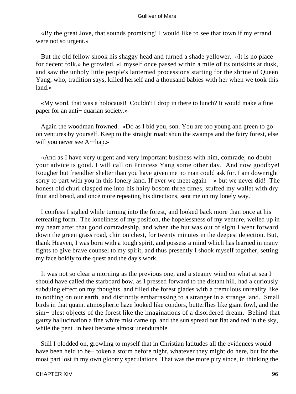«By the great Jove, that sounds promising! I would like to see that town if my errand were not so urgent.»

 But the old fellow shook his shaggy head and turned a shade yellower. «It is no place for decent folk,» he growled. «I myself once passed within a mile of its outskirts at dusk, and saw the unholy little people's lanterned processions starting for the shrine of Queen Yang, who, tradition says, killed herself and a thousand babies with her when we took this land.»

 «My word, that was a holocaust! Couldn't I drop in there to lunch? It would make a fine paper for an anti− quarian society.»

 Again the woodman frowned. «Do as I bid you, son. You are too young and green to go on ventures by yourself. Keep to the straight road: shun the swamps and the fairy forest, else will you never see Ar−hap.»

 «And as I have very urgent and very important business with him, comrade, no doubt your advice is good. I will call on Princess Yang some other day. And now goodbye! Rougher but friendlier shelter than you have given me no man could ask for. I am downright sorry to part with you in this lonely land. If ever we meet again  $-\infty$  but we never did! The honest old churl clasped me into his hairy bosom three times, stuffed my wallet with dry fruit and bread, and once more repeating his directions, sent me on my lonely way.

 I confess I sighed while turning into the forest, and looked back more than once at his retreating form. The loneliness of my position, the hopelessness of my venture, welled up in my heart after that good comradeship, and when the hut was out of sight I went forward down the green grass road, chin on chest, for twenty minutes in the deepest dejection. But, thank Heaven, I was born with a tough spirit, and possess a mind which has learned in many fights to give brave counsel to my spirit, and thus presently I shook myself together, setting my face boldly to the quest and the day's work.

 It was not so clear a morning as the previous one, and a steamy wind on what at sea I should have called the starboard bow, as I pressed forward to the distant hill, had a curiously subduing effect on my thoughts, and filled the forest glades with a tremulous unreality like to nothing on our earth, and distinctly embarrassing to a stranger in a strange land. Small birds in that quaint atmospheric haze looked like condors, butterflies like giant fowl, and the sim− plest objects of the forest like the imaginations of a disordered dream. Behind that gauzy hallucination a fine white mist came up, and the sun spread out flat and red in the sky, while the pent−in heat became almost unendurable.

 Still I plodded on, growling to myself that in Christian latitudes all the evidences would have been held to be− token a storm before night, whatever they might do here, but for the most part lost in my own gloomy speculations. That was the more pity since, in thinking the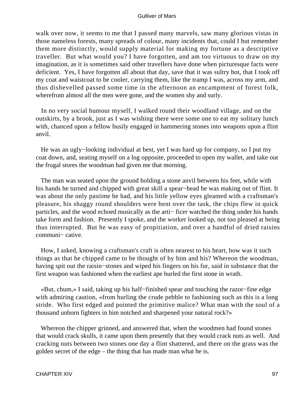walk over now, it seems to me that I passed many marvels, saw many glorious vistas in those nameless forests, many spreads of colour, many incidents that, could I but remember them more distinctly, would supply material for making my fortune as a descriptive traveller. But what would you? I have forgotten, and am too virtuous to draw on my imagination, as it is sometimes said other travellers have done when picturesque facts were deficient. Yes, I have forgotten all about that day, save that it was sultry hot, that I took off my coat and waistcoat to be cooler, carrying them, like the tramp I was, across my arm, and thus dishevelled passed some time in the afternoon an encampment of forest folk, wherefrom almost all the men were gone, and the women shy and surly.

 In no very social humour myself, I walked round their woodland village, and on the outskirts, by a brook, just as I was wishing there were some one to eat my solitary lunch with, chanced upon a fellow busily engaged in hammering stones into weapons upon a flint anvil.

 He was an ugly−looking individual at best, yet I was hard up for company, so I put my coat down, and, seating myself on a log opposite, proceeded to open my wallet, and take out the frugal stores the woodman had given me that morning.

 The man was seated upon the ground holding a stone anvil between his feet, while with his hands he turned and chipped with great skill a spear−head he was making out of flint. It was about the only pastime he had, and his little yellow eyes gleamed with a craftsman's pleasure, his shaggy round shoulders were bent over the task, the chips flew in quick particles, and the wood echoed musically as the arti− ficer watched the thing under his hands take form and fashion. Presently I spoke, and the worker looked up, not too pleased at being thus interrupted. But he was easy of propitiation, and over a handful of dried raisins communi− cative.

 How, I asked, knowing a craftsman's craft is often nearest to his heart, how was it such things as that he chipped came to be thought of by him and his? Whereon the woodman, having spit out the raisin−stones and wiped his fingers on his fur, said in substance that the first weapon was fashioned when the earliest ape hurled the first stone in wrath.

 «But, chum,» I said, taking up his half−finished spear and touching the razor−fine edge with admiring caution, «from hurling the crude pebble to fashioning such as this is a long stride. Who first edged and pointed the primitive malice? What man with the soul of a thousand unborn fighters in him notched and sharpened your natural rock?»

 Whereon the chipper grinned, and answered that, when the woodmen had found stones that would crack skulls, it came upon them presently that they would crack nuts as well. And cracking nuts between two stones one day a flint shattered, and there on the grass was the golden secret of the edge – the thing that has made man what he is.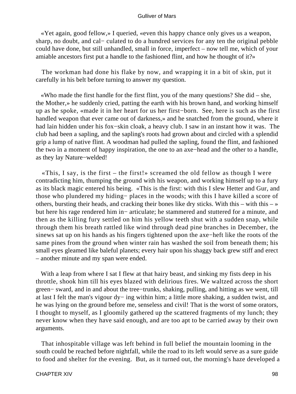«Yet again, good fellow,» I queried, «even this happy chance only gives us a weapon, sharp, no doubt, and cal− culated to do a hundred services for any ten the original pebble could have done, but still unhandled, small in force, imperfect – now tell me, which of your amiable ancestors first put a handle to the fashioned flint, and how he thought of it?»

 The workman had done his flake by now, and wrapping it in a bit of skin, put it carefully in his belt before turning to answer my question.

 «Who made the first handle for the first flint, you of the many questions? She did – she, the Mother,» he suddenly cried, patting the earth with his brown hand, and working himself up as he spoke, «made it in her heart for us her first−born. See, here is such as the first handled weapon that ever came out of darkness,» and he snatched from the ground, where it had lain hidden under his fox−skin cloak, a heavy club. I saw in an instant how it was. The club had been a sapling, and the sapling's roots had grown about and circled with a splendid grip a lump of native flint. A woodman had pulled the sapling, found the flint, and fashioned the two in a moment of happy inspiration, the one to an axe−head and the other to a handle, as they lay Nature−welded!

«This, I say, is the first – the first!» screamed the old fellow as though I were contradicting him, thumping the ground with his weapon, and working himself up to a fury as its black magic entered his being. «This is the first: with this I slew Hetter and Gur, and those who plundered my hiding− places in the woods; with this I have killed a score of others, bursting their heads, and cracking their bones like dry sticks. With this – with this –  $\ast$ but here his rage rendered him in− articulate; he stammered and stuttered for a minute, and then as the killing fury settled on him his yellow teeth shut with a sudden snap, while through them his breath rattled like wind through dead pine branches in December, the sinews sat up on his hands as his fingers tightened upon the axe−heft like the roots of the same pines from the ground when winter rain has washed the soil from beneath them; his small eyes gleamed like baleful planets; every hair upon his shaggy back grew stiff and erect – another minute and my span were ended.

With a leap from where I sat I flew at that hairy beast, and sinking my fists deep in his throttle, shook him till his eyes blazed with delirious fires. We waltzed across the short green− sward, and in and about the tree−trunks, shaking, pulling, and hitting as we went, till at last I felt the man's vigour dy− ing within him; a little more shaking, a sudden twist, and he was lying on the ground before me, senseless and civil! That is the worst of some orators, I thought to myself, as I gloomily gathered up the scattered fragments of my lunch; they never know when they have said enough, and are too apt to be carried away by their own arguments.

 That inhospitable village was left behind in full belief the mountain looming in the south could be reached before nightfall, while the road to its left would serve as a sure guide to food and shelter for the evening. But, as it turned out, the morning's haze developed a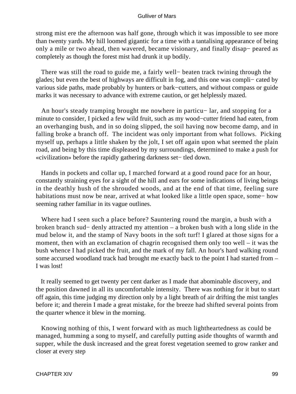strong mist ere the afternoon was half gone, through which it was impossible to see more than twenty yards. My hill loomed gigantic for a time with a tantalising appearance of being only a mile or two ahead, then wavered, became visionary, and finally disap− peared as completely as though the forest mist had drunk it up bodily.

 There was still the road to guide me, a fairly well− beaten track twining through the glades; but even the best of highways are difficult in fog, and this one was compli− cated by various side paths, made probably by hunters or bark−cutters, and without compass or guide marks it was necessary to advance with extreme caution, or get helplessly mazed.

 An hour's steady tramping brought me nowhere in particu− lar, and stopping for a minute to consider, I picked a few wild fruit, such as my wood−cutter friend had eaten, from an overhanging bush, and in so doing slipped, the soil having now become damp, and in falling broke a branch off. The incident was only important from what follows. Picking myself up, perhaps a little shaken by the jolt, I set off again upon what seemed the plain road, and being by this time displeased by my surroundings, determined to make a push for «civilization» before the rapidly gathering darkness set− tled down.

 Hands in pockets and collar up, I marched forward at a good round pace for an hour, constantly straining eyes for a sight of the hill and ears for some indications of living beings in the deathly hush of the shrouded woods, and at the end of that time, feeling sure habitations must now be near, arrived at what looked like a little open space, some− how seeming rather familiar in its vague outlines.

 Where had I seen such a place before? Sauntering round the margin, a bush with a broken branch sud− denly attracted my attention – a broken bush with a long slide in the mud below it, and the stamp of Navy boots in the soft turf! I glared at those signs for a moment, then with an exclamation of chagrin recognised them only too well – it was the bush whence I had picked the fruit, and the mark of my fall. An hour's hard walking round some accursed woodland track had brought me exactly back to the point I had started from – I was lost!

 It really seemed to get twenty per cent darker as I made that abominable discovery, and the position dawned in all its uncomfortable intensity. There was nothing for it but to start off again, this time judging my direction only by a light breath of air drifting the mist tangles before it; and therein I made a great mistake, for the breeze had shifted several points from the quarter whence it blew in the morning.

 Knowing nothing of this, I went forward with as much lightheartedness as could be managed, humming a song to myself, and carefully putting aside thoughts of warmth and supper, while the dusk increased and the great forest vegetation seemed to grow ranker and closer at every step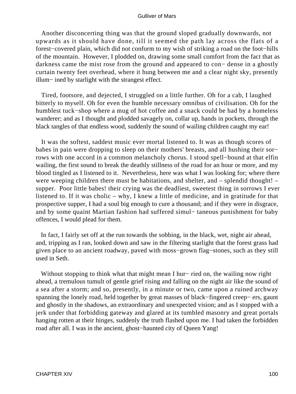Another disconcerting thing was that the ground sloped gradually downwards, not upwards as it should have done, till it seemed the path lay across the flats of a forest−covered plain, which did not conform to my wish of striking a road on the foot−hills of the mountain. However, I plodded on, drawing some small comfort from the fact that as darkness came the mist rose from the ground and appeared to con− dense in a ghostly curtain twenty feet overhead, where it hung between me and a clear night sky, presently illum− ined by starlight with the strangest effect.

 Tired, footsore, and dejected, I struggled on a little further. Oh for a cab, I laughed bitterly to myself. Oh for even the humble necessary omnibus of civilisation. Oh for the humblest tuck−shop where a mug of hot coffee and a snack could be had by a homeless wanderer; and as I thought and plodded savagely on, collar up, hands in pockets, through the black tangles of that endless wood, suddenly the sound of wailing children caught my ear!

 It was the softest, saddest music ever mortal listened to. It was as though scores of babes in pain were dropping to sleep on their mothers' breasts, and all hushing their sor− rows with one accord in a common melancholy chorus. I stood spell−bound at that elfin wailing, the first sound to break the deathly stillness of the road for an hour or more, and my blood tingled as I listened to it. Nevertheless, here was what I was looking for; where there were weeping children there must be habitations, and shelter, and – splendid thought! – supper. Poor little babes! their crying was the deadliest, sweetest thing in sorrows I ever listened to. If it was cholic – why, I knew a little of medicine, and in gratitude for that prospective supper, I had a soul big enough to cure a thousand; and if they were in disgrace, and by some quaint Martian fashion had suffered simul− taneous punishment for baby offences, I would plead for them.

 In fact, I fairly set off at the run towards the sobbing, in the black, wet, night air ahead, and, tripping as I ran, looked down and saw in the filtering starlight that the forest grass had given place to an ancient roadway, paved with moss−grown flag−stones, such as they still used in Seth.

 Without stopping to think what that might mean I hur− ried on, the wailing now right ahead, a tremulous tumult of gentle grief rising and falling on the night air like the sound of a sea after a storm; and so, presently, in a minute or two, came upon a ruined archway spanning the lonely road, held together by great masses of black−fingered creep− ers, gaunt and ghostly in the shadows, an extraordinary and unexpected vision; and as I stopped with a jerk under that forbidding gateway and glared at its tumbled masonry and great portals hanging rotten at their hinges, suddenly the truth flashed upon me. I had taken the forbidden road after all. I was in the ancient, ghost−haunted city of Queen Yang!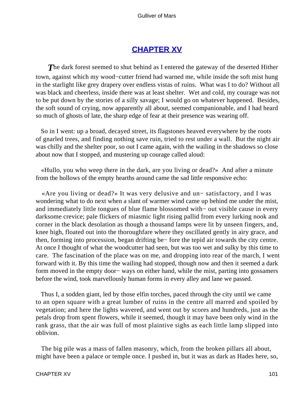# **[CHAPTER XV](#page-144-0)**

**The dark forest seemed to shut behind as I entered the gateway of the deserted Hither** town, against which my wood−cutter friend had warned me, while inside the soft mist hung in the starlight like grey drapery over endless vistas of ruins. What was I to do? Without all was black and cheerless, inside there was at least shelter. Wet and cold, my courage was not to be put down by the stories of a silly savage; I would go on whatever happened. Besides, the soft sound of crying, now apparently all about, seemed companionable, and I had heard so much of ghosts of late, the sharp edge of fear at their presence was wearing off.

 So in I went: up a broad, decayed street, its flagstones heaved everywhere by the roots of gnarled trees, and finding nothing save ruin, tried to rest under a wall. But the night air was chilly and the shelter poor, so out I came again, with the wailing in the shadows so close about now that I stopped, and mustering up courage called aloud:

 «Hullo, you who weep there in the dark, are you living or dead?» And after a minute from the hollows of the empty hearths around came the sad little responsive echo:

 «Are you living or dead?» It was very delusive and un− satisfactory, and I was wondering what to do next when a slant of warmer wind came up behind me under the mist, and immediately little tongues of blue flame blossomed with− out visible cause in every darksome crevice; pale flickers of miasmic light rising pallid from every lurking nook and corner in the black desolation as though a thousand lamps were lit by unseen fingers, and, knee high, floated out into the thoroughfare where they oscillated gently in airy grace, and then, forming into procession, began drifting be− fore the tepid air towards the city centre. At once I thought of what the woodcutter had seen, but was too wet and sulky by this time to care. The fascination of the place was on me, and dropping into rear of the march, I went forward with it. By this time the wailing had stopped, though now and then it seemed a dark form moved in the empty door− ways on either hand, while the mist, parting into gossamers before the wind, took marvellously human forms in every alley and lane we passed.

 Thus I, a sodden giant, led by those elfin torches, paced through the city until we came to an open square with a great lumber of ruins in the centre all marred and spoiled by vegetation; and here the lights wavered, and went out by scores and hundreds, just as the petals drop from spent flowers, while it seemed, though it may have been only wind in the rank grass, that the air was full of most plaintive sighs as each little lamp slipped into oblivion.

 The big pile was a mass of fallen masonry, which, from the broken pillars all about, might have been a palace or temple once. I pushed in, but it was as dark as Hades here, so,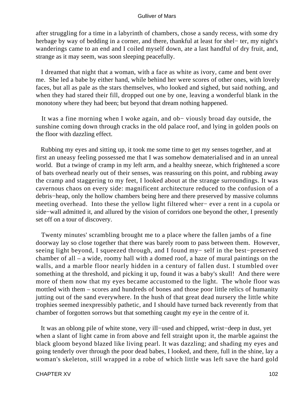after struggling for a time in a labyrinth of chambers, chose a sandy recess, with some dry herbage by way of bedding in a corner, and there, thankful at least for shel− ter, my night's wanderings came to an end and I coiled myself down, ate a last handful of dry fruit, and, strange as it may seem, was soon sleeping peacefully.

 I dreamed that night that a woman, with a face as white as ivory, came and bent over me. She led a babe by either hand, while behind her were scores of other ones, with lovely faces, but all as pale as the stars themselves, who looked and sighed, but said nothing, and when they had stared their fill, dropped out one by one, leaving a wonderful blank in the monotony where they had been; but beyond that dream nothing happened.

 It was a fine morning when I woke again, and ob− viously broad day outside, the sunshine coming down through cracks in the old palace roof, and lying in golden pools on the floor with dazzling effect.

 Rubbing my eyes and sitting up, it took me some time to get my senses together, and at first an uneasy feeling possessed me that I was somehow dematerialised and in an unreal world. But a twinge of cramp in my left arm, and a healthy sneeze, which frightened a score of bats overhead nearly out of their senses, was reassuring on this point, and rubbing away the cramp and staggering to my feet, I looked about at the strange surroundings. It was cavernous chaos on every side: magnificent architecture reduced to the confusion of a debris−heap, only the hollow chambers being here and there preserved by massive columns meeting overhead. Into these the yellow light filtered wher− ever a rent in a cupola or side−wall admitted it, and allured by the vision of corridors one beyond the other, I presently set off on a tour of discovery.

 Twenty minutes' scrambling brought me to a place where the fallen jambs of a fine doorway lay so close together that there was barely room to pass between them. However, seeing light beyond, I squeezed through, and I found my− self in the best−preserved chamber of all – a wide, roomy hall with a domed roof, a haze of mural paintings on the walls, and a marble floor nearly hidden in a century of fallen dust. I stumbled over something at the threshold, and picking it up, found it was a baby's skull! And there were more of them now that my eyes became accustomed to the light. The whole floor was mottled with them – scores and hundreds of bones and those poor little relics of humanity jutting out of the sand everywhere. In the hush of that great dead nursery the little white trophies seemed inexpressibly pathetic, and I should have turned back reverently from that chamber of forgotten sorrows but that something caught my eye in the centre of it.

 It was an oblong pile of white stone, very ill−used and chipped, wrist−deep in dust, yet when a slant of light came in from above and fell straight upon it, the marble against the black gloom beyond blazed like living pearl. It was dazzling; and shading my eyes and going tenderly over through the poor dead babes, I looked, and there, full in the shine, lay a woman's skeleton, still wrapped in a robe of which little was left save the hard gold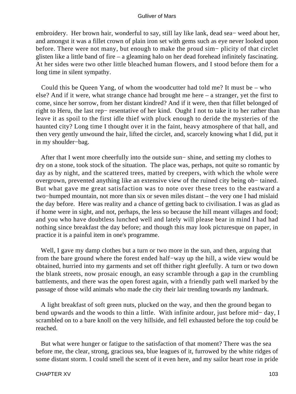embroidery. Her brown hair, wonderful to say, still lay like lank, dead sea− weed about her, and amongst it was a fillet crown of plain iron set with gems such as eye never looked upon before. There were not many, but enough to make the proud sim− plicity of that circlet glisten like a little band of fire – a gleaming halo on her dead forehead infinitely fascinating. At her sides were two other little bleached human flowers, and I stood before them for a long time in silent sympathy.

 Could this be Queen Yang, of whom the woodcutter had told me? It must be – who else? And if it were, what strange chance had brought me here – a stranger, yet the first to come, since her sorrow, from her distant kindred? And if it were, then that fillet belonged of right to Heru, the last rep− resentative of her kind. Ought I not to take it to her rather than leave it as spoil to the first idle thief with pluck enough to deride the mysteries of the haunted city? Long time I thought over it in the faint, heavy atmosphere of that hall, and then very gently unwound the hair, lifted the circlet, and, scarcely knowing what I did, put it in my shoulder−bag.

 After that I went more cheerfully into the outside sun− shine, and setting my clothes to dry on a stone, took stock of the situation. The place was, perhaps, not quite so romantic by day as by night, and the scattered trees, matted by creepers, with which the whole were overgrown, prevented anything like an extensive view of the ruined city being ob− tained. But what gave me great satisfaction was to note over these trees to the eastward a two−humped mountain, not more than six or seven miles distant – the very one I had mislaid the day before. Here was reality and a chance of getting back to civilisation. I was as glad as if home were in sight, and not, perhaps, the less so because the hill meant villages and food; and you who have doubtless lunched well and lately will please bear in mind I had had nothing since breakfast the day before; and though this may look picturesque on paper, in practice it is a painful item in one's programme.

 Well, I gave my damp clothes but a turn or two more in the sun, and then, arguing that from the bare ground where the forest ended half−way up the hill, a wide view would be obtained, hurried into my garments and set off thither right gleefully. A turn or two down the blank streets, now prosaic enough, an easy scramble through a gap in the crumbling battlements, and there was the open forest again, with a friendly path well marked by the passage of those wild animals who made the city their lair trending towards my landmark.

 A light breakfast of soft green nuts, plucked on the way, and then the ground began to bend upwards and the woods to thin a little. With infinite ardour, just before mid− day, I scrambled on to a bare knoll on the very hillside, and fell exhausted before the top could be reached.

 But what were hunger or fatigue to the satisfaction of that moment? There was the sea before me, the clear, strong, gracious sea, blue leagues of it, furrowed by the white ridges of some distant storm. I could smell the scent of it even here, and my sailor heart rose in pride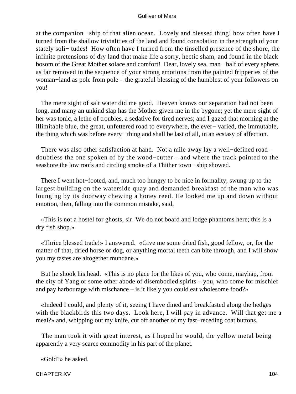at the companion− ship of that alien ocean. Lovely and blessed thing! how often have I turned from the shallow trivialities of the land and found consolation in the strength of your stately soli− tudes! How often have I turned from the tinselled presence of the shore, the infinite pretensions of dry land that make life a sorry, hectic sham, and found in the black bosom of the Great Mother solace and comfort! Dear, lovely sea, man− half of every sphere, as far removed in the sequence of your strong emotions from the painted fripperies of the woman−land as pole from pole – the grateful blessing of the humblest of your followers on you!

 The mere sight of salt water did me good. Heaven knows our separation had not been long, and many an unkind slap has the Mother given me in the bygone; yet the mere sight of her was tonic, a lethe of troubles, a sedative for tired nerves; and I gazed that morning at the illimitable blue, the great, unfettered road to everywhere, the ever− varied, the immutable, the thing which was before every− thing and shall be last of all, in an ecstasy of affection.

 There was also other satisfaction at hand. Not a mile away lay a well−defined road – doubtless the one spoken of by the wood−cutter – and where the track pointed to the seashore the low roofs and circling smoke of a Thither town– ship showed.

 There I went hot−footed, and, much too hungry to be nice in formality, swung up to the largest building on the waterside quay and demanded breakfast of the man who was lounging by its doorway chewing a honey reed. He looked me up and down without emotion, then, falling into the common mistake, said,

 «This is not a hostel for ghosts, sir. We do not board and lodge phantoms here; this is a dry fish shop.»

 «Thrice blessed trade!» I answered. «Give me some dried fish, good fellow, or, for the matter of that, dried horse or dog, or anything mortal teeth can bite through, and I will show you my tastes are altogether mundane.»

 But he shook his head. «This is no place for the likes of you, who come, mayhap, from the city of Yang or some other abode of disembodied spirits – you, who come for mischief and pay harbourage with mischance – is it likely you could eat wholesome food?»

 «Indeed I could, and plenty of it, seeing I have dined and breakfasted along the hedges with the blackbirds this two days. Look here, I will pay in advance. Will that get me a meal?» and, whipping out my knife, cut off another of my fast−receding coat buttons.

 The man took it with great interest, as I hoped he would, the yellow metal being apparently a very scarce commodity in his part of the planet.

«Gold?» he asked.

CHAPTER XV 104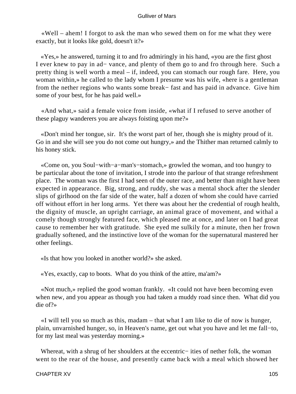«Well – ahem! I forgot to ask the man who sewed them on for me what they were exactly, but it looks like gold, doesn't it?»

 «Yes,» he answered, turning it to and fro admiringly in his hand, «you are the first ghost I ever knew to pay in ad− vance, and plenty of them go to and fro through here. Such a pretty thing is well worth a meal – if, indeed, you can stomach our rough fare. Here, you woman within,» he called to the lady whom I presume was his wife, «here is a gentleman from the nether regions who wants some break− fast and has paid in advance. Give him some of your best, for he has paid well.»

 «And what,» said a female voice from inside, «what if I refused to serve another of these plaguy wanderers you are always foisting upon me?»

 «Don't mind her tongue, sir. It's the worst part of her, though she is mighty proud of it. Go in and she will see you do not come out hungry,» and the Thither man returned calmly to his honey stick.

 «Come on, you Soul−with−a−man's−stomach,» growled the woman, and too hungry to be particular about the tone of invitation, I strode into the parlour of that strange refreshment place. The woman was the first I had seen of the outer race, and better than might have been expected in appearance. Big, strong, and ruddy, she was a mental shock after the slender slips of girlhood on the far side of the water, half a dozen of whom she could have carried off without effort in her long arms. Yet there was about her the credential of rough health, the dignity of muscle, an upright carriage, an animal grace of movement, and withal a comely though strongly featured face, which pleased me at once, and later on I had great cause to remember her with gratitude. She eyed me sulkily for a minute, then her frown gradually softened, and the instinctive love of the woman for the supernatural mastered her other feelings.

«Is that how you looked in another world?» she asked.

«Yes, exactly, cap to boots. What do you think of the attire, ma'am?»

 «Not much,» replied the good woman frankly. «It could not have been becoming even when new, and you appear as though you had taken a muddy road since then. What did you die of?»

 «I will tell you so much as this, madam – that what I am like to die of now is hunger, plain, unvarnished hunger, so, in Heaven's name, get out what you have and let me fall−to, for my last meal was yesterday morning.»

 Whereat, with a shrug of her shoulders at the eccentric− ities of nether folk, the woman went to the rear of the house, and presently came back with a meal which showed her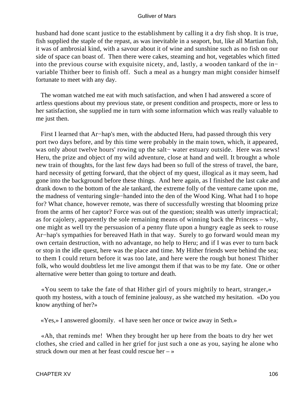husband had done scant justice to the establishment by calling it a dry fish shop. It is true, fish supplied the staple of the repast, as was inevitable in a seaport, but, like all Martian fish, it was of ambrosial kind, with a savour about it of wine and sunshine such as no fish on our side of space can boast of. Then there were cakes, steaming and hot, vegetables which fitted into the previous course with exquisite nicety, and, lastly, a wooden tankard of the in− variable Thither beer to finish off. Such a meal as a hungry man might consider himself fortunate to meet with any day.

 The woman watched me eat with much satisfaction, and when I had answered a score of artless questions about my previous state, or present condition and prospects, more or less to her satisfaction, she supplied me in turn with some information which was really valuable to me just then.

 First I learned that Ar−hap's men, with the abducted Heru, had passed through this very port two days before, and by this time were probably in the main town, which, it appeared, was only about twelve hours' rowing up the salt− water estuary outside. Here was news! Heru, the prize and object of my wild adventure, close at hand and well. It brought a whole new train of thoughts, for the last few days had been so full of the stress of travel, the bare, hard necessity of getting forward, that the object of my quest, illogical as it may seem, had gone into the background before these things. And here again, as I finished the last cake and drank down to the bottom of the ale tankard, the extreme folly of the venture came upon me, the madness of venturing single−handed into the den of the Wood King. What had I to hope for? What chance, however remote, was there of successfully wresting that blooming prize from the arms of her captor? Force was out of the question; stealth was utterly impractical; as for cajolery, apparently the sole remaining means of winning back the Princess – why, one might as well try the persuasion of a penny flute upon a hungry eagle as seek to rouse Ar−hap's sympathies for bereaved Hath in that way. Surely to go forward would mean my own certain destruction, with no advantage, no help to Heru; and if I was ever to turn back or stop in the idle quest, here was the place and time. My Hither friends were behind the sea; to them I could return before it was too late, and here were the rough but honest Thither folk, who would doubtless let me live amongst them if that was to be my fate. One or other alternative were better than going to torture and death.

 «You seem to take the fate of that Hither girl of yours mightily to heart, stranger,» quoth my hostess, with a touch of feminine jealousy, as she watched my hesitation. «Do you know anything of her?»

«Yes,» I answered gloomily. «I have seen her once or twice away in Seth.»

 «Ah, that reminds me! When they brought her up here from the boats to dry her wet clothes, she cried and called in her grief for just such a one as you, saying he alone who struck down our men at her feast could rescue her – »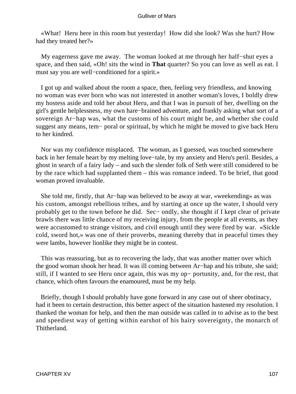«What! Heru here in this room but yesterday! How did she look? Was she hurt? How had they treated her?»

 My eagerness gave me away. The woman looked at me through her half−shut eyes a space, and then said, «Oh! sits the wind in **That** quarter? So you can love as well as eat. I must say you are well−conditioned for a spirit.»

 I got up and walked about the room a space, then, feeling very friendless, and knowing no woman was ever born who was not interested in another woman's loves, I boldly drew my hostess aside and told her about Heru, and that I was in pursuit of her, dwelling on the girl's gentle helplessness, my own hare−brained adventure, and frankly asking what sort of a sovereign Ar−hap was, what the customs of his court might be, and whether she could suggest any means, tem− poral or spiritual, by which he might be moved to give back Heru to her kindred.

 Nor was my confidence misplaced. The woman, as I guessed, was touched somewhere back in her female heart by my melting love−tale, by my anxiety and Heru's peril. Besides, a ghost in search of a fairy lady – and such the slender folk of Seth were still considered to be by the race which had supplanted them – this was romance indeed. To be brief, that good woman proved invaluable.

 She told me, firstly, that Ar−hap was believed to be away at war, «weekending» as was his custom, amongst rebellious tribes, and by starting at once up the water, I should very probably get to the town before he did. Sec− ondly, she thought if I kept clear of private brawls there was little chance of my receiving injury, from the people at all events, as they were accustomed to strange visitors, and civil enough until they were fired by war. «Sickle cold, sword hot,» was one of their proverbs, meaning thereby that in peaceful times they were lambs, however lionlike they might be in contest.

 This was reassuring, but as to recovering the lady, that was another matter over which the good woman shook her head. It was ill coming between Ar−hap and his tribute, she said; still, if I wanted to see Heru once again, this was my op− portunity, and, for the rest, that chance, which often favours the enamoured, must be my help.

 Briefly, though I should probably have gone forward in any case out of sheer obstinacy, had it been to certain destruction, this better aspect of the situation hastened my resolution. I thanked the woman for help, and then the man outside was called in to advise as to the best and speediest way of getting within earshot of his hairy sovereignty, the monarch of Thitherland.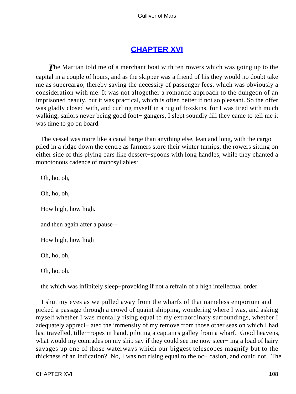# **[CHAPTER XVI](#page-144-0)**

**The Martian told me of a merchant boat with ten rowers which was going up to the** capital in a couple of hours, and as the skipper was a friend of his they would no doubt take me as supercargo, thereby saving the necessity of passenger fees, which was obviously a consideration with me. It was not altogether a romantic approach to the dungeon of an imprisoned beauty, but it was practical, which is often better if not so pleasant. So the offer was gladly closed with, and curling myself in a rug of foxskins, for I was tired with much walking, sailors never being good foot− gangers, I slept soundly fill they came to tell me it was time to go on board.

 The vessel was more like a canal barge than anything else, lean and long, with the cargo piled in a ridge down the centre as farmers store their winter turnips, the rowers sitting on either side of this plying oars like dessert−spoons with long handles, while they chanted a monotonous cadence of monosyllables:

 Oh, ho, oh, Oh, ho, oh, How high, how high. and then again after a pause – How high, how high Oh, ho, oh, Oh, ho, oh.

the which was infinitely sleep−provoking if not a refrain of a high intellectual order.

 I shut my eyes as we pulled away from the wharfs of that nameless emporium and picked a passage through a crowd of quaint shipping, wondering where I was, and asking myself whether I was mentally rising equal to my extraordinary surroundings, whether I adequately appreci− ated the immensity of my remove from those other seas on which I had last travelled, tiller−ropes in hand, piloting a captain's galley from a wharf. Good heavens, what would my comrades on my ship say if they could see me now steer− ing a load of hairy savages up one of those waterways which our biggest telescopes magnify but to the thickness of an indication? No, I was not rising equal to the oc− casion, and could not. The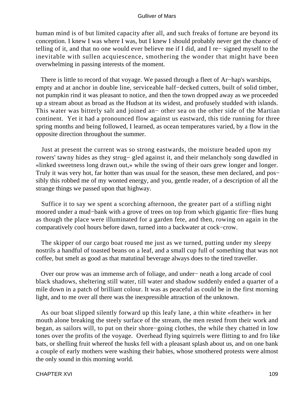human mind is of but limited capacity after all, and such freaks of fortune are beyond its conception. I knew I was where I was, but I knew I should probably never get the chance of telling of it, and that no one would ever believe me if I did, and I re− signed myself to the inevitable with sullen acquiescence, smothering the wonder that might have been overwhelming in passing interests of the moment.

 There is little to record of that voyage. We passed through a fleet of Ar−hap's warships, empty and at anchor in double line, serviceable half−decked cutters, built of solid timber, not pumpkin rind it was pleasant to notice, and then the town dropped away as we proceeded up a stream about as broad as the Hudson at its widest, and profusely studded with islands. This water was bitterly salt and joined an− other sea on the other side of the Martian continent. Yet it had a pronounced flow against us eastward, this tide running for three spring months and being followed, I learned, as ocean temperatures varied, by a flow in the opposite direction throughout the summer.

 Just at present the current was so strong eastwards, the moisture beaded upon my rowers' tawny hides as they strug− gled against it, and their melancholy song dawdled in «linked sweetness long drawn out,» while the swing of their oars grew longer and longer. Truly it was very hot, far hotter than was usual for the season, these men declared, and pos− sibly this robbed me of my wonted energy, and you, gentle reader, of a description of all the strange things we passed upon that highway.

 Suffice it to say we spent a scorching afternoon, the greater part of a stifling night moored under a mud−bank with a grove of trees on top from which gigantic fire−flies hung as though the place were illuminated for a garden fete, and then, rowing on again in the comparatively cool hours before dawn, turned into a backwater at cock−crow.

 The skipper of our cargo boat roused me just as we turned, putting under my sleepy nostrils a handful of toasted beans on a leaf, and a small cup full of something that was not coffee, but smelt as good as that matutinal beverage always does to the tired traveller.

 Over our prow was an immense arch of foliage, and under− neath a long arcade of cool black shadows, sheltering still water, till water and shadow suddenly ended a quarter of a mile down in a patch of brilliant colour. It was as peaceful as could be in the first morning light, and to me over all there was the inexpressible attraction of the unknown.

 As our boat slipped silently forward up this leafy lane, a thin white «feather» in her mouth alone breaking the steely surface of the stream, the men rested from their work and began, as sailors will, to put on their shore−going clothes, the while they chatted in low tones over the profits of the voyage. Overhead flying squirrels were flitting to and fro like bats, or shelling fruit whereof the husks fell with a pleasant splash about us, and on one bank a couple of early mothers were washing their babies, whose smothered protests were almost the only sound in this morning world.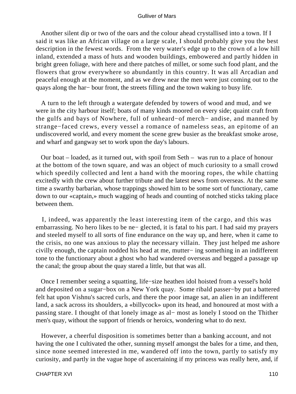Another silent dip or two of the oars and the colour ahead crystallised into a town. If I said it was like an African village on a large scale, I should probably give you the best description in the fewest words. From the very water's edge up to the crown of a low hill inland, extended a mass of huts and wooden buildings, embowered and partly hidden in bright green foliage, with here and there patches of millet, or some such food plant, and the flowers that grow everywhere so abundantly in this country. It was all Arcadian and peaceful enough at the moment, and as we drew near the men were just coming out to the quays along the har− bour front, the streets filling and the town waking to busy life.

 A turn to the left through a watergate defended by towers of wood and mud, and we were in the city harbour itself; boats of many kinds moored on every side; quaint craft from the gulfs and bays of Nowhere, full of unheard−of merch− andise, and manned by strange−faced crews, every vessel a romance of nameless seas, an epitome of an undiscovered world, and every moment the scene grew busier as the breakfast smoke arose, and wharf and gangway set to work upon the day's labours.

 Our boat – loaded, as it turned out, with spoil from Seth – was run to a place of honour at the bottom of the town square, and was an object of much curiosity to a small crowd which speedily collected and lent a hand with the mooring ropes, the while chatting excitedly with the crew about further tribute and the latest news from overseas. At the same time a swarthy barbarian, whose trappings showed him to be some sort of functionary, came down to our «captain,» much wagging of heads and counting of notched sticks taking place between them.

 I, indeed, was apparently the least interesting item of the cargo, and this was embarrassing. No hero likes to be ne− glected, it is fatal to his part. I had said my prayers and steeled myself to all sorts of fine endurance on the way up, and here, when it came to the crisis, no one was anxious to play the necessary villain. They just helped me ashore civilly enough, the captain nodded his head at me, mutter− ing something in an indifferent tone to the functionary about a ghost who had wandered overseas and begged a passage up the canal; the group about the quay stared a little, but that was all.

 Once I remember seeing a squatting, life−size heathen idol hoisted from a vessel's hold and deposited on a sugar−box on a New York quay. Some ribald passer−by put a battered felt hat upon Vishnu's sacred curls, and there the poor image sat, an alien in an indifferent land, a sack across its shoulders, a «billycock» upon its head, and honoured at most with a passing stare. I thought of that lonely image as al− most as lonely I stood on the Thither men's quay, without the support of friends or heroics, wondering what to do next.

 However, a cheerful disposition is sometimes better than a banking account, and not having the one I cultivated the other, sunning myself amongst the bales for a time, and then, since none seemed interested in me, wandered off into the town, partly to satisfy my curiosity, and partly in the vague hope of ascertaining if my princess was really here, and, if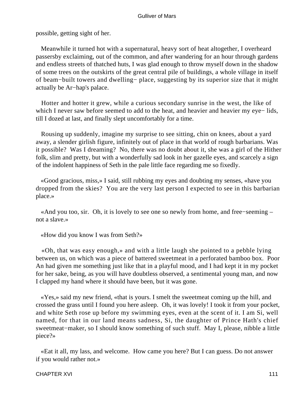possible, getting sight of her.

 Meanwhile it turned hot with a supernatural, heavy sort of heat altogether, I overheard passersby exclaiming, out of the common, and after wandering for an hour through gardens and endless streets of thatched huts, I was glad enough to throw myself down in the shadow of some trees on the outskirts of the great central pile of buildings, a whole village in itself of beam−built towers and dwelling− place, suggesting by its superior size that it might actually be Ar−hap's palace.

 Hotter and hotter it grew, while a curious secondary sunrise in the west, the like of which I never saw before seemed to add to the heat, and heavier and heavier my eye− lids, till I dozed at last, and finally slept uncomfortably for a time.

 Rousing up suddenly, imagine my surprise to see sitting, chin on knees, about a yard away, a slender girlish figure, infinitely out of place in that world of rough barbarians. Was it possible? Was I dreaming? No, there was no doubt about it, she was a girl of the Hither folk, slim and pretty, but with a wonderfully sad look in her gazelle eyes, and scarcely a sign of the indolent happiness of Seth in the pale little face regarding me so fixedly.

 «Good gracious, miss,» I said, still rubbing my eyes and doubting my senses, «have you dropped from the skies? You are the very last person I expected to see in this barbarian place.»

 «And you too, sir. Oh, it is lovely to see one so newly from home, and free−seeming – not a slave.»

«How did you know I was from Seth?»

 «Oh, that was easy enough,» and with a little laugh she pointed to a pebble lying between us, on which was a piece of battered sweetmeat in a perforated bamboo box. Poor An had given me something just like that in a playful mood, and I had kept it in my pocket for her sake, being, as you will have doubtless observed, a sentimental young man, and now I clapped my hand where it should have been, but it was gone.

 «Yes,» said my new friend, «that is yours. I smelt the sweetmeat coming up the hill, and crossed the grass until I found you here asleep. Oh, it was lovely! I took it from your pocket, and white Seth rose up before my swimming eyes, even at the scent of it. I am Si, well named, for that in our land means sadness, Si, the daughter of Prince Hath's chief sweetmeat−maker, so I should know something of such stuff. May I, please, nibble a little piece?»

 «Eat it all, my lass, and welcome. How came you here? But I can guess. Do not answer if you would rather not.»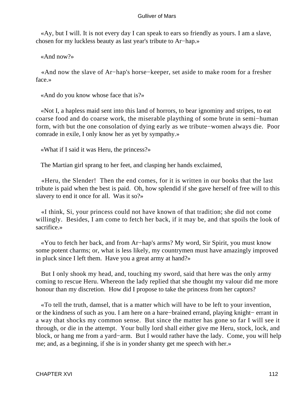«Ay, but I will. It is not every day I can speak to ears so friendly as yours. I am a slave, chosen for my luckless beauty as last year's tribute to Ar−hap.»

«And now?»

 «And now the slave of Ar−hap's horse−keeper, set aside to make room for a fresher face.»

«And do you know whose face that is?»

 «Not I, a hapless maid sent into this land of horrors, to bear ignominy and stripes, to eat coarse food and do coarse work, the miserable plaything of some brute in semi−human form, with but the one consolation of dying early as we tribute−women always die. Poor comrade in exile, I only know her as yet by sympathy.»

«What if I said it was Heru, the princess?»

The Martian girl sprang to her feet, and clasping her hands exclaimed,

 «Heru, the Slender! Then the end comes, for it is written in our books that the last tribute is paid when the best is paid. Oh, how splendid if she gave herself of free will to this slavery to end it once for all. Was it so?»

 «I think, Si, your princess could not have known of that tradition; she did not come willingly. Besides, I am come to fetch her back, if it may be, and that spoils the look of sacrifice.»

 «You to fetch her back, and from Ar−hap's arms? My word, Sir Spirit, you must know some potent charms; or, what is less likely, my countrymen must have amazingly improved in pluck since I left them. Have you a great army at hand?»

 But I only shook my head, and, touching my sword, said that here was the only army coming to rescue Heru. Whereon the lady replied that she thought my valour did me more honour than my discretion. How did I propose to take the princess from her captors?

 «To tell the truth, damsel, that is a matter which will have to be left to your invention, or the kindness of such as you. I am here on a hare−brained errand, playing knight− errant in a way that shocks my common sense. But since the matter has gone so far I will see it through, or die in the attempt. Your bully lord shall either give me Heru, stock, lock, and block, or hang me from a yard−arm. But I would rather have the lady. Come, you will help me; and, as a beginning, if she is in yonder shanty get me speech with her.»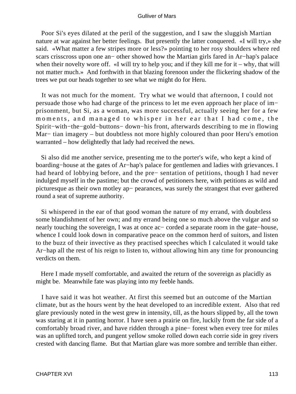Poor Si's eyes dilated at the peril of the suggestion, and I saw the sluggish Martian nature at war against her better feelings. But presently the latter conquered. «I will try,» she said. «What matter a few stripes more or less?» pointing to her rosy shoulders where red scars crisscross upon one an− other showed how the Martian girls fared in Ar−hap's palace when their novelty wore off. «I will try to help you; and if they kill me for it – why, that will not matter much.» And forthwith in that blazing forenoon under the flickering shadow of the trees we put our heads together to see what we might do for Heru.

 It was not much for the moment. Try what we would that afternoon, I could not persuade those who had charge of the princess to let me even approach her place of im− prisonment, but Si, as a woman, was more successful, actually seeing her for a few moments, and managed to whisper in her ear that I had come, the Spirit−with−the−gold−buttons− down−his front, afterwards describing to me in flowing Mar− tian imagery – but doubtless not more highly coloured than poor Heru's emotion warranted – how delightedly that lady had received the news.

 Si also did me another service, presenting me to the porter's wife, who kept a kind of boarding−house at the gates of Ar−hap's palace for gentlemen and ladies with grievances. I had heard of lobbying before, and the pre− sentation of petitions, though I had never indulged myself in the pastime; but the crowd of petitioners here, with petitions as wild and picturesque as their own motley ap− pearances, was surely the strangest that ever gathered round a seat of supreme authority.

 Si whispered in the ear of that good woman the nature of my errand, with doubtless some blandishment of her own; and my errand being one so much above the vulgar and so nearly touching the sovereign, I was at once ac− corded a separate room in the gate−house, whence I could look down in comparative peace on the common herd of suitors, and listen to the buzz of their invective as they practised speeches which I calculated it would take Ar−hap all the rest of his reign to listen to, without allowing him any time for pronouncing verdicts on them.

 Here I made myself comfortable, and awaited the return of the sovereign as placidly as might be. Meanwhile fate was playing into my feeble hands.

 I have said it was hot weather. At first this seemed but an outcome of the Martian climate, but as the hours went by the heat developed to an incredible extent. Also that red glare previously noted in the west grew in intensity, till, as the hours slipped by, all the town was staring at it in panting horror. I have seen a prairie on fire, luckily from the far side of a comfortably broad river, and have ridden through a pine− forest when every tree for miles was an uplifted torch, and pungent yellow smoke rolled down each corrie side in grey rivers crested with dancing flame. But that Martian glare was more sombre and terrible than either.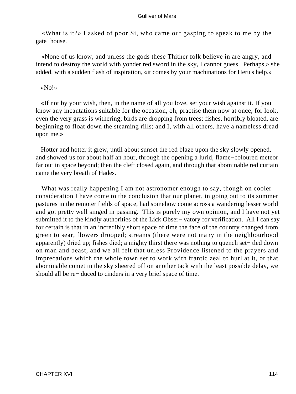«What is it?» I asked of poor Si, who came out gasping to speak to me by the gate−house.

 «None of us know, and unless the gods these Thither folk believe in are angry, and intend to destroy the world with yonder red sword in the sky, I cannot guess. Perhaps,» she added, with a sudden flash of inspiration, «it comes by your machinations for Heru's help.»

#### «No!»

 «If not by your wish, then, in the name of all you love, set your wish against it. If you know any incantations suitable for the occasion, oh, practise them now at once, for look, even the very grass is withering; birds are dropping from trees; fishes, horribly bloated, are beginning to float down the steaming rills; and I, with all others, have a nameless dread upon me.»

 Hotter and hotter it grew, until about sunset the red blaze upon the sky slowly opened, and showed us for about half an hour, through the opening a lurid, flame−coloured meteor far out in space beyond; then the cleft closed again, and through that abominable red curtain came the very breath of Hades.

 What was really happening I am not astronomer enough to say, though on cooler consideration I have come to the conclusion that our planet, in going out to its summer pastures in the remoter fields of space, had somehow come across a wandering lesser world and got pretty well singed in passing. This is purely my own opinion, and I have not yet submitted it to the kindly authorities of the Lick Obser− vatory for verification. All I can say for certain is that in an incredibly short space of time the face of the country changed from green to sear, flowers drooped; streams (there were not many in the neighbourhood apparently) dried up; fishes died; a mighty thirst there was nothing to quench set− tled down on man and beast, and we all felt that unless Providence listened to the prayers and imprecations which the whole town set to work with frantic zeal to hurl at it, or that abominable comet in the sky sheered off on another tack with the least possible delay, we should all be re− duced to cinders in a very brief space of time.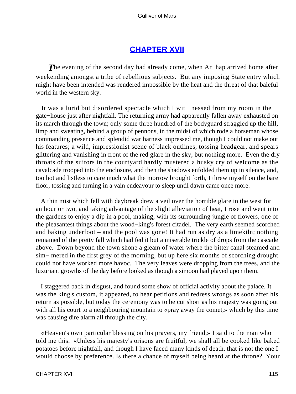# **[CHAPTER XVII](#page-144-0)**

*T*he evening of the second day had already come, when Ar−hap arrived home after weekending amongst a tribe of rebellious subjects. But any imposing State entry which might have been intended was rendered impossible by the heat and the threat of that baleful world in the western sky.

 It was a lurid but disordered spectacle which I wit− nessed from my room in the gate−house just after nightfall. The returning army had apparently fallen away exhausted on its march through the town; only some three hundred of the bodyguard straggled up the hill, limp and sweating, behind a group of pennons, in the midst of which rode a horseman whose commanding presence and splendid war harness impressed me, though I could not make out his features; a wild, impressionist scene of black outlines, tossing headgear, and spears glittering and vanishing in front of the red glare in the sky, but nothing more. Even the dry throats of the suitors in the courtyard hardly mustered a husky cry of welcome as the cavalcade trooped into the enclosure, and then the shadows enfolded them up in silence, and, too hot and listless to care much what the morrow brought forth, I threw myself on the bare floor, tossing and turning in a vain endeavour to sleep until dawn came once more.

 A thin mist which fell with daybreak drew a veil over the horrible glare in the west for an hour or two, and taking advantage of the slight alleviation of heat, I rose and went into the gardens to enjoy a dip in a pool, making, with its surrounding jungle of flowers, one of the pleasantest things about the wood−king's forest citadel. The very earth seemed scorched and baking underfoot – and the pool was gone! It had run as dry as a limekiln; nothing remained of the pretty fall which had fed it but a miserable trickle of drops from the cascade above. Down beyond the town shone a gleam of water where the bitter canal steamed and sim− mered in the first grey of the morning, but up here six months of scorching drought could not have worked more havoc. The very leaves were dropping from the trees, and the luxuriant growths of the day before looked as though a simoon had played upon them.

 I staggered back in disgust, and found some show of official activity about the palace. It was the king's custom, it appeared, to hear petitions and redress wrongs as soon after his return as possible, but today the ceremony was to be cut short as his majesty was going out with all his court to a neighbouring mountain to «pray away the comet,» which by this time was causing dire alarm all through the city.

 «Heaven's own particular blessing on his prayers, my friend,» I said to the man who told me this. «Unless his majesty's orisons are fruitful, we shall all be cooked like baked potatoes before nightfall, and though I have faced many kinds of death, that is not the one I would choose by preference. Is there a chance of myself being heard at the throne? Your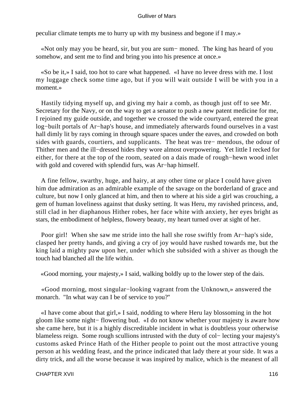peculiar climate tempts me to hurry up with my business and begone if I may.»

 «Not only may you be heard, sir, but you are sum− moned. The king has heard of you somehow, and sent me to find and bring you into his presence at once.»

 «So be it,» I said, too hot to care what happened. «I have no levee dress with me. I lost my luggage check some time ago, but if you will wait outside I will be with you in a moment.»

 Hastily tidying myself up, and giving my hair a comb, as though just off to see Mr. Secretary for the Navy, or on the way to get a senator to push a new patent medicine for me, I rejoined my guide outside, and together we crossed the wide courtyard, entered the great log−built portals of Ar−hap's house, and immediately afterwards found ourselves in a vast hall dimly lit by rays coming in through square spaces under the eaves, and crowded on both sides with guards, courtiers, and supplicants. The heat was tre− mendous, the odour of Thither men and the ill−dressed hides they wore almost overpowering. Yet little I recked for either, for there at the top of the room, seated on a dais made of rough−hewn wood inlet with gold and covered with splendid furs, was Ar−hap himself.

 A fine fellow, swarthy, huge, and hairy, at any other time or place I could have given him due admiration as an admirable example of the savage on the borderland of grace and culture, but now I only glanced at him, and then to where at his side a girl was crouching, a gem of human loveliness against that dusky setting. It was Heru, my ravished princess, and, still clad in her diaphanous Hither robes, her face white with anxiety, her eyes bright as stars, the embodiment of helpless, flowery beauty, my heart turned over at sight of her.

 Poor girl! When she saw me stride into the hall she rose swiftly from Ar−hap's side, clasped her pretty hands, and giving a cry of joy would have rushed towards me, but the king laid a mighty paw upon her, under which she subsided with a shiver as though the touch had blanched all the life within.

«Good morning, your majesty,» I said, walking boldly up to the lower step of the dais.

 «Good morning, most singular−looking vagrant from the Unknown,» answered the monarch. "In what way can I be of service to you?''

 «I have come about that girl,» I said, nodding to where Heru lay blossoming in the hot gloom like some night− flowering bud. «I do not know whether your majesty is aware how she came here, but it is a highly discreditable incident in what is doubtless your otherwise blameless reign. Some rough scullions intrusted with the duty of col− lecting your majesty's customs asked Prince Hath of the Hither people to point out the most attractive young person at his wedding feast, and the prince indicated that lady there at your side. It was a dirty trick, and all the worse because it was inspired by malice, which is the meanest of all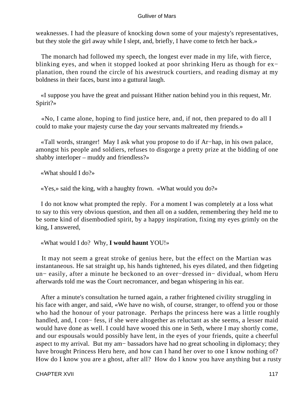weaknesses. I had the pleasure of knocking down some of your majesty's representatives, but they stole the girl away while I slept, and, briefly, I have come to fetch her back.»

 The monarch had followed my speech, the longest ever made in my life, with fierce, blinking eyes, and when it stopped looked at poor shrinking Heru as though for ex− planation, then round the circle of his awestruck courtiers, and reading dismay at my boldness in their faces, burst into a guttural laugh.

 «I suppose you have the great and puissant Hither nation behind you in this request, Mr. Spirit?»

 «No, I came alone, hoping to find justice here, and, if not, then prepared to do all I could to make your majesty curse the day your servants maltreated my friends.»

 «Tall words, stranger! May I ask what you propose to do if Ar−hap, in his own palace, amongst his people and soldiers, refuses to disgorge a pretty prize at the bidding of one shabby interloper – muddy and friendless?»

«What should I do?»

«Yes,» said the king, with a haughty frown. «What would you do?»

 I do not know what prompted the reply. For a moment I was completely at a loss what to say to this very obvious question, and then all on a sudden, remembering they held me to be some kind of disembodied spirit, by a happy inspiration, fixing my eyes grimly on the king, I answered,

«What would I do? Why, **I would haunt** YOU!»

 It may not seem a great stroke of genius here, but the effect on the Martian was instantaneous. He sat straight up, his hands tightened, his eyes dilated, and then fidgeting un− easily, after a minute he beckoned to an over−dressed in− dividual, whom Heru afterwards told me was the Court necromancer, and began whispering in his ear.

 After a minute's consultation he turned again, a rather frightened civility struggling in his face with anger, and said, «We have no wish, of course, stranger, to offend you or those who had the honour of your patronage. Perhaps the princess here was a little roughly handled, and, I con− fess, if she were altogether as reluctant as she seems, a lesser maid would have done as well. I could have wooed this one in Seth, where I may shortly come, and our espousals would possibly have lent, in the eyes of your friends, quite a cheerful aspect to my arrival. But my am− bassadors have had no great schooling in diplomacy; they have brought Princess Heru here, and how can I hand her over to one I know nothing of? How do I know you are a ghost, after all? How do I know you have anything but a rusty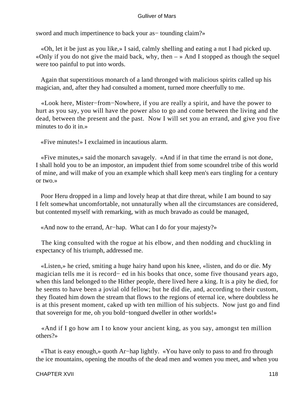sword and much impertinence to back your as– tounding claim?»

 «Oh, let it be just as you like,» I said, calmly shelling and eating a nut I had picked up. «Only if you do not give the maid back, why, then  $-\infty$  And I stopped as though the sequel were too painful to put into words.

 Again that superstitious monarch of a land thronged with malicious spirits called up his magician, and, after they had consulted a moment, turned more cheerfully to me.

 «Look here, Mister−from−Nowhere, if you are really a spirit, and have the power to hurt as you say, you will have the power also to go and come between the living and the dead, between the present and the past. Now I will set you an errand, and give you five minutes to do it in.»

«Five minutes!» I exclaimed in incautious alarm.

 «Five minutes,» said the monarch savagely. «And if in that time the errand is not done, I shall hold you to be an impostor, an impudent thief from some scoundrel tribe of this world of mine, and will make of you an example which shall keep men's ears tingling for a century or two.»

 Poor Heru dropped in a limp and lovely heap at that dire threat, while I am bound to say I felt somewhat uncomfortable, not unnaturally when all the circumstances are considered, but contented myself with remarking, with as much bravado as could be managed,

«And now to the errand, Ar−hap. What can I do for your majesty?»

 The king consulted with the rogue at his elbow, and then nodding and chuckling in expectancy of his triumph, addressed me.

 «Listen,» he cried, smiting a huge hairy hand upon his knee, «listen, and do or die. My magician tells me it is record− ed in his books that once, some five thousand years ago, when this land belonged to the Hither people, there lived here a king. It is a pity he died, for he seems to have been a jovial old fellow; but he did die, and, according to their custom, they floated him down the stream that flows to the regions of eternal ice, where doubtless he is at this present moment, caked up with ten million of his subjects. Now just go and find that sovereign for me, oh you bold−tongued dweller in other worlds!»

 «And if I go how am I to know your ancient king, as you say, amongst ten million others?»

 «That is easy enough,» quoth Ar−hap lightly. «You have only to pass to and fro through the ice mountains, opening the mouths of the dead men and women you meet, and when you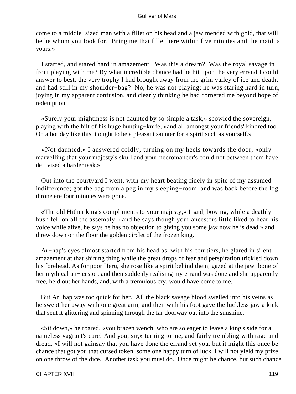come to a middle−sized man with a fillet on his head and a jaw mended with gold, that will be he whom you look for. Bring me that fillet here within five minutes and the maid is yours.»

 I started, and stared hard in amazement. Was this a dream? Was the royal savage in front playing with me? By what incredible chance had he hit upon the very errand I could answer to best, the very trophy I had brought away from the grim valley of ice and death, and had still in my shoulder−bag? No, he was not playing; he was staring hard in turn, joying in my apparent confusion, and clearly thinking he had cornered me beyond hope of redemption.

 «Surely your mightiness is not daunted by so simple a task,» scowled the sovereign, playing with the hilt of his huge hunting−knife, «and all amongst your friends' kindred too. On a hot day like this it ought to be a pleasant saunter for a spirit such as yourself.»

 «Not daunted,» I answered coldly, turning on my heels towards the door, «only marvelling that your majesty's skull and your necromancer's could not between them have de− vised a harder task.»

 Out into the courtyard I went, with my heart beating finely in spite of my assumed indifference; got the bag from a peg in my sleeping−room, and was back before the log throne ere four minutes were gone.

 «The old Hither king's compliments to your majesty,» I said, bowing, while a deathly hush fell on all the assembly, «and he says though your ancestors little liked to hear his voice while alive, he says he has no objection to giving you some jaw now he is dead,» and I threw down on the floor the golden circlet of the frozen king.

 Ar−hap's eyes almost started from his head as, with his courtiers, he glared in silent amazement at that shining thing while the great drops of fear and perspiration trickled down his forehead. As for poor Heru, she rose like a spirit behind them, gazed at the jaw−bone of her mythical an− cestor, and then suddenly realising my errand was done and she apparently free, held out her hands, and, with a tremulous cry, would have come to me.

 But Ar−hap was too quick for her. All the black savage blood swelled into his veins as he swept her away with one great arm, and then with his foot gave the luckless jaw a kick that sent it glittering and spinning through the far doorway out into the sunshine.

 «Sit down,» he roared, «you brazen wench, who are so eager to leave a king's side for a nameless vagrant's care! And you, sir,» turning to me, and fairly trembling with rage and dread, «I will not gainsay that you have done the errand set you, but it might this once be chance that got you that cursed token, some one happy turn of luck. I will not yield my prize on one throw of the dice. Another task you must do. Once might be chance, but such chance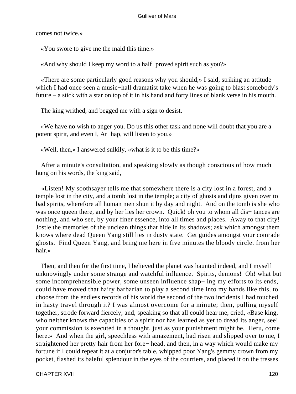comes not twice.»

«You swore to give me the maid this time.»

«And why should I keep my word to a half−proved spirit such as you?»

 «There are some particularly good reasons why you should,» I said, striking an attitude which I had once seen a music−hall dramatist take when he was going to blast somebody's future – a stick with a star on top of it in his hand and forty lines of blank verse in his mouth.

The king writhed, and begged me with a sign to desist.

 «We have no wish to anger you. Do us this other task and none will doubt that you are a potent spirit, and even I, Ar−hap, will listen to you.»

«Well, then,» I answered sulkily, «what is it to be this time?»

 After a minute's consultation, and speaking slowly as though conscious of how much hung on his words, the king said,

 «Listen! My soothsayer tells me that somewhere there is a city lost in a forest, and a temple lost in the city, and a tomb lost in the temple; a city of ghosts and djins given over to bad spirits, wherefore all human men shun it by day and night. And on the tomb is she who was once queen there, and by her lies her crown. Quick! oh you to whom all dis− tances are nothing, and who see, by your finer essence, into all times and places. Away to that city! Jostle the memories of the unclean things that hide in its shadows; ask which amongst them knows where dead Queen Yang still lies in dusty state. Get guides amongst your comrade ghosts. Find Queen Yang, and bring me here in five minutes the bloody circlet from her hair.»

 Then, and then for the first time, I believed the planet was haunted indeed, and I myself unknowingly under some strange and watchful influence. Spirits, demons! Oh! what but some incomprehensible power, some unseen influence shap− ing my efforts to its ends, could have moved that hairy barbarian to play a second time into my hands like this, to choose from the endless records of his world the second of the two incidents I had touched in hasty travel through it? I was almost overcome for a minute; then, pulling myself together, strode forward fiercely, and, speaking so that all could hear me, cried, «Base king, who neither knows the capacities of a spirit nor has learned as yet to dread its anger, see! your commission is executed in a thought, just as your punishment might be. Heru, come here.» And when the girl, speechless with amazement, had risen and slipped over to me, I straightened her pretty hair from her fore− head, and then, in a way which would make my fortune if I could repeat it at a conjuror's table, whipped poor Yang's gemmy crown from my pocket, flashed its baleful splendour in the eyes of the courtiers, and placed it on the tresses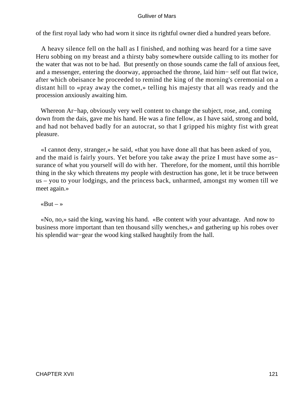of the first royal lady who had worn it since its rightful owner died a hundred years before.

 A heavy silence fell on the hall as I finished, and nothing was heard for a time save Heru sobbing on my breast and a thirsty baby somewhere outside calling to its mother for the water that was not to be had. But presently on those sounds came the fall of anxious feet, and a messenger, entering the doorway, approached the throne, laid him− self out flat twice, after which obeisance he proceeded to remind the king of the morning's ceremonial on a distant hill to «pray away the comet,» telling his majesty that all was ready and the procession anxiously awaiting him.

 Whereon Ar−hap, obviously very well content to change the subject, rose, and, coming down from the dais, gave me his hand. He was a fine fellow, as I have said, strong and bold, and had not behaved badly for an autocrat, so that I gripped his mighty fist with great pleasure.

 «I cannot deny, stranger,» he said, «that you have done all that has been asked of you, and the maid is fairly yours. Yet before you take away the prize I must have some as− surance of what you yourself will do with her. Therefore, for the moment, until this horrible thing in the sky which threatens my people with destruction has gone, let it be truce between us – you to your lodgings, and the princess back, unharmed, amongst my women till we meet again.»

# $\kappa$ But – »

 «No, no,» said the king, waving his hand. «Be content with your advantage. And now to business more important than ten thousand silly wenches,» and gathering up his robes over his splendid war−gear the wood king stalked haughtily from the hall.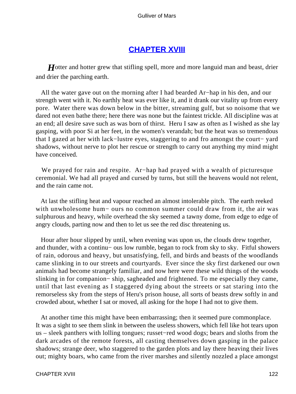# **[CHAPTER XVIII](#page-144-0)**

*H*otter and hotter grew that stifling spell, more and more languid man and beast, drier and drier the parching earth.

 All the water gave out on the morning after I had bearded Ar−hap in his den, and our strength went with it. No earthly heat was ever like it, and it drank our vitality up from every pore. Water there was down below in the bitter, streaming gulf, but so noisome that we dared not even bathe there; here there was none but the faintest trickle. All discipline was at an end; all desire save such as was born of thirst. Heru I saw as often as I wished as she lay gasping, with poor Si at her feet, in the women's verandah; but the heat was so tremendous that I gazed at her with lack−lustre eyes, staggering to and fro amongst the court− yard shadows, without nerve to plot her rescue or strength to carry out anything my mind might have conceived.

 We prayed for rain and respite. Ar−hap had prayed with a wealth of picturesque ceremonial. We had all prayed and cursed by turns, but still the heavens would not relent, and the rain came not.

 At last the stifling heat and vapour reached an almost intolerable pitch. The earth reeked with unwholesome hum− ours no common summer could draw from it, the air was sulphurous and heavy, while overhead the sky seemed a tawny dome, from edge to edge of angry clouds, parting now and then to let us see the red disc threatening us.

 Hour after hour slipped by until, when evening was upon us, the clouds drew together, and thunder, with a continu− ous low rumble, began to rock from sky to sky. Fitful showers of rain, odorous and heavy, but unsatisfying, fell, and birds and beasts of the woodlands came slinking in to our streets and courtyards. Ever since the sky first darkened our own animals had become strangely familiar, and now here were these wild things of the woods slinking in for companion− ship, sagheaded and frightened. To me especially they came, until that last evening as I staggered dying about the streets or sat staring into the remorseless sky from the steps of Heru's prison house, all sorts of beasts drew softly in and crowded about, whether I sat or moved, all asking for the hope I had not to give them.

 At another time this might have been embarrassing; then it seemed pure commonplace. It was a sight to see them slink in between the useless showers, which fell like hot tears upon us – sleek panthers with lolling tongues; russet−red wood dogs; bears and sloths from the dark arcades of the remote forests, all casting themselves down gasping in the palace shadows; strange deer, who staggered to the garden plots and lay there heaving their lives out; mighty boars, who came from the river marshes and silently nozzled a place amongst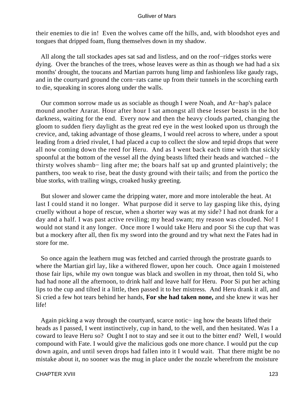their enemies to die in! Even the wolves came off the hills, and, with bloodshot eyes and tongues that dripped foam, flung themselves down in my shadow.

 All along the tall stockades apes sat sad and listless, and on the roof−ridges storks were dying. Over the branches of the trees, whose leaves were as thin as though we had had a six months' drought, the toucans and Martian parrots hung limp and fashionless like gaudy rags, and in the courtyard ground the corn−rats came up from their tunnels in the scorching earth to die, squeaking in scores along under the walls.

 Our common sorrow made us as sociable as though I were Noah, and Ar−hap's palace mound another Ararat. Hour after hour I sat amongst all these lesser beasts in the hot darkness, waiting for the end. Every now and then the heavy clouds parted, changing the gloom to sudden fiery daylight as the great red eye in the west looked upon us through the crevice, and, taking advantage of those gleams, I would reel across to where, under a spout leading from a dried rivulet, I had placed a cup to collect the slow and tepid drops that were all now coming down the reed for Heru. And as I went back each time with that sickly spoonful at the bottom of the vessel all the dying beasts lifted their heads and watched – the thirsty wolves shamb− ling after me; the boars half sat up and grunted plaintively; the panthers, too weak to rise, beat the dusty ground with their tails; and from the portico the blue storks, with trailing wings, croaked husky greeting.

 But slower and slower came the dripping water, more and more intolerable the heat. At last I could stand it no longer. What purpose did it serve to lay gasping like this, dying cruelly without a hope of rescue, when a shorter way was at my side? I had not drank for a day and a half. I was past active reviling; my head swam; my reason was clouded. No! I would not stand it any longer. Once more I would take Heru and poor Si the cup that was but a mockery after all, then fix my sword into the ground and try what next the Fates had in store for me.

 So once again the leathern mug was fetched and carried through the prostrate guards to where the Martian girl lay, like a withered flower, upon her couch. Once again I moistened those fair lips, while my own tongue was black and swollen in my throat, then told Si, who had had none all the afternoon, to drink half and leave half for Heru. Poor Si put her aching lips to the cup and tilted it a little, then passed it to her mistress. And Heru drank it all, and Si cried a few hot tears behind her hands, **For she had taken none,** and she knew it was her life!

 Again picking a way through the courtyard, scarce notic− ing how the beasts lifted their heads as I passed, I went instinctively, cup in hand, to the well, and then hesitated. Was I a coward to leave Heru so? Ought I not to stay and see it out to the bitter end? Well, I would compound with Fate. I would give the malicious gods one more chance. I would put the cup down again, and until seven drops had fallen into it I would wait. That there might be no mistake about it, no sooner was the mug in place under the nozzle wherefrom the moisture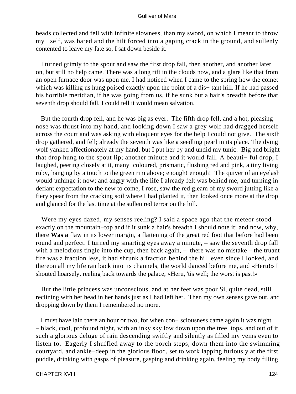beads collected and fell with infinite slowness, than my sword, on which I meant to throw my− self, was bared and the hilt forced into a gaping crack in the ground, and sullenly contented to leave my fate so, I sat down beside it.

 I turned grimly to the spout and saw the first drop fall, then another, and another later on, but still no help came. There was a long rift in the clouds now, and a glare like that from an open furnace door was upon me. I had noticed when I came to the spring how the comet which was killing us hung poised exactly upon the point of a dis− tant hill. If he had passed his horrible meridian, if he was going from us, if he sunk but a hair's breadth before that seventh drop should fall, I could tell it would mean salvation.

 But the fourth drop fell, and he was big as ever. The fifth drop fell, and a hot, pleasing nose was thrust into my hand, and looking down I saw a grey wolf had dragged herself across the court and was asking with eloquent eyes for the help I could not give. The sixth drop gathered, and fell; already the seventh was like a seedling pearl in its place. The dying wolf yanked affectionately at my hand, but I put her by and undid my tunic. Big and bright that drop hung to the spout lip; another minute and it would fall. A beauti− ful drop, I laughed, peering closely at it, many−coloured, prismatic, flushing red and pink, a tiny living ruby, hanging by a touch to the green rim above; enough! enough! The quiver of an eyelash would unhinge it now; and angry with the life I already felt was behind me, and turning in defiant expectation to the new to come, I rose, saw the red gleam of my sword jutting like a fiery spear from the cracking soil where I had planted it, then looked once more at the drop and glanced for the last time at the sullen red terror on the hill.

 Were my eyes dazed, my senses reeling? I said a space ago that the meteor stood exactly on the mountain−top and if it sunk a hair's breadth I should note it; and now, why, there **Was a** flaw in its lower margin, a flattening of the great red foot that before had been round and perfect. I turned my smarting eyes away a minute, – saw the seventh drop fall with a melodious tingle into the cup, then back again, – there was no mistake – the truant fire was a fraction less, it had shrunk a fraction behind the hill even since I looked, and thereon all my life ran back into its channels, the world danced before me, and «Heru!» I shouted hoarsely, reeling back towards the palace, «Heru, 'tis well; the worst is past!»

 But the little princess was unconscious, and at her feet was poor Si, quite dead, still reclining with her head in her hands just as I had left her. Then my own senses gave out, and dropping down by them I remembered no more.

 I must have lain there an hour or two, for when con− sciousness came again it was night – black, cool, profound night, with an inky sky low down upon the tree−tops, and out of it such a glorious deluge of rain descending swiftly and silently as filled my veins even to listen to. Eagerly I shuffled away to the porch steps, down them into the swimming courtyard, and ankle−deep in the glorious flood, set to work lapping furiously at the first puddle, drinking with gasps of pleasure, gasping and drinking again, feeling my body filling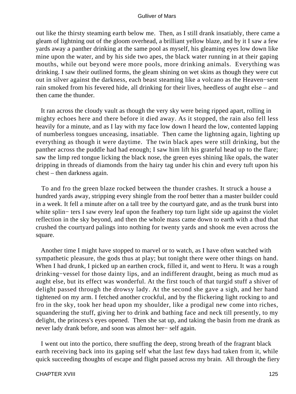out like the thirsty steaming earth below me. Then, as I still drank insatiably, there came a gleam of lightning out of the gloom overhead, a brilliant yellow blaze, and by it I saw a few yards away a panther drinking at the same pool as myself, his gleaming eyes low down like mine upon the water, and by his side two apes, the black water running in at their gaping mouths, while out beyond were more pools, more drinking animals. Everything was drinking. I saw their outlined forms, the gleam shining on wet skins as though they were cut out in silver against the darkness, each beast steaming like a volcano as the Heaven−sent rain smoked from his fevered hide, all drinking for their lives, heedless of aught else – and then came the thunder.

 It ran across the cloudy vault as though the very sky were being ripped apart, rolling in mighty echoes here and there before it died away. As it stopped, the rain also fell less heavily for a minute, and as I lay with my face low down I heard the low, contented lapping of numberless tongues unceasing, insatiable. Then came the lightning again, lighting up everything as though it were daytime. The twin black apes were still drinking, but the panther across the puddle had had enough; I saw him lift his grateful head up to the flare; saw the limp red tongue licking the black nose, the green eyes shining like opals, the water dripping in threads of diamonds from the hairy tag under his chin and every tuft upon his chest – then darkness again.

 To and fro the green blaze rocked between the thunder crashes. It struck a house a hundred yards away, stripping every shingle from the roof better than a master builder could in a week. It fell a minute after on a tall tree by the courtyard gate, and as the trunk burst into white splin− ters I saw every leaf upon the feathery top turn light side up against the violet reflection in the sky beyond, and then the whole mass came down to earth with a thud that crushed the courtyard palings into nothing for twenty yards and shook me even across the square.

 Another time I might have stopped to marvel or to watch, as I have often watched with sympathetic pleasure, the gods thus at play; but tonight there were other things on hand. When I had drunk, I picked up an earthen crock, filled it, and went to Heru. It was a rough drinking−vessel for those dainty lips, and an indifferent draught, being as much mud as aught else, but its effect was wonderful. At the first touch of that turgid stuff a shiver of delight passed through the drowsy lady. At the second she gave a sigh, and her hand tightened on my arm. I fetched another crockful, and by the flickering light rocking to and fro in the sky, took her head upon my shoulder, like a prodigal new come into riches, squandering the stuff, giving her to drink and bathing face and neck till presently, to my delight, the princess's eyes opened. Then she sat up, and taking the basin from me drank as never lady drank before, and soon was almost her− self again.

 I went out into the portico, there snuffing the deep, strong breath of the fragrant black earth receiving back into its gaping self what the last few days had taken from it, while quick succeeding thoughts of escape and flight passed across my brain. All through the fiery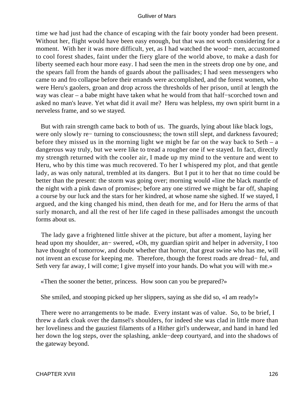time we had just had the chance of escaping with the fair booty yonder had been present. Without her, flight would have been easy enough, but that was not worth considering for a moment. With her it was more difficult, yet, as I had watched the wood− men, accustomed to cool forest shades, faint under the fiery glare of the world above, to make a dash for liberty seemed each hour more easy. I had seen the men in the streets drop one by one, and the spears fall from the hands of guards about the pallisades; I had seen messengers who came to and fro collapse before their errands were accomplished, and the forest women, who were Heru's gaolers, groan and drop across the thresholds of her prison, until at length the way was clear – a babe might have taken what he would from that half−scorched town and asked no man's leave. Yet what did it avail me? Heru was helpless, my own spirit burnt in a nerveless frame, and so we stayed.

 But with rain strength came back to both of us. The guards, lying about like black logs, were only slowly re− turning to consciousness; the town still slept, and darkness favoured; before they missed us in the morning light we might be far on the way back to Seth – a dangerous way truly, but we were like to tread a rougher one if we stayed. In fact, directly my strength returned with the cooler air, I made up my mind to the venture and went to Heru, who by this time was much recovered. To her I whispered my plot, and that gentle lady, as was only natural, trembled at its dangers. But I put it to her that no time could be better than the present: the storm was going over; morning would «line the black mantle of the night with a pink dawn of promise»; before any one stirred we might be far off, shaping a course by our luck and the stars for her kindred, at whose name she sighed. If we stayed, I argued, and the king changed his mind, then death for me, and for Heru the arms of that surly monarch, and all the rest of her life caged in these pallisades amongst the uncouth forms about us.

 The lady gave a frightened little shiver at the picture, but after a moment, laying her head upon my shoulder, an− swered, «Oh, my guardian spirit and helper in adversity, I too have thought of tomorrow, and doubt whether that horror, that great swine who has me, will not invent an excuse for keeping me. Therefore, though the forest roads are dread− ful, and Seth very far away, I will come; I give myself into your hands. Do what you will with me.»

«Then the sooner the better, princess. How soon can you be prepared?»

She smiled, and stooping picked up her slippers, saying as she did so, «I am ready!»

 There were no arrangements to be made. Every instant was of value. So, to be brief, I threw a dark cloak over the damsel's shoulders, for indeed she was clad in little more than her loveliness and the gauziest filaments of a Hither girl's underwear, and hand in hand led her down the log steps, over the splashing, ankle−deep courtyard, and into the shadows of the gateway beyond.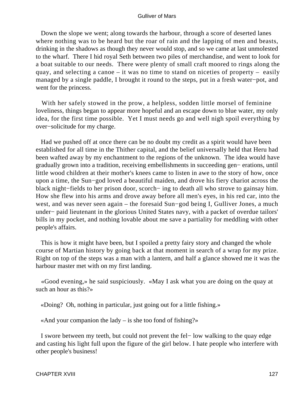Down the slope we went; along towards the harbour, through a score of deserted lanes where nothing was to be heard but the roar of rain and the lapping of men and beasts, drinking in the shadows as though they never would stop, and so we came at last unmolested to the wharf. There I hid royal Seth between two piles of merchandise, and went to look for a boat suitable to our needs. There were plenty of small craft moored to rings along the quay, and selecting a canoe – it was no time to stand on niceties of property – easily managed by a single paddle, I brought it round to the steps, put in a fresh water−pot, and went for the princess.

 With her safely stowed in the prow, a helpless, sodden little morsel of feminine loveliness, things began to appear more hopeful and an escape down to blue water, my only idea, for the first time possible. Yet I must needs go and well nigh spoil everything by over−solicitude for my charge.

 Had we pushed off at once there can be no doubt my credit as a spirit would have been established for all time in the Thither capital, and the belief universally held that Heru had been wafted away by my enchantment to the regions of the unknown. The idea would have gradually grown into a tradition, receiving embellishments in succeeding gen− erations, until little wood children at their mother's knees came to listen in awe to the story of how, once upon a time, the Sun−god loved a beautiful maiden, and drove his fiery chariot across the black night−fields to her prison door, scorch− ing to death all who strove to gainsay him. How she flew into his arms and drove away before all men's eyes, in his red car, into the west, and was never seen again – the foresaid Sun−god being I, Gulliver Jones, a much under− paid lieutenant in the glorious United States navy, with a packet of overdue tailors' bills in my pocket, and nothing lovable about me save a partiality for meddling with other people's affairs.

 This is how it might have been, but I spoiled a pretty fairy story and changed the whole course of Martian history by going back at that moment in search of a wrap for my prize. Right on top of the steps was a man with a lantern, and half a glance showed me it was the harbour master met with on my first landing.

 «Good evening,» he said suspiciously. «May I ask what you are doing on the quay at such an hour as this?»

«Doing? Oh, nothing in particular, just going out for a little fishing.»

«And your companion the lady – is she too fond of fishing?»

 I swore between my teeth, but could not prevent the fel− low walking to the quay edge and casting his light full upon the figure of the girl below. I hate people who interfere with other people's business!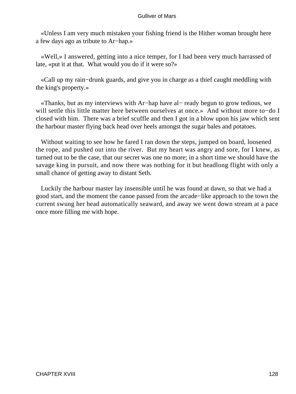«Unless I am very much mistaken your fishing friend is the Hither woman brought here a few days ago as tribute to Ar−hap.»

 «Well,» I answered, getting into a nice temper, for I had been very much harrassed of late, «put it at that. What would you do if it were so?»

 «Call up my rain−drunk guards, and give you in charge as a thief caught meddling with the king's property.»

 «Thanks, but as my interviews with Ar−hap have al− ready begun to grow tedious, we will settle this little matter here between ourselves at once.» And without more to−do I closed with him. There was a brief scuffle and then I got in a blow upon his jaw which sent the harbour master flying back head over heels amongst the sugar bales and potatoes.

 Without waiting to see how he fared I ran down the steps, jumped on board, loosened the rope, and pushed out into the river. But my heart was angry and sore, for I knew, as turned out to be the case, that our secret was one no more; in a short time we should have the savage king in pursuit, and now there was nothing for it but headlong flight with only a small chance of getting away to distant Seth.

 Luckily the harbour master lay insensible until he was found at dawn, so that we had a good start, and the moment the canoe passed from the arcade−like approach to the town the current swung her head automatically seaward, and away we went down stream at a pace once more filling me with hope.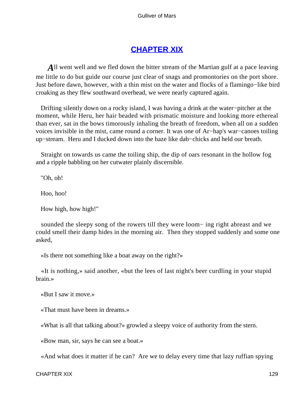# **[CHAPTER XIX](#page-144-0)**

All went well and we fled down the bitter stream of the Martian gulf at a pace leaving me little to do but guide our course just clear of snags and promontories on the port shore. Just before dawn, however, with a thin mist on the water and flocks of a flamingo−like bird croaking as they flew southward overhead, we were nearly captured again.

 Drifting silently down on a rocky island, I was having a drink at the water−pitcher at the moment, while Heru, her hair beaded with prismatic moisture and looking more ethereal than ever, sat in the bows timorously inhaling the breath of freedom, when all on a sudden voices invisible in the mist, came round a corner. It was one of Ar−hap's war−canoes toiling up−stream. Heru and I ducked down into the haze like dab−chicks and held our breath.

 Straight on towards us came the toiling ship, the dip of oars resonant in the hollow fog and a ripple babbling on her cutwater plainly discernible.

"Oh, oh!

Hoo, hoo!

How high, how high!"

 sounded the sleepy song of the rowers till they were loom− ing right abreast and we could smell their damp hides in the morning air. Then they stopped suddenly and some one asked,

«Is there not something like a boat away on the right?»

 «It is nothing,» said another, «but the lees of last night's beer curdling in your stupid brain.»

«But I saw it move.»

«That must have been in dreams.»

«What is all that talking about?» growled a sleepy voice of authority from the stern.

«Bow man, sir, says he can see a boat.»

«And what does it matter if he can? Are we to delay every time that lazy ruffian spying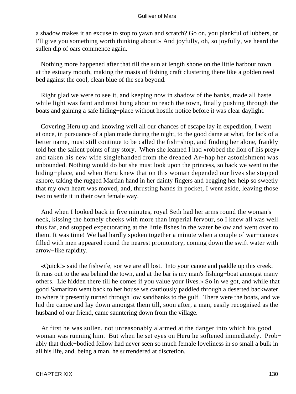a shadow makes it an excuse to stop to yawn and scratch? Go on, you plankful of lubbers, or I'll give you something worth thinking about!» And joyfully, oh, so joyfully, we heard the sullen dip of oars commence again.

 Nothing more happened after that till the sun at length shone on the little harbour town at the estuary mouth, making the masts of fishing craft clustering there like a golden reed− bed against the cool, clean blue of the sea beyond.

 Right glad we were to see it, and keeping now in shadow of the banks, made all haste while light was faint and mist hung about to reach the town, finally pushing through the boats and gaining a safe hiding−place without hostile notice before it was clear daylight.

 Covering Heru up and knowing well all our chances of escape lay in expedition, I went at once, in pursuance of a plan made during the night, to the good dame at what, for lack of a better name, must still continue to be called the fish−shop, and finding her alone, frankly told her the salient points of my story. When she learned I had «robbed the lion of his prey» and taken his new wife singlehanded from the dreaded Ar−hap her astonishment was unbounded. Nothing would do but she must look upon the princess, so back we went to the hiding−place, and when Heru knew that on this woman depended our lives she stepped ashore, taking the rugged Martian hand in her dainty fingers and begging her help so sweetly that my own heart was moved, and, thrusting hands in pocket, I went aside, leaving those two to settle it in their own female way.

 And when I looked back in five minutes, royal Seth had her arms round the woman's neck, kissing the homely cheeks with more than imperial fervour, so I knew all was well thus far, and stopped expectorating at the little fishes in the water below and went over to them. It was time! We had hardly spoken together a minute when a couple of war−canoes filled with men appeared round the nearest promontory, coming down the swift water with arrow−like rapidity.

 «Quick!» said the fishwife, «or we are all lost. Into your canoe and paddle up this creek. It runs out to the sea behind the town, and at the bar is my man's fishing−boat amongst many others. Lie hidden there till he comes if you value your lives.» So in we got, and while that good Samaritan went back to her house we cautiously paddled through a deserted backwater to where it presently turned through low sandbanks to the gulf. There were the boats, and we hid the canoe and lay down amongst them till, soon after, a man, easily recognised as the husband of our friend, came sauntering down from the village.

 At first he was sullen, not unreasonably alarmed at the danger into which his good woman was running him. But when he set eyes on Heru he softened immediately. Prob− ably that thick−bodied fellow had never seen so much female loveliness in so small a bulk in all his life, and, being a man, he surrendered at discretion.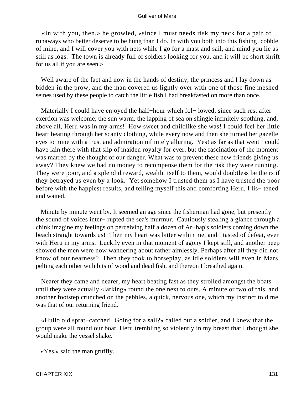«In with you, then,» he growled, «since I must needs risk my neck for a pair of runaways who better deserve to be hung than I do. In with you both into this fishing−cobble of mine, and I will cover you with nets while I go for a mast and sail, and mind you lie as still as logs. The town is already full of soldiers looking for you, and it will be short shrift for us all if you are seen.»

 Well aware of the fact and now in the hands of destiny, the princess and I lay down as bidden in the prow, and the man covered us lightly over with one of those fine meshed seines used by these people to catch the little fish I had breakfasted on more than once.

 Materially I could have enjoyed the half−hour which fol− lowed, since such rest after exertion was welcome, the sun warm, the lapping of sea on shingle infinitely soothing, and, above all, Heru was in my arms! How sweet and childlike she was! I could feel her little heart beating through her scanty clothing, while every now and then she turned her gazelle eyes to mine with a trust and admiration infinitely alluring. Yes! as far as that went I could have lain there with that slip of maiden royalty for ever, but the fascination of the moment was marred by the thought of our danger. What was to prevent these new friends giving us away? They knew we had no money to recompense them for the risk they were running. They were poor, and a splendid reward, wealth itself to them, would doubtless be theirs if they betrayed us even by a look. Yet somehow I trusted them as I have trusted the poor before with the happiest results, and telling myself this and comforting Heru, I lis− tened and waited.

 Minute by minute went by. It seemed an age since the fisherman had gone, but presently the sound of voices inter− rupted the sea's murmur. Cautiously stealing a glance through a chink imagine my feelings on perceiving half a dozen of Ar−hap's soldiers coming down the beach straight towards us! Then my heart was bitter within me, and I tasted of defeat, even with Heru in my arms. Luckily even in that moment of agony I kept still, and another peep showed the men were now wandering about rather aimlessly. Perhaps after all they did not know of our nearness? Then they took to horseplay, as idle soldiers will even in Mars, pelting each other with bits of wood and dead fish, and thereon I breathed again.

 Nearer they came and nearer, my heart beating fast as they strolled amongst the boats until they were actually «larking» round the one next to ours. A minute or two of this, and another footstep crunched on the pebbles, a quick, nervous one, which my instinct told me was that of our returning friend.

 «Hullo old sprat−catcher! Going for a sail?» called out a soldier, and I knew that the group were all round our boat, Heru trembling so violently in my breast that I thought she would make the vessel shake.

«Yes,» said the man gruffly.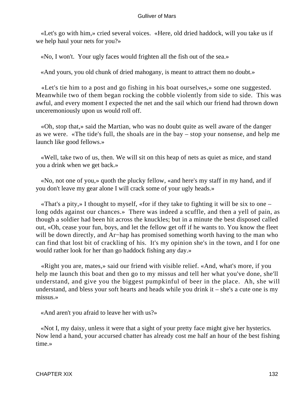«Let's go with him,» cried several voices. «Here, old dried haddock, will you take us if we help haul your nets for you?»

«No, I won't. Your ugly faces would frighten all the fish out of the sea.»

«And yours, you old chunk of dried mahogany, is meant to attract them no doubt.»

 «Let's tie him to a post and go fishing in his boat ourselves,» some one suggested. Meanwhile two of them began rocking the cobble violently from side to side. This was awful, and every moment I expected the net and the sail which our friend had thrown down unceremoniously upon us would roll off.

 «Oh, stop that,» said the Martian, who was no doubt quite as well aware of the danger as we were. «The tide's full, the shoals are in the bay – stop your nonsense, and help me launch like good fellows.»

 «Well, take two of us, then. We will sit on this heap of nets as quiet as mice, and stand you a drink when we get back.»

 «No, not one of you,» quoth the plucky fellow, «and here's my staff in my hand, and if you don't leave my gear alone I will crack some of your ugly heads.»

 «That's a pity,» I thought to myself, «for if they take to fighting it will be six to one – long odds against our chances.» There was indeed a scuffle, and then a yell of pain, as though a soldier had been hit across the knuckles; but in a minute the best disposed called out, «Oh, cease your fun, boys, and let the fellow get off if he wants to. You know the fleet will be down directly, and Ar−hap has promised something worth having to the man who can find that lost bit of crackling of his. It's my opinion she's in the town, and I for one would rather look for her than go haddock fishing any day.»

 «Right you are, mates,» said our friend with visible relief. «And, what's more, if you help me launch this boat and then go to my missus and tell her what you've done, she'll understand, and give you the biggest pumpkinful of beer in the place. Ah, she will understand, and bless your soft hearts and heads while you drink it – she's a cute one is my missus.»

«And aren't you afraid to leave her with us?»

 «Not I, my daisy, unless it were that a sight of your pretty face might give her hysterics. Now lend a hand, your accursed chatter has already cost me half an hour of the best fishing time.»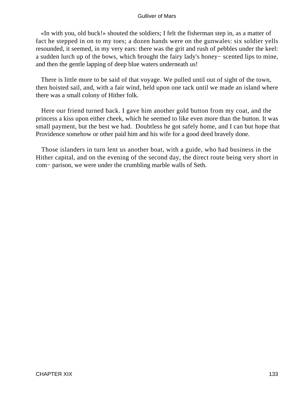«In with you, old buck!» shouted the soldiers; I felt the fisherman step in, as a matter of fact he stepped in on to my toes; a dozen hands were on the gunwales: six soldier yells resounded, it seemed, in my very ears: there was the grit and rush of pebbles under the keel: a sudden lurch up of the bows, which brought the fairy lady's honey− scented lips to mine, and then the gentle lapping of deep blue waters underneath us!

 There is little more to be said of that voyage. We pulled until out of sight of the town, then hoisted sail, and, with a fair wind, held upon one tack until we made an island where there was a small colony of Hither folk.

 Here our friend turned back. I gave him another gold button from my coat, and the princess a kiss upon either cheek, which he seemed to like even more than the button. It was small payment, but the best we had. Doubtless he got safely home, and I can but hope that Providence somehow or other paid him and his wife for a good deed bravely done.

 Those islanders in turn lent us another boat, with a guide, who had business in the Hither capital, and on the evening of the second day, the direct route being very short in com− parison, we were under the crumbling marble walls of Seth.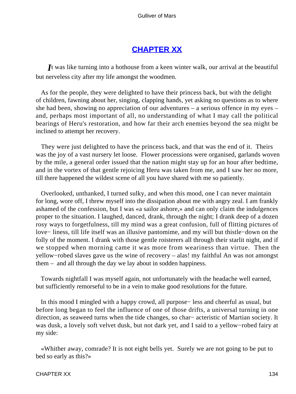# **[CHAPTER XX](#page-144-0)**

*I*t was like turning into a hothouse from a keen winter walk, our arrival at the beautiful but nerveless city after my life amongst the woodmen.

 As for the people, they were delighted to have their princess back, but with the delight of children, fawning about her, singing, clapping hands, yet asking no questions as to where she had been, showing no appreciation of our adventures – a serious offence in my eyes – and, perhaps most important of all, no understanding of what I may call the political bearings of Heru's restoration, and how far their arch enemies beyond the sea might be inclined to attempt her recovery.

 They were just delighted to have the princess back, and that was the end of it. Theirs was the joy of a vast nursery let loose. Flower processions were organised, garlands woven by the mile, a general order issued that the nation might stay up for an hour after bedtime, and in the vortex of that gentle rejoicing Heru was taken from me, and I saw her no more, till there happened the wildest scene of all you have shared with me so patiently.

 Overlooked, unthanked, I turned sulky, and when this mood, one I can never maintain for long, wore off, I threw myself into the dissipation about me with angry zeal. I am frankly ashamed of the confession, but I was «a sailor ashore,» and can only claim the indulgences proper to the situation. I laughed, danced, drank, through the night; I drank deep of a dozen rosy ways to forgetfulness, till my mind was a great confusion, full of flitting pictures of love− liness, till life itself was an illusive pantomime, and my will but thistle−down on the folly of the moment. I drank with those gentle roisterers all through their starlit night, and if we stopped when morning came it was more from weariness than virtue. Then the yellow−robed slaves gave us the wine of recovery – alas! my faithful An was not amongst them – and all through the day we lay about in sodden happiness.

 Towards nightfall I was myself again, not unfortunately with the headache well earned, but sufficiently remorseful to be in a vein to make good resolutions for the future.

 In this mood I mingled with a happy crowd, all purpose− less and cheerful as usual, but before long began to feel the influence of one of those drifts, a universal turning in one direction, as seaweed turns when the tide changes, so char− acteristic of Martian society. It was dusk, a lovely soft velvet dusk, but not dark yet, and I said to a yellow−robed fairy at my side:

 «Whither away, comrade? It is not eight bells yet. Surely we are not going to be put to bed so early as this?»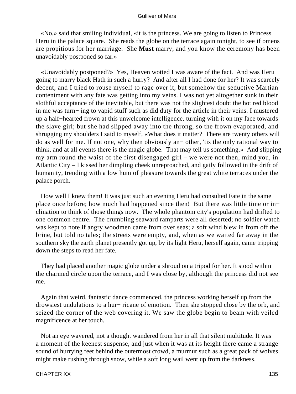«No,» said that smiling individual, «it is the princess. We are going to listen to Princess Heru in the palace square. She reads the globe on the terrace again tonight, to see if omens are propitious for her marriage. She **Must** marry, and you know the ceremony has been unavoidably postponed so far.»

 «Unavoidably postponed?» Yes, Heaven wotted I was aware of the fact. And was Heru going to marry black Hath in such a hurry? And after all I had done for her? It was scarcely decent, and I tried to rouse myself to rage over it, but somehow the seductive Martian contentment with any fate was getting into my veins. I was not yet altogether sunk in their slothful acceptance of the inevitable, but there was not the slightest doubt the hot red blood in me was turn− ing to vapid stuff such as did duty for the article in their veins. I mustered up a half−hearted frown at this unwelcome intelligence, turning with it on my face towards the slave girl; but she had slipped away into the throng, so the frown evaporated, and shrugging my shoulders I said to myself, «What does it matter? There are twenty others will do as well for me. If not one, why then obviously an− other, 'tis the only rational way to think, and at all events there is the magic globe. That may tell us something.» And slipping my arm round the waist of the first disengaged girl – we were not then, mind you, in Atlantic City – I kissed her dimpling cheek unreproached, and gaily followed in the drift of humanity, trending with a low hum of pleasure towards the great white terraces under the palace porch.

 How well I knew them! It was just such an evening Heru had consulted Fate in the same place once before; how much had happened since then! But there was little time or in− clination to think of those things now. The whole phantom city's population had drifted to one common centre. The crumbling seaward ramparts were all deserted; no soldier watch was kept to note if angry woodmen came from over seas; a soft wind blew in from off the brine, but told no tales; the streets were empty, and, when as we waited far away in the southern sky the earth planet presently got up, by its light Heru, herself again, came tripping down the steps to read her fate.

 They had placed another magic globe under a shroud on a tripod for her. It stood within the charmed circle upon the terrace, and I was close by, although the princess did not see me.

 Again that weird, fantastic dance commenced, the princess working herself up from the drowsiest undulations to a hur− ricane of emotion. Then she stopped close by the orb, and seized the corner of the web covering it. We saw the globe begin to beam with veiled magnificence at her touch.

 Not an eye wavered, not a thought wandered from her in all that silent multitude. It was a moment of the keenest suspense, and just when it was at its height there came a strange sound of hurrying feet behind the outermost crowd, a murmur such as a great pack of wolves might make rushing through snow, while a soft long wail went up from the darkness.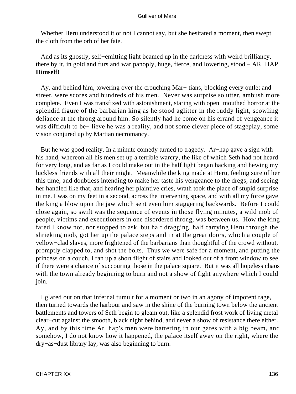Whether Heru understood it or not I cannot say, but she hesitated a moment, then swept the cloth from the orb of her fate.

 And as its ghostly, self−emitting light beamed up in the darkness with weird brilliancy, there by it, in gold and furs and war panoply, huge, fierce, and lowering, stood – AR−HAP **Himself!**

 Ay, and behind him, towering over the crouching Mar− tians, blocking every outlet and street, were scores and hundreds of his men. Never was surprise so utter, ambush more complete. Even I was transfixed with astonishment, staring with open−mouthed horror at the splendid figure of the barbarian king as he stood aglitter in the ruddy light, scowling defiance at the throng around him. So silently had he come on his errand of vengeance it was difficult to be− lieve he was a reality, and not some clever piece of stageplay, some vision conjured up by Martian necromancy.

 But he was good reality. In a minute comedy turned to tragedy. Ar−hap gave a sign with his hand, whereon all his men set up a terrible warcry, the like of which Seth had not heard for very long, and as far as I could make out in the half light began hacking and hewing my luckless friends with all their might. Meanwhile the king made at Heru, feeling sure of her this time, and doubtless intending to make her taste his vengeance to the dregs; and seeing her handled like that, and hearing her plaintive cries, wrath took the place of stupid surprise in me. I was on my feet in a second, across the intervening space, and with all my force gave the king a blow upon the jaw which sent even him staggering backwards. Before I could close again, so swift was the sequence of events in those flying minutes, a wild mob of people, victims and executioners in one disordered throng, was between us. How the king fared I know not, nor stopped to ask, but half dragging, half carrying Heru through the shrieking mob, got her up the palace steps and in at the great doors, which a couple of yellow−clad slaves, more frightened of the barbarians than thoughtful of the crowd without, promptly clapped to, and shot the bolts. Thus we were safe for a moment, and putting the princess on a couch, I ran up a short flight of stairs and looked out of a front window to see if there were a chance of succouring those in the palace square. But it was all hopeless chaos with the town already beginning to burn and not a show of fight anywhere which I could join.

 I glared out on that infernal tumult for a moment or two in an agony of impotent rage, then turned towards the harbour and saw in the shine of the burning town below the ancient battlements and towers of Seth begin to gleam out, like a splendid frost work of living metal clear−cut against the smooth, black night behind, and never a show of resistance there either. Ay, and by this time Ar−hap's men were battering in our gates with a big beam, and somehow, I do not know how it happened, the palace itself away on the right, where the dry−as−dust library lay, was also beginning to burn.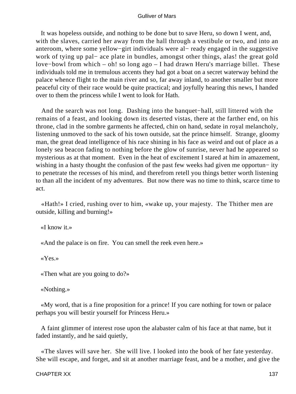It was hopeless outside, and nothing to be done but to save Heru, so down I went, and, with the slaves, carried her away from the hall through a vestibule or two, and into an anteroom, where some yellow−girt individuals were al− ready engaged in the suggestive work of tying up pal− ace plate in bundles, amongst other things, alas! the great gold love−bowl from which – oh! so long ago – I had drawn Heru's marriage billet. These individuals told me in tremulous accents they had got a boat on a secret waterway behind the palace whence flight to the main river and so, far away inland, to another smaller but more peaceful city of their race would be quite practical; and joyfully hearing this news, I handed over to them the princess while I went to look for Hath.

 And the search was not long. Dashing into the banquet−hall, still littered with the remains of a feast, and looking down its deserted vistas, there at the farther end, on his throne, clad in the sombre garments he affected, chin on hand, sedate in royal melancholy, listening unmoved to the sack of his town outside, sat the prince himself. Strange, gloomy man, the great dead intelligence of his race shining in his face as weird and out of place as a lonely sea beacon fading to nothing before the glow of sunrise, never had he appeared so mysterious as at that moment. Even in the heat of excitement I stared at him in amazement, wishing in a hasty thought the confusion of the past few weeks had given me opportun− ity to penetrate the recesses of his mind, and therefrom retell you things better worth listening to than all the incident of my adventures. But now there was no time to think, scarce time to act.

 «Hath!» I cried, rushing over to him, «wake up, your majesty. The Thither men are outside, killing and burning!»

«I know it.»

«And the palace is on fire. You can smell the reek even here.»

«Yes.»

«Then what are you going to do?»

«Nothing.»

 «My word, that is a fine proposition for a prince! If you care nothing for town or palace perhaps you will bestir yourself for Princess Heru.»

 A faint glimmer of interest rose upon the alabaster calm of his face at that name, but it faded instantly, and he said quietly,

 «The slaves will save her. She will live. I looked into the book of her fate yesterday. She will escape, and forget, and sit at another marriage feast, and be a mother, and give the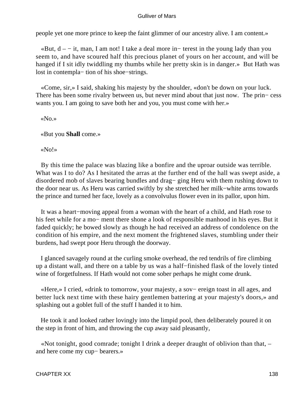people yet one more prince to keep the faint glimmer of our ancestry alive. I am content.»

 «But, d – − it, man, I am not! I take a deal more in− terest in the young lady than you seem to, and have scoured half this precious planet of yours on her account, and will be hanged if I sit idly twiddling my thumbs while her pretty skin is in danger.» But Hath was lost in contempla− tion of his shoe−strings.

 «Come, sir,» I said, shaking his majesty by the shoulder, «don't be down on your luck. There has been some rivalry between us, but never mind about that just now. The prin− cess wants you. I am going to save both her and you, you must come with her.»

«No.»

«But you **Shall** come.»

«No!»

 By this time the palace was blazing like a bonfire and the uproar outside was terrible. What was I to do? As I hesitated the arras at the further end of the hall was swept aside, a disordered mob of slaves bearing bundles and drag− ging Heru with them rushing down to the door near us. As Heru was carried swiftly by she stretched her milk−white arms towards the prince and turned her face, lovely as a convolvulus flower even in its pallor, upon him.

 It was a heart−moving appeal from a woman with the heart of a child, and Hath rose to his feet while for a mo− ment there shone a look of responsible manhood in his eyes. But it faded quickly; he bowed slowly as though he had received an address of condolence on the condition of his empire, and the next moment the frightened slaves, stumbling under their burdens, had swept poor Heru through the doorway.

 I glanced savagely round at the curling smoke overhead, the red tendrils of fire climbing up a distant wall, and there on a table by us was a half−finished flask of the lovely tinted wine of forgetfulness. If Hath would not come sober perhaps he might come drunk.

 «Here,» I cried, «drink to tomorrow, your majesty, a sov− ereign toast in all ages, and better luck next time with these hairy gentlemen battering at your majesty's doors,» and splashing out a goblet full of the stuff I handed it to him.

 He took it and looked rather lovingly into the limpid pool, then deliberately poured it on the step in front of him, and throwing the cup away said pleasantly,

 «Not tonight, good comrade; tonight I drink a deeper draught of oblivion than that, – and here come my cup− bearers.»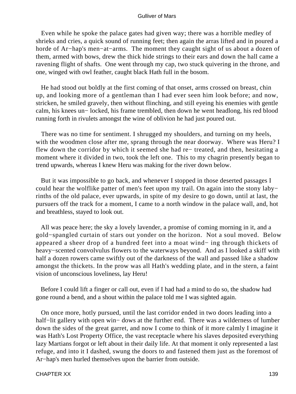Even while he spoke the palace gates had given way; there was a horrible medley of shrieks and cries, a quick sound of running feet; then again the arras lifted and in poured a horde of Ar−hap's men−at−arms. The moment they caught sight of us about a dozen of them, armed with bows, drew the thick hide strings to their ears and down the hall came a ravening flight of shafts. One went through my cap, two stuck quivering in the throne, and one, winged with owl feather, caught black Hath full in the bosom.

 He had stood out boldly at the first coming of that onset, arms crossed on breast, chin up, and looking more of a gentleman than I had ever seen him look before; and now, stricken, he smiled gravely, then without flinching, and still eyeing his enemies with gentle calm, his knees un− locked, his frame trembled, then down he went headlong, his red blood running forth in rivulets amongst the wine of oblivion he had just poured out.

 There was no time for sentiment. I shrugged my shoulders, and turning on my heels, with the woodmen close after me, sprang through the near doorway. Where was Heru? I flew down the corridor by which it seemed she had re− treated, and then, hesitating a moment where it divided in two, took the left one. This to my chagrin presently began to trend upwards, whereas I knew Heru was making for the river down below.

 But it was impossible to go back, and whenever I stopped in those deserted passages I could hear the wolflike patter of men's feet upon my trail. On again into the stony laby− rinths of the old palace, ever upwards, in spite of my desire to go down, until at last, the pursuers off the track for a moment, I came to a north window in the palace wall, and, hot and breathless, stayed to look out.

 All was peace here; the sky a lovely lavender, a promise of coming morning in it, and a gold−spangled curtain of stars out yonder on the horizon. Not a soul moved. Below appeared a sheer drop of a hundred feet into a moat wind− ing through thickets of heavy−scented convolvulus flowers to the waterways beyond. And as I looked a skiff with half a dozen rowers came swiftly out of the darkness of the wall and passed like a shadow amongst the thickets. In the prow was all Hath's wedding plate, and in the stern, a faint vision of unconscious loveliness, lay Heru!

 Before I could lift a finger or call out, even if I had had a mind to do so, the shadow had gone round a bend, and a shout within the palace told me I was sighted again.

 On once more, hotly pursued, until the last corridor ended in two doors leading into a half−lit gallery with open win− dows at the further end. There was a wilderness of lumber down the sides of the great garret, and now I come to think of it more calmly I imagine it was Hath's Lost Property Office, the vast receptacle where his slaves deposited everything lazy Martians forgot or left about in their daily life. At that moment it only represented a last refuge, and into it I dashed, swung the doors to and fastened them just as the foremost of Ar−hap's men hurled themselves upon the barrier from outside.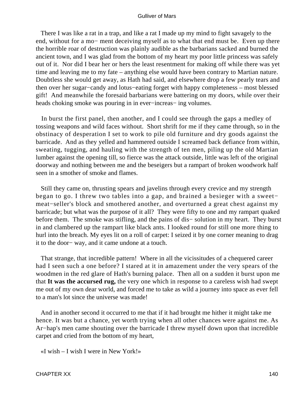There I was like a rat in a trap, and like a rat I made up my mind to fight savagely to the end, without for a mo− ment deceiving myself as to what that end must be. Even up there the horrible roar of destruction was plainly audible as the barbarians sacked and burned the ancient town, and I was glad from the bottom of my heart my poor little princess was safely out of it. Nor did I bear her or hers the least resentment for making off while there was yet time and leaving me to my fate – anything else would have been contrary to Martian nature. Doubtless she would get away, as Hath had said, and elsewhere drop a few pearly tears and then over her sugar−candy and lotus−eating forget with happy completeness – most blessed gift! And meanwhile the foresaid barbarians were battering on my doors, while over their heads choking smoke was pouring in in ever−increas− ing volumes.

 In burst the first panel, then another, and I could see through the gaps a medley of tossing weapons and wild faces without. Short shrift for me if they came through, so in the obstinacy of desperation I set to work to pile old furniture and dry goods against the barricade. And as they yelled and hammered outside I screamed back defiance from within, sweating, tugging, and hauling with the strength of ten men, piling up the old Martian lumber against the opening till, so fierce was the attack outside, little was left of the original doorway and nothing between me and the beseigers but a rampart of broken woodwork half seen in a smother of smoke and flames.

 Still they came on, thrusting spears and javelins through every crevice and my strength began to go. I threw two tables into a gap, and brained a besieger with a sweet− meat−seller's block and smothered another, and overturned a great chest against my barricade; but what was the purpose of it all? They were fifty to one and my rampart quaked before them. The smoke was stifling, and the pains of dis− solution in my heart. They burst in and clambered up the rampart like black ants. I looked round for still one more thing to hurl into the breach. My eyes lit on a roll of carpet: I seized it by one corner meaning to drag it to the door− way, and it came undone at a touch.

 That strange, that incredible pattern! Where in all the vicissitudes of a chequered career had I seen such a one before? I stared at it in amazement under the very spears of the woodmen in the red glare of Hath's burning palace. Then all on a sudden it burst upon me that **It was the accursed rug,** the very one which in response to a careless wish had swept me out of my own dear world, and forced me to take as wild a journey into space as ever fell to a man's lot since the universe was made!

 And in another second it occurred to me that if it had brought me hither it might take me hence. It was but a chance, yet worth trying when all other chances were against me. As Ar−hap's men came shouting over the barricade I threw myself down upon that incredible carpet and cried from the bottom of my heart,

«I wish – I wish I were in New York!»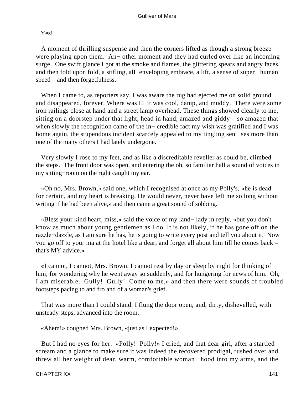# Yes!

 A moment of thrilling suspense and then the corners lifted as though a strong breeze were playing upon them. An− other moment and they had curled over like an incoming surge. One swift glance I got at the smoke and flames, the glittering spears and angry faces, and then fold upon fold, a stifling, all−enveloping embrace, a lift, a sense of super− human speed – and then forgetfulness.

When I came to, as reporters say, I was aware the rug had ejected me on solid ground and disappeared, forever. Where was I! It was cool, damp, and muddy. There were some iron railings close at hand and a street lamp overhead. These things showed clearly to me, sitting on a doorstep under that light, head in hand, amazed and giddy – so amazed that when slowly the recognition came of the in− credible fact my wish was gratified and I was home again, the stupendous incident scarcely appealed to my tingling sen− ses more than one of the many others I had lately undergone.

 Very slowly I rose to my feet, and as like a discreditable reveller as could be, climbed the steps. The front door was open, and entering the oh, so familiar hall a sound of voices in my sitting−room on the right caught my ear.

 «Oh no, Mrs. Brown,» said one, which I recognised at once as my Polly's, «he is dead for certain, and my heart is breaking. He would never, never have left me so long without writing if he had been alive,» and then came a great sound of sobbing.

 «Bless your kind heart, miss,» said the voice of my land− lady in reply, «but you don't know as much about young gentlemen as I do. It is not likely, if he has gone off on the razzle−dazzle, as I am sure he has, he is going to write every post and tell you about it. Now you go off to your ma at the hotel like a dear, and forget all about him till he comes back – that's MY advice.»

 «I cannot, I cannot, Mrs. Brown. I cannot rest by day or sleep by night for thinking of him; for wondering why he went away so suddenly, and for hungering for news of him. Oh, I am miserable. Gully! Gully! Come to me,» and then there were sounds of troubled footsteps pacing to and fro and of a woman's grief.

 That was more than I could stand. I flung the door open, and, dirty, dishevelled, with unsteady steps, advanced into the room.

«Ahem!» coughed Mrs. Brown, «just as I expected!»

 But I had no eyes for her. «Polly! Polly!» I cried, and that dear girl, after a startled scream and a glance to make sure it was indeed the recovered prodigal, rushed over and threw all her weight of dear, warm, comfortable woman− hood into my arms, and the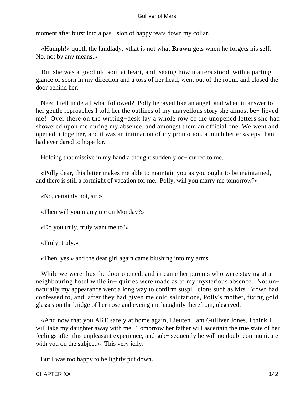moment after burst into a pas− sion of happy tears down my collar.

 «Humph!» quoth the landlady, «that is not what **Brown** gets when he forgets his self. No, not by any means.»

 But she was a good old soul at heart, and, seeing how matters stood, with a parting glance of scorn in my direction and a toss of her head, went out of the room, and closed the door behind her.

 Need I tell in detail what followed? Polly behaved like an angel, and when in answer to her gentle reproaches I told her the outlines of my marvellous story she almost be− lieved me! Over there on the writing−desk lay a whole row of the unopened letters she had showered upon me during my absence, and amongst them an official one. We went and opened it together, and it was an intimation of my promotion, a much better «step» than I had ever dared to hope for.

Holding that missive in my hand a thought suddenly oc− curred to me.

 «Polly dear, this letter makes me able to maintain you as you ought to be maintained, and there is still a fortnight of vacation for me. Polly, will you marry me tomorrow?»

«No, certainly not, sir.»

«Then will you marry me on Monday?»

«Do you truly, truly want me to?»

«Truly, truly.»

«Then, yes,» and the dear girl again came blushing into my arms.

 While we were thus the door opened, and in came her parents who were staying at a neighbouring hotel while in− quiries were made as to my mysterious absence. Not un− naturally my appearance went a long way to confirm suspi– cions such as Mrs. Brown had confessed to, and, after they had given me cold salutations, Polly's mother, fixing gold glasses on the bridge of her nose and eyeing me haughtily therefrom, observed,

 «And now that you ARE safely at home again, Lieuten− ant Gulliver Jones, I think I will take my daughter away with me. Tomorrow her father will ascertain the true state of her feelings after this unpleasant experience, and sub− sequently he will no doubt communicate with you on the subject.» This very icily.

But I was too happy to be lightly put down.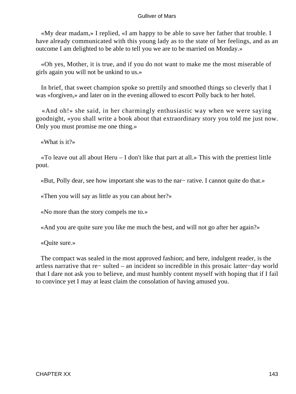«My dear madam,» I replied, «I am happy to be able to save her father that trouble. I have already communicated with this young lady as to the state of her feelings, and as an outcome I am delighted to be able to tell you we are to be married on Monday.»

 «Oh yes, Mother, it is true, and if you do not want to make me the most miserable of girls again you will not be unkind to us.»

 In brief, that sweet champion spoke so prettily and smoothed things so cleverly that I was «forgiven,» and later on in the evening allowed to escort Polly back to her hotel.

 «And oh!» she said, in her charmingly enthusiastic way when we were saying goodnight, «you shall write a book about that extraordinary story you told me just now. Only you must promise me one thing.»

«What is it?»

 «To leave out all about Heru – I don't like that part at all.» This with the prettiest little pout.

«But, Polly dear, see how important she was to the nar− rative. I cannot quite do that.»

«Then you will say as little as you can about her?»

«No more than the story compels me to.»

«And you are quite sure you like me much the best, and will not go after her again?»

«Quite sure.»

 The compact was sealed in the most approved fashion; and here, indulgent reader, is the artless narrative that re− sulted – an incident so incredible in this prosaic latter−day world that I dare not ask you to believe, and must humbly content myself with hoping that if I fail to convince yet I may at least claim the consolation of having amused you.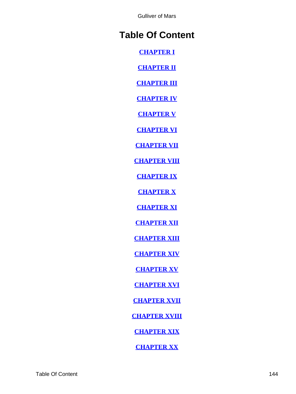Gulliver of Mars

# **Table Of Content**

**[CHAPTER I](#page-3-0)**

**[CHAPTER II](#page-8-0)**

**[CHAPTER III](#page-15-0)**

**[CHAPTER IV](#page-25-0)**

**[CHAPTER V](#page-34-0)**

**[CHAPTER VI](#page-43-0)**

**[CHAPTER VII](#page-49-0)**

**[CHAPTER VIII](#page-57-0)**

**[CHAPTER IX](#page-61-0)**

**[CHAPTER X](#page-67-0)**

**[CHAPTER XI](#page-73-0)**

**[CHAPTER XII](#page-80-0)**

**[CHAPTER XIII](#page-87-0)**

**[CHAPTER XIV](#page-94-0)**

**[CHAPTER XV](#page-101-0)**

**[CHAPTER XVI](#page-108-0)**

**[CHAPTER XVII](#page-115-0)**

**[CHAPTER XVIII](#page-122-0)**

**[CHAPTER XIX](#page-129-0)**

**[CHAPTER XX](#page-134-0)**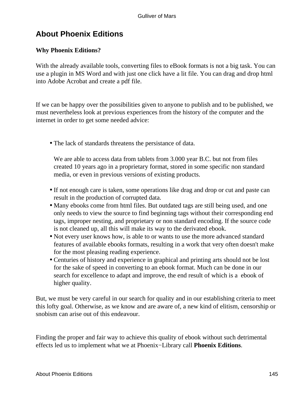## **About Phoenix Editions**

### **Why Phoenix Editions?**

With the already available tools, converting files to eBook formats is not a big task. You can use a plugin in MS Word and with just one click have a lit file. You can drag and drop html into Adobe Acrobat and create a pdf file.

If we can be happy over the possibilities given to anyone to publish and to be published, we must nevertheless look at previous experiences from the history of the computer and the internet in order to get some needed advice:

• The lack of standards threatens the persistance of data.

We are able to access data from tablets from 3.000 year B.C. but not from files created 10 years ago in a proprietary format, stored in some specific non standard media, or even in previous versions of existing products.

- If not enough care is taken, some operations like drag and drop or cut and paste can result in the production of corrupted data.
- Many ebooks come from html files. But outdated tags are still being used, and one only needs to view the source to find beginning tags without their corresponding end tags, improper nesting, and proprietary or non standard encoding. If the source code is not cleaned up, all this will make its way to the derivated ebook.
- Not every user knows how, is able to or wants to use the more advanced standard features of available ebooks formats, resulting in a work that very often doesn't make for the most pleasing reading experience.
- Centuries of history and experience in graphical and printing arts should not be lost for the sake of speed in converting to an ebook format. Much can be done in our search for excellence to adapt and improve, the end result of which is a ebook of higher quality.

But, we must be very careful in our search for quality and in our establishing criteria to meet this lofty goal. Otherwise, as we know and are aware of, a new kind of elitism, censorship or snobism can arise out of this endeavour.

Finding the proper and fair way to achieve this quality of ebook without such detrimental effects led us to implement what we at Phoenix−Library call **Phoenix Editions**.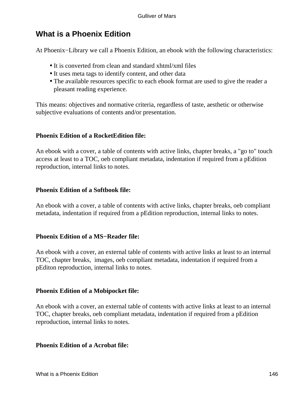## **What is a Phoenix Edition**

At Phoenix−Library we call a Phoenix Edition, an ebook with the following characteristics:

- It is converted from clean and standard xhtml/xml files
- It uses meta tags to identify content, and other data
- The available resources specific to each ebook format are used to give the reader a pleasant reading experience.

This means: objectives and normative criteria, regardless of taste, aesthetic or otherwise subjective evaluations of contents and/or presentation.

### **Phoenix Edition of a RocketEdition file:**

An ebook with a cover, a table of contents with active links, chapter breaks, a "go to" touch access at least to a TOC, oeb compliant metadata, indentation if required from a pEdition reproduction, internal links to notes.

### **Phoenix Edition of a Softbook file:**

An ebook with a cover, a table of contents with active links, chapter breaks, oeb compliant metadata, indentation if required from a pEdition reproduction, internal links to notes.

### **Phoenix Edition of a MS−Reader file:**

An ebook with a cover, an external table of contents with active links at least to an internal TOC, chapter breaks, images, oeb compliant metadata, indentation if required from a pEditon reproduction, internal links to notes.

### **Phoenix Edition of a Mobipocket file:**

An ebook with a cover, an external table of contents with active links at least to an internal TOC, chapter breaks, oeb compliant metadata, indentation if required from a pEdition reproduction, internal links to notes.

#### **Phoenix Edition of a Acrobat file:**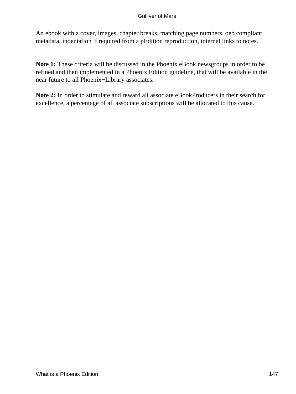#### Gulliver of Mars

An ebook with a cover, images, chapter breaks, matching page numbers, oeb compliant metadata, indentation if required from a pEdition reproduction, internal links to notes.

**Note 1:** These criteria will be discussed in the Phoenix eBook newsgroups in order to be refined and then implemented in a Phoenix Edition guideline, that will be available in the near future to all Phoenix−Library associates.

**Note 2:** In order to stimulate and reward all associate eBookProducers in their search for excellence, a percentage of all associate subscriptions will be allocated to this cause.